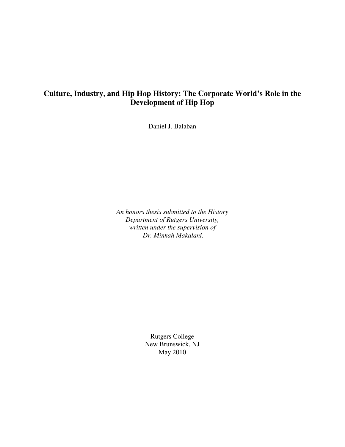## **Culture, Industry, and Hip Hop History: The Corporate World's Role in the Development of Hip Hop**

Daniel J. Balaban

*An honors thesis submitted to the History Department of Rutgers University, written under the supervision of Dr. Minkah Makalani.*

> Rutgers College New Brunswick, NJ May 2010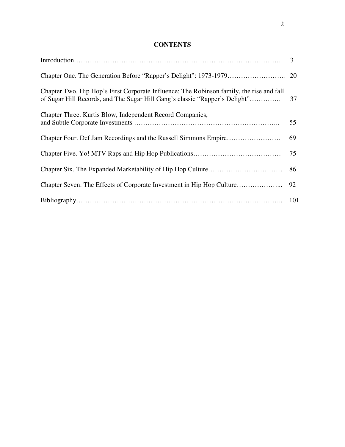|                                                                                                                                                                         | 3  |
|-------------------------------------------------------------------------------------------------------------------------------------------------------------------------|----|
|                                                                                                                                                                         |    |
| Chapter Two. Hip Hop's First Corporate Influence: The Robinson family, the rise and fall<br>of Sugar Hill Records, and The Sugar Hill Gang's classic "Rapper's Delight" | 37 |
| Chapter Three. Kurtis Blow, Independent Record Companies,                                                                                                               | 55 |
|                                                                                                                                                                         | 69 |
|                                                                                                                                                                         | 75 |
|                                                                                                                                                                         | 86 |
| Chapter Seven. The Effects of Corporate Investment in Hip Hop Culture                                                                                                   | 92 |
|                                                                                                                                                                         |    |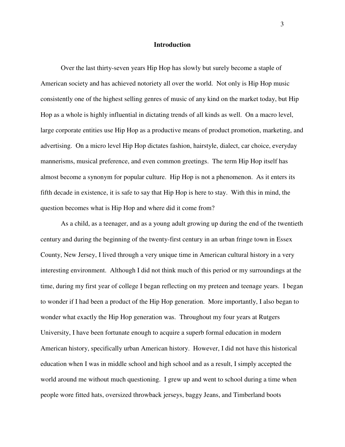## **Introduction**

Over the last thirty-seven years Hip Hop has slowly but surely become a staple of American society and has achieved notoriety all over the world. Not only is Hip Hop music consistently one of the highest selling genres of music of any kind on the market today, but Hip Hop as a whole is highly influential in dictating trends of all kinds as well. On a macro level, large corporate entities use Hip Hop as a productive means of product promotion, marketing, and advertising. On a micro level Hip Hop dictates fashion, hairstyle, dialect, car choice, everyday mannerisms, musical preference, and even common greetings. The term Hip Hop itself has almost become a synonym for popular culture. Hip Hop is not a phenomenon. As it enters its fifth decade in existence, it is safe to say that Hip Hop is here to stay. With this in mind, the question becomes what is Hip Hop and where did it come from?

As a child, as a teenager, and as a young adult growing up during the end of the twentieth century and during the beginning of the twenty-first century in an urban fringe town in Essex County, New Jersey, I lived through a very unique time in American cultural history in a very interesting environment. Although I did not think much of this period or my surroundings at the time, during my first year of college I began reflecting on my preteen and teenage years. I began to wonder if I had been a product of the Hip Hop generation. More importantly, I also began to wonder what exactly the Hip Hop generation was. Throughout my four years at Rutgers University, I have been fortunate enough to acquire a superb formal education in modern American history, specifically urban American history. However, I did not have this historical education when I was in middle school and high school and as a result, I simply accepted the world around me without much questioning. I grew up and went to school during a time when people wore fitted hats, oversized throwback jerseys, baggy Jeans, and Timberland boots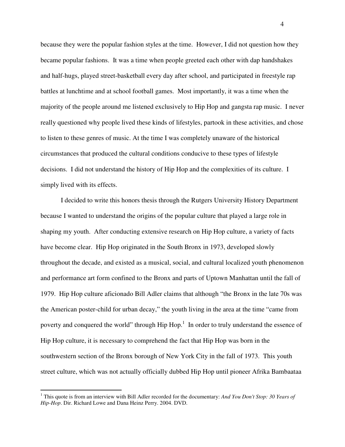because they were the popular fashion styles at the time. However, I did not question how they became popular fashions. It was a time when people greeted each other with dap handshakes and half-hugs, played street-basketball every day after school, and participated in freestyle rap battles at lunchtime and at school football games. Most importantly, it was a time when the majority of the people around me listened exclusively to Hip Hop and gangsta rap music. I never really questioned why people lived these kinds of lifestyles, partook in these activities, and chose to listen to these genres of music. At the time I was completely unaware of the historical circumstances that produced the cultural conditions conducive to these types of lifestyle decisions. I did not understand the history of Hip Hop and the complexities of its culture. I simply lived with its effects.

I decided to write this honors thesis through the Rutgers University History Department because I wanted to understand the origins of the popular culture that played a large role in shaping my youth. After conducting extensive research on Hip Hop culture, a variety of facts have become clear. Hip Hop originated in the South Bronx in 1973, developed slowly throughout the decade, and existed as a musical, social, and cultural localized youth phenomenon and performance art form confined to the Bronx and parts of Uptown Manhattan until the fall of 1979. Hip Hop culture aficionado Bill Adler claims that although "the Bronx in the late 70s was the American poster-child for urban decay," the youth living in the area at the time "came from poverty and conquered the world" through Hip Hop.<sup>1</sup> In order to truly understand the essence of Hip Hop culture, it is necessary to comprehend the fact that Hip Hop was born in the southwestern section of the Bronx borough of New York City in the fall of 1973. This youth street culture, which was not actually officially dubbed Hip Hop until pioneer Afrika Bambaataa

 1 This quote is from an interview with Bill Adler recorded for the documentary: *And You Don't Stop: 30 Years of Hip-Hop*. Dir. Richard Lowe and Dana Heinz Perry. 2004. DVD.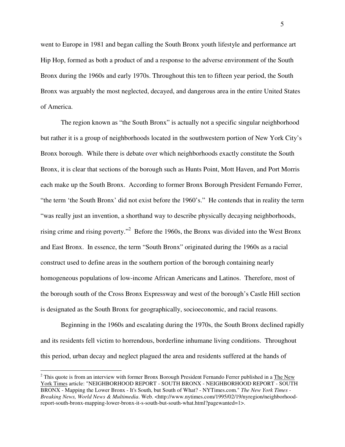went to Europe in 1981 and began calling the South Bronx youth lifestyle and performance art Hip Hop, formed as both a product of and a response to the adverse environment of the South Bronx during the 1960s and early 1970s. Throughout this ten to fifteen year period, the South Bronx was arguably the most neglected, decayed, and dangerous area in the entire United States of America.

The region known as "the South Bronx" is actually not a specific singular neighborhood but rather it is a group of neighborhoods located in the southwestern portion of New York City's Bronx borough. While there is debate over which neighborhoods exactly constitute the South Bronx, it is clear that sections of the borough such as Hunts Point, Mott Haven, and Port Morris each make up the South Bronx. According to former Bronx Borough President Fernando Ferrer, "the term 'the South Bronx' did not exist before the 1960's." He contends that in reality the term "was really just an invention, a shorthand way to describe physically decaying neighborhoods, rising crime and rising poverty."<sup>2</sup> Before the 1960s, the Bronx was divided into the West Bronx and East Bronx. In essence, the term "South Bronx" originated during the 1960s as a racial construct used to define areas in the southern portion of the borough containing nearly homogeneous populations of low-income African Americans and Latinos. Therefore, most of the borough south of the Cross Bronx Expressway and west of the borough's Castle Hill section is designated as the South Bronx for geographically, socioeconomic, and racial reasons.

Beginning in the 1960s and escalating during the 1970s, the South Bronx declined rapidly and its residents fell victim to horrendous, borderline inhumane living conditions. Throughout this period, urban decay and neglect plagued the area and residents suffered at the hands of

<sup>&</sup>lt;sup>2</sup> This quote is from an interview with former Bronx Borough President Fernando Ferrer published in a <u>The New</u> York Times article: "NEIGHBORHOOD REPORT - SOUTH BRONX - NEIGHBORHOOD REPORT - SOUTH BRONX - Mapping the Lower Bronx - It's South, but South of What? - NYTimes.com." *The New York Times - Breaking News, World News & Multimedia*. Web. <http://www.nytimes.com/1995/02/19/nyregion/neighborhoodreport-south-bronx-mapping-lower-bronx-it-s-south-but-south-what.html?pagewanted=1>.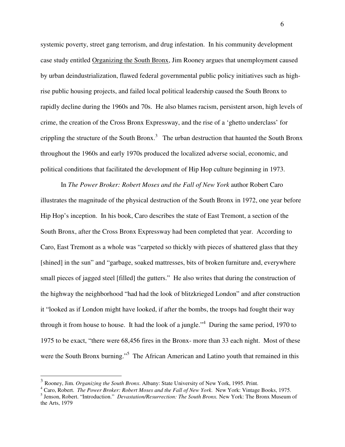systemic poverty, street gang terrorism, and drug infestation. In his community development case study entitled Organizing the South Bronx, Jim Rooney argues that unemployment caused by urban deindustrialization, flawed federal governmental public policy initiatives such as highrise public housing projects, and failed local political leadership caused the South Bronx to rapidly decline during the 1960s and 70s. He also blames racism, persistent arson, high levels of crime, the creation of the Cross Bronx Expressway, and the rise of a 'ghetto underclass' for crippling the structure of the South Bronx.<sup>3</sup> The urban destruction that haunted the South Bronx throughout the 1960s and early 1970s produced the localized adverse social, economic, and political conditions that facilitated the development of Hip Hop culture beginning in 1973.

In *The Power Broker: Robert Moses and the Fall of New York* author Robert Caro illustrates the magnitude of the physical destruction of the South Bronx in 1972, one year before Hip Hop's inception. In his book, Caro describes the state of East Tremont, a section of the South Bronx, after the Cross Bronx Expressway had been completed that year. According to Caro, East Tremont as a whole was "carpeted so thickly with pieces of shattered glass that they [shined] in the sun" and "garbage, soaked mattresses, bits of broken furniture and, everywhere small pieces of jagged steel [filled] the gutters." He also writes that during the construction of the highway the neighborhood "had had the look of blitzkrieged London" and after construction it "looked as if London might have looked, if after the bombs, the troops had fought their way through it from house to house. It had the look of a jungle." During the same period, 1970 to 1975 to be exact, "there were 68,456 fires in the Bronx- more than 33 each night. Most of these were the South Bronx burning."<sup>5</sup> The African American and Latino youth that remained in this

<sup>3</sup> Rooney, Jim. *Organizing the South Bronx*. Albany: State University of New York, 1995. Print.

<sup>4</sup> Caro, Robert. *The Power Broker: Robert Moses and the Fall of New York*. New York: Vintage Books, 1975.

<sup>5</sup> Jenson, Robert. "Introduction." *Devastation/Resurrection: The South Bronx.* New York: The Bronx Museum of the Arts, 1979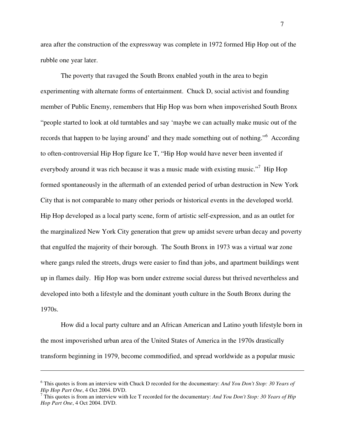area after the construction of the expressway was complete in 1972 formed Hip Hop out of the rubble one year later.

The poverty that ravaged the South Bronx enabled youth in the area to begin experimenting with alternate forms of entertainment. Chuck D, social activist and founding member of Public Enemy, remembers that Hip Hop was born when impoverished South Bronx "people started to look at old turntables and say 'maybe we can actually make music out of the records that happen to be laying around' and they made something out of nothing."<sup>6</sup> According to often-controversial Hip Hop figure Ice T, "Hip Hop would have never been invented if everybody around it was rich because it was a music made with existing music."<sup>7</sup> Hip Hop formed spontaneously in the aftermath of an extended period of urban destruction in New York City that is not comparable to many other periods or historical events in the developed world. Hip Hop developed as a local party scene, form of artistic self-expression, and as an outlet for the marginalized New York City generation that grew up amidst severe urban decay and poverty that engulfed the majority of their borough. The South Bronx in 1973 was a virtual war zone where gangs ruled the streets, drugs were easier to find than jobs, and apartment buildings went up in flames daily. Hip Hop was born under extreme social duress but thrived nevertheless and developed into both a lifestyle and the dominant youth culture in the South Bronx during the 1970s.

How did a local party culture and an African American and Latino youth lifestyle born in the most impoverished urban area of the United States of America in the 1970s drastically transform beginning in 1979, become commodified, and spread worldwide as a popular music

<sup>6</sup> This quotes is from an interview with Chuck D recorded for the documentary: *And You Don't Stop: 30 Years of Hip Hop Part One*, 4 Oct 2004. DVD. 7 This quotes is from an interview with Ice T recorded for the documentary: *And You Don't Stop: 30 Years of Hip* 

*Hop Part One*, 4 Oct 2004. DVD.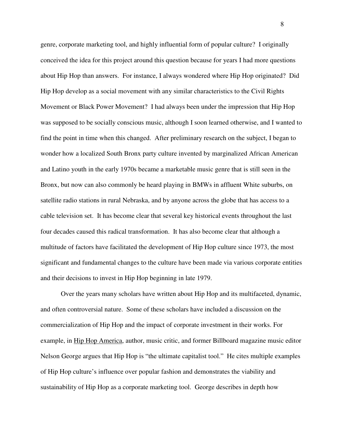genre, corporate marketing tool, and highly influential form of popular culture? I originally conceived the idea for this project around this question because for years I had more questions about Hip Hop than answers. For instance, I always wondered where Hip Hop originated? Did Hip Hop develop as a social movement with any similar characteristics to the Civil Rights Movement or Black Power Movement? I had always been under the impression that Hip Hop was supposed to be socially conscious music, although I soon learned otherwise, and I wanted to find the point in time when this changed. After preliminary research on the subject, I began to wonder how a localized South Bronx party culture invented by marginalized African American and Latino youth in the early 1970s became a marketable music genre that is still seen in the Bronx, but now can also commonly be heard playing in BMWs in affluent White suburbs, on satellite radio stations in rural Nebraska, and by anyone across the globe that has access to a cable television set. It has become clear that several key historical events throughout the last four decades caused this radical transformation. It has also become clear that although a multitude of factors have facilitated the development of Hip Hop culture since 1973, the most significant and fundamental changes to the culture have been made via various corporate entities and their decisions to invest in Hip Hop beginning in late 1979.

Over the years many scholars have written about Hip Hop and its multifaceted, dynamic, and often controversial nature. Some of these scholars have included a discussion on the commercialization of Hip Hop and the impact of corporate investment in their works. For example, in Hip Hop America, author, music critic, and former Billboard magazine music editor Nelson George argues that Hip Hop is "the ultimate capitalist tool." He cites multiple examples of Hip Hop culture's influence over popular fashion and demonstrates the viability and sustainability of Hip Hop as a corporate marketing tool. George describes in depth how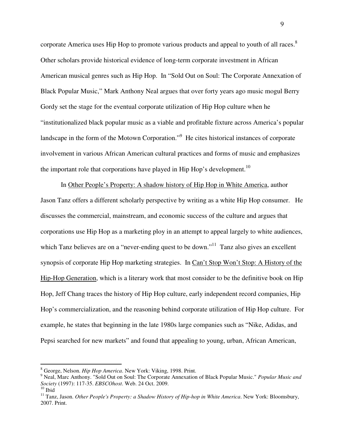corporate America uses Hip Hop to promote various products and appeal to youth of all races. $8$ Other scholars provide historical evidence of long-term corporate investment in African American musical genres such as Hip Hop. In "Sold Out on Soul: The Corporate Annexation of Black Popular Music," Mark Anthony Neal argues that over forty years ago music mogul Berry Gordy set the stage for the eventual corporate utilization of Hip Hop culture when he "institutionalized black popular music as a viable and profitable fixture across America's popular landscape in the form of the Motown Corporation."<sup>9</sup> He cites historical instances of corporate involvement in various African American cultural practices and forms of music and emphasizes the important role that corporations have played in Hip Hop's development.<sup>10</sup>

In Other People's Property: A shadow history of Hip Hop in White America, author Jason Tanz offers a different scholarly perspective by writing as a white Hip Hop consumer. He discusses the commercial, mainstream, and economic success of the culture and argues that corporations use Hip Hop as a marketing ploy in an attempt to appeal largely to white audiences, which Tanz believes are on a "never-ending quest to be down."<sup>11</sup> Tanz also gives an excellent synopsis of corporate Hip Hop marketing strategies. In Can't Stop Won't Stop: A History of the Hip-Hop Generation, which is a literary work that most consider to be the definitive book on Hip Hop, Jeff Chang traces the history of Hip Hop culture, early independent record companies, Hip Hop's commercialization, and the reasoning behind corporate utilization of Hip Hop culture. For example, he states that beginning in the late 1980s large companies such as "Nike, Adidas, and Pepsi searched for new markets" and found that appealing to young, urban, African American,

<sup>8</sup> George, Nelson. *Hip Hop America*. New York: Viking, 1998. Print.

<sup>9</sup> Neal, Marc Anthony. "Sold Out on Soul: The Corporate Annexation of Black Popular Music." *Popular Music and Society* (1997): 117-35. *EBSCOhost*. Web. 24 Oct. 2009.  $10$  Ibid

<sup>&</sup>lt;sup>11</sup> Tanz. Jason. *Other People's Property: a Shadow History of Hip-hop in White America*. New York: Bloomsbury, 2007. Print.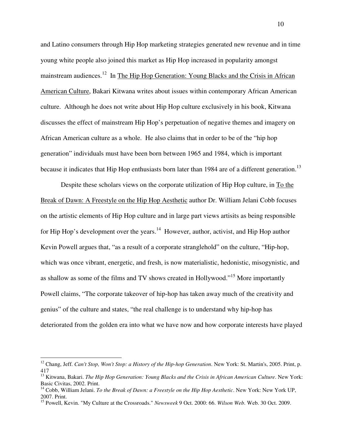and Latino consumers through Hip Hop marketing strategies generated new revenue and in time young white people also joined this market as Hip Hop increased in popularity amongst mainstream audiences.<sup>12</sup> In The Hip Hop Generation: Young Blacks and the Crisis in African American Culture, Bakari Kitwana writes about issues within contemporary African American culture. Although he does not write about Hip Hop culture exclusively in his book, Kitwana discusses the effect of mainstream Hip Hop's perpetuation of negative themes and imagery on African American culture as a whole. He also claims that in order to be of the "hip hop generation" individuals must have been born between 1965 and 1984, which is important because it indicates that Hip Hop enthusiasts born later than 1984 are of a different generation.<sup>13</sup>

Despite these scholars views on the corporate utilization of Hip Hop culture, in To the Break of Dawn: A Freestyle on the Hip Hop Aesthetic author Dr. William Jelani Cobb focuses on the artistic elements of Hip Hop culture and in large part views artisits as being responsible for Hip Hop's development over the years.<sup>14</sup> However, author, activist, and Hip Hop author Kevin Powell argues that, "as a result of a corporate stranglehold" on the culture, "Hip-hop, which was once vibrant, energetic, and fresh, is now materialistic, hedonistic, misogynistic, and as shallow as some of the films and TV shows created in Hollywood."<sup>15</sup> More importantly Powell claims, "The corporate takeover of hip-hop has taken away much of the creativity and genius" of the culture and states, "the real challenge is to understand why hip-hop has deteriorated from the golden era into what we have now and how corporate interests have played

<sup>12</sup> Chang, Jeff. *Can't Stop, Won't Stop: a History of the Hip-hop Generation*. New York: St. Martin's, 2005. Print, p. 417

<sup>&</sup>lt;sup>13</sup> Kitwana. Bakari. *The Hip Hop Generation: Young Blacks and the Crisis in African American Culture*. New York: Basic Civitas, 2002. Print.

<sup>&</sup>lt;sup>14</sup> Cobb, William Jelani. *To the Break of Dawn: a Freestyle on the Hip Hop Aesthetic*. New York: New York UP, 2007. Print.

<sup>15</sup> Powell, Kevin. "My Culture at the Crossroads." *Newsweek* 9 Oct. 2000: 66. *Wilson Web*. Web. 30 Oct. 2009.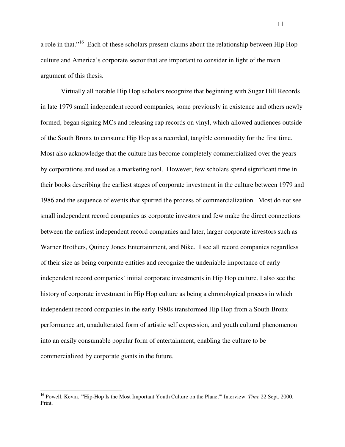a role in that."<sup>16</sup> Each of these scholars present claims about the relationship between Hip Hop culture and America's corporate sector that are important to consider in light of the main argument of this thesis.

Virtually all notable Hip Hop scholars recognize that beginning with Sugar Hill Records in late 1979 small independent record companies, some previously in existence and others newly formed, began signing MCs and releasing rap records on vinyl, which allowed audiences outside of the South Bronx to consume Hip Hop as a recorded, tangible commodity for the first time. Most also acknowledge that the culture has become completely commercialized over the years by corporations and used as a marketing tool. However, few scholars spend significant time in their books describing the earliest stages of corporate investment in the culture between 1979 and 1986 and the sequence of events that spurred the process of commercialization. Most do not see small independent record companies as corporate investors and few make the direct connections between the earliest independent record companies and later, larger corporate investors such as Warner Brothers, Quincy Jones Entertainment, and Nike. I see all record companies regardless of their size as being corporate entities and recognize the undeniable importance of early independent record companies' initial corporate investments in Hip Hop culture. I also see the history of corporate investment in Hip Hop culture as being a chronological process in which independent record companies in the early 1980s transformed Hip Hop from a South Bronx performance art, unadulterated form of artistic self expression, and youth cultural phenomenon into an easily consumable popular form of entertainment, enabling the culture to be commercialized by corporate giants in the future.

<sup>&</sup>lt;sup>16</sup> Powell, Kevin. "'Hip-Hop Is the Most Important Youth Culture on the Planet'" Interview. *Time* 22 Sept. 2000. Print.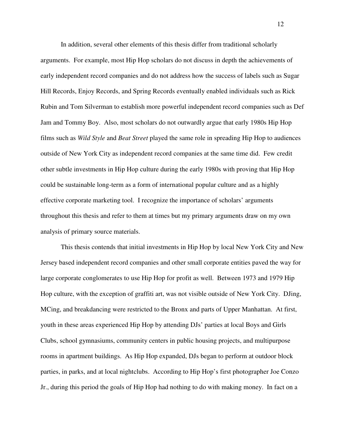In addition, several other elements of this thesis differ from traditional scholarly arguments. For example, most Hip Hop scholars do not discuss in depth the achievements of early independent record companies and do not address how the success of labels such as Sugar Hill Records, Enjoy Records, and Spring Records eventually enabled individuals such as Rick Rubin and Tom Silverman to establish more powerful independent record companies such as Def Jam and Tommy Boy. Also, most scholars do not outwardly argue that early 1980s Hip Hop films such as *Wild Style* and *Beat Street* played the same role in spreading Hip Hop to audiences outside of New York City as independent record companies at the same time did. Few credit other subtle investments in Hip Hop culture during the early 1980s with proving that Hip Hop could be sustainable long-term as a form of international popular culture and as a highly effective corporate marketing tool. I recognize the importance of scholars' arguments throughout this thesis and refer to them at times but my primary arguments draw on my own analysis of primary source materials.

This thesis contends that initial investments in Hip Hop by local New York City and New Jersey based independent record companies and other small corporate entities paved the way for large corporate conglomerates to use Hip Hop for profit as well. Between 1973 and 1979 Hip Hop culture, with the exception of graffiti art, was not visible outside of New York City. DJing, MCing, and breakdancing were restricted to the Bronx and parts of Upper Manhattan. At first, youth in these areas experienced Hip Hop by attending DJs' parties at local Boys and Girls Clubs, school gymnasiums, community centers in public housing projects, and multipurpose rooms in apartment buildings. As Hip Hop expanded, DJs began to perform at outdoor block parties, in parks, and at local nightclubs. According to Hip Hop's first photographer Joe Conzo Jr., during this period the goals of Hip Hop had nothing to do with making money. In fact on a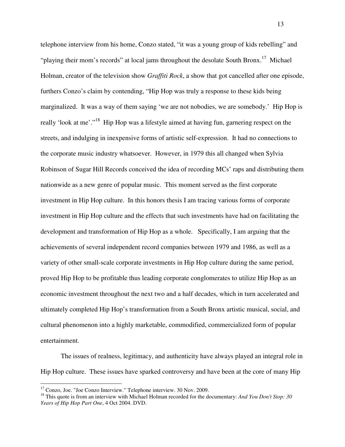telephone interview from his home, Conzo stated, "it was a young group of kids rebelling" and "playing their mom's records" at local jams throughout the desolate South Bronx.<sup>17</sup> Michael Holman, creator of the television show *Graffiti Rock*, a show that got cancelled after one episode, furthers Conzo's claim by contending, "Hip Hop was truly a response to these kids being marginalized. It was a way of them saying 'we are not nobodies, we are somebody.' Hip Hop is really 'look at me'."<sup>18</sup> Hip Hop was a lifestyle aimed at having fun, garnering respect on the streets, and indulging in inexpensive forms of artistic self-expression. It had no connections to the corporate music industry whatsoever. However, in 1979 this all changed when Sylvia Robinson of Sugar Hill Records conceived the idea of recording MCs' raps and distributing them nationwide as a new genre of popular music. This moment served as the first corporate investment in Hip Hop culture. In this honors thesis I am tracing various forms of corporate investment in Hip Hop culture and the effects that such investments have had on facilitating the development and transformation of Hip Hop as a whole. Specifically, I am arguing that the achievements of several independent record companies between 1979 and 1986, as well as a variety of other small-scale corporate investments in Hip Hop culture during the same period, proved Hip Hop to be profitable thus leading corporate conglomerates to utilize Hip Hop as an economic investment throughout the next two and a half decades, which in turn accelerated and ultimately completed Hip Hop's transformation from a South Bronx artistic musical, social, and cultural phenomenon into a highly marketable, commodified, commercialized form of popular entertainment.

The issues of realness, legitimacy, and authenticity have always played an integral role in Hip Hop culture. These issues have sparked controversy and have been at the core of many Hip

<sup>&</sup>lt;sup>17</sup> Conzo, Joe. "Joe Conzo Interview." Telephone interview. 30 Nov. 2009.

<sup>18</sup> This quote is from an interview with Michael Holman recorded for the documentary: *And You Don't Stop: 30 Years of Hip Hop Part One*, 4 Oct 2004. DVD.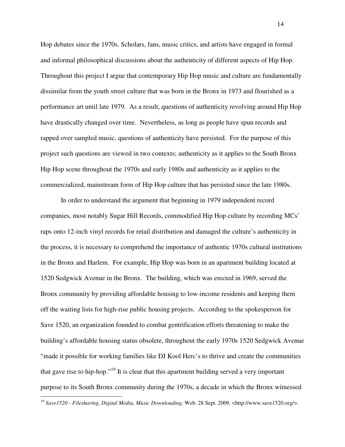Hop debates since the 1970s. Scholars, fans, music critics, and artists have engaged in formal and informal philosophical discussions about the authenticity of different aspects of Hip Hop. Throughout this project I argue that contemporary Hip Hop music and culture are fundamentally dissimilar from the youth street culture that was born in the Bronx in 1973 and flourished as a performance art until late 1979. As a result, questions of authenticity revolving around Hip Hop have drastically changed over time. Nevertheless, as long as people have spun records and rapped over sampled music, questions of authenticity have persisted. For the purpose of this project such questions are viewed in two contexts; authenticity as it applies to the South Bronx Hip Hop scene throughout the 1970s and early 1980s and authenticity as it applies to the commercialized, mainstream form of Hip Hop culture that has persisted since the late 1980s.

In order to understand the argument that beginning in 1979 independent record companies, most notably Sugar Hill Records, commodified Hip Hop culture by recording MCs' raps onto 12-inch vinyl records for retail distribution and damaged the culture's authenticity in the process, it is necessary to comprehend the importance of authentic 1970s cultural institutions in the Bronx and Harlem. For example, Hip Hop was born in an apartment building located at 1520 Sedgwick Avenue in the Bronx. The building, which was erected in 1969, served the Bronx community by providing affordable housing to low-income residents and keeping them off the waiting lists for high-rise public housing projects. According to the spokesperson for Save 1520, an organization founded to combat gentrification efforts threatening to make the building's affordable housing status obsolete, throughout the early 1970s 1520 Sedgwick Avenue "made it possible for working families like DJ Kool Herc's to thrive and create the communities that gave rise to hip-hop."<sup>19</sup> It is clear that this apartment building served a very important purpose to its South Bronx community during the 1970s, a decade in which the Bronx witnessed

<sup>19</sup> *Save1520 - Filesharing, Digital Media, Music Downloading*. Web. 28 Sept. 2009. <http://www.save1520.org/>.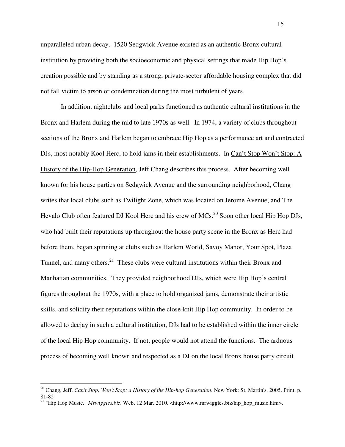unparalleled urban decay. 1520 Sedgwick Avenue existed as an authentic Bronx cultural institution by providing both the socioeconomic and physical settings that made Hip Hop's creation possible and by standing as a strong, private-sector affordable housing complex that did not fall victim to arson or condemnation during the most turbulent of years.

In addition, nightclubs and local parks functioned as authentic cultural institutions in the Bronx and Harlem during the mid to late 1970s as well. In 1974, a variety of clubs throughout sections of the Bronx and Harlem began to embrace Hip Hop as a performance art and contracted DJs, most notably Kool Herc, to hold jams in their establishments. In Can't Stop Won't Stop: A History of the Hip-Hop Generation, Jeff Chang describes this process. After becoming well known for his house parties on Sedgwick Avenue and the surrounding neighborhood, Chang writes that local clubs such as Twilight Zone, which was located on Jerome Avenue, and The Hevalo Club often featured DJ Kool Herc and his crew of  $MCs$ <sup>20</sup> Soon other local Hip Hop DJs, who had built their reputations up throughout the house party scene in the Bronx as Herc had before them, began spinning at clubs such as Harlem World, Savoy Manor, Your Spot, Plaza Tunnel, and many others.<sup>21</sup> These clubs were cultural institutions within their Bronx and Manhattan communities. They provided neighborhood DJs, which were Hip Hop's central figures throughout the 1970s, with a place to hold organized jams, demonstrate their artistic skills, and solidify their reputations within the close-knit Hip Hop community. In order to be allowed to deejay in such a cultural institution, DJs had to be established within the inner circle of the local Hip Hop community. If not, people would not attend the functions. The arduous process of becoming well known and respected as a DJ on the local Bronx house party circuit

<sup>20</sup> Chang, Jeff. *Can't Stop, Won't Stop: a History of the Hip-hop Generation*. New York: St. Martin's, 2005. Print, p. 81-82

<sup>&</sup>lt;sup>21</sup> "Hip Hop Music." *Mrwiggles.biz.* Web. 12 Mar. 2010. <http://www.mrwiggles.biz/hip\_hop\_music.htm>.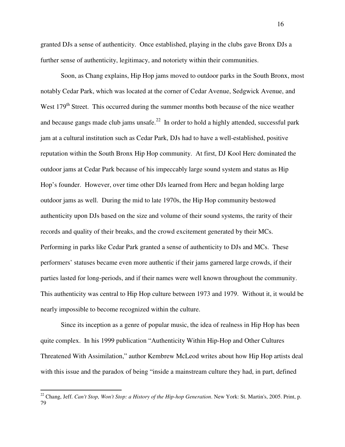granted DJs a sense of authenticity. Once established, playing in the clubs gave Bronx DJs a further sense of authenticity, legitimacy, and notoriety within their communities.

Soon, as Chang explains, Hip Hop jams moved to outdoor parks in the South Bronx, most notably Cedar Park, which was located at the corner of Cedar Avenue, Sedgwick Avenue, and West 179<sup>th</sup> Street. This occurred during the summer months both because of the nice weather and because gangs made club jams unsafe.<sup>22</sup> In order to hold a highly attended, successful park jam at a cultural institution such as Cedar Park, DJs had to have a well-established, positive reputation within the South Bronx Hip Hop community. At first, DJ Kool Herc dominated the outdoor jams at Cedar Park because of his impeccably large sound system and status as Hip Hop's founder. However, over time other DJs learned from Herc and began holding large outdoor jams as well. During the mid to late 1970s, the Hip Hop community bestowed authenticity upon DJs based on the size and volume of their sound systems, the rarity of their records and quality of their breaks, and the crowd excitement generated by their MCs. Performing in parks like Cedar Park granted a sense of authenticity to DJs and MCs. These performers' statuses became even more authentic if their jams garnered large crowds, if their parties lasted for long-periods, and if their names were well known throughout the community. This authenticity was central to Hip Hop culture between 1973 and 1979. Without it, it would be nearly impossible to become recognized within the culture.

Since its inception as a genre of popular music, the idea of realness in Hip Hop has been quite complex. In his 1999 publication "Authenticity Within Hip-Hop and Other Cultures Threatened With Assimilation," author Kembrew McLeod writes about how Hip Hop artists deal with this issue and the paradox of being "inside a mainstream culture they had, in part, defined

<sup>22</sup> Chang, Jeff. *Can't Stop, Won't Stop: a History of the Hip-hop Generation*. New York: St. Martin's, 2005. Print, p. 79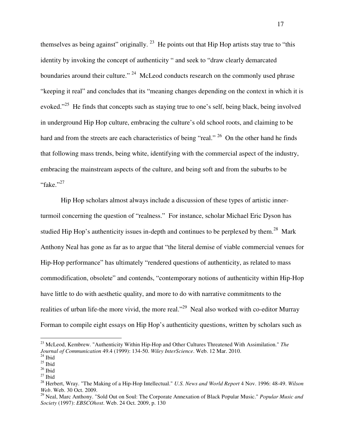themselves as being against" originally.  $^{23}$  He points out that Hip Hop artists stay true to "this identity by invoking the concept of authenticity " and seek to "draw clearly demarcated boundaries around their culture." <sup>24</sup> McLeod conducts research on the commonly used phrase "keeping it real" and concludes that its "meaning changes depending on the context in which it is evoked."<sup>25</sup> He finds that concepts such as staying true to one's self, being black, being involved in underground Hip Hop culture, embracing the culture's old school roots, and claiming to be hard and from the streets are each characteristics of being "real." <sup>26</sup> On the other hand he finds that following mass trends, being white, identifying with the commercial aspect of the industry, embracing the mainstream aspects of the culture, and being soft and from the suburbs to be "fake." $^{27}$ 

Hip Hop scholars almost always include a discussion of these types of artistic innerturmoil concerning the question of "realness." For instance, scholar Michael Eric Dyson has studied Hip Hop's authenticity issues in-depth and continues to be perplexed by them.<sup>28</sup> Mark Anthony Neal has gone as far as to argue that "the literal demise of viable commercial venues for Hip-Hop performance" has ultimately "rendered questions of authenticity, as related to mass commodification, obsolete" and contends, "contemporary notions of authenticity within Hip-Hop have little to do with aesthetic quality, and more to do with narrative commitments to the realities of urban life-the more vivid, the more real."<sup>29</sup> Neal also worked with co-editor Murray Forman to compile eight essays on Hip Hop's authenticity questions, written by scholars such as

<sup>23</sup> McLeod, Kembrew. "Authenticity Within Hip-Hop and Other Cultures Threatened With Assimilation." *The Journal of Communication* 49.4 (1999): 134-50. *Wiley InterScience*. Web. 12 Mar. 2010.

 $24$  Ibid

 $^{25}$  Ibid

 $26$  Ibid

 $27$  Ibid

<sup>28</sup> Herbert, Wray. "The Making of a Hip-Hop Intellectual." *U.S. News and World Report* 4 Nov. 1996: 48-49. *Wilson Web*. Web. 30 Oct. 2009.

<sup>29</sup> Neal, Marc Anthony. "Sold Out on Soul: The Corporate Annexation of Black Popular Music." *Popular Music and Society* (1997): *EBSCOhost*. Web. 24 Oct. 2009, p. 130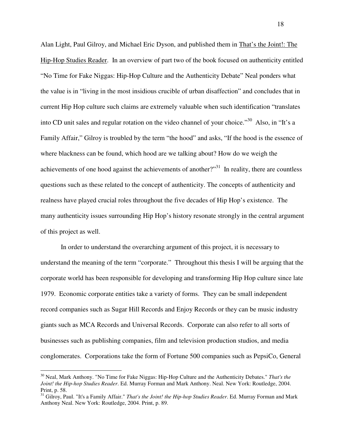Alan Light, Paul Gilroy, and Michael Eric Dyson, and published them in That's the Joint!: The Hip-Hop Studies Reader. In an overview of part two of the book focused on authenticity entitled "No Time for Fake Niggas: Hip-Hop Culture and the Authenticity Debate" Neal ponders what the value is in "living in the most insidious crucible of urban disaffection" and concludes that in current Hip Hop culture such claims are extremely valuable when such identification "translates into CD unit sales and regular rotation on the video channel of your choice."<sup>30</sup> Also, in "It's a Family Affair," Gilroy is troubled by the term "the hood" and asks, "If the hood is the essence of where blackness can be found, which hood are we talking about? How do we weigh the achievements of one hood against the achievements of another?"<sup>31</sup> In reality, there are countless questions such as these related to the concept of authenticity. The concepts of authenticity and realness have played crucial roles throughout the five decades of Hip Hop's existence. The many authenticity issues surrounding Hip Hop's history resonate strongly in the central argument of this project as well.

In order to understand the overarching argument of this project, it is necessary to understand the meaning of the term "corporate." Throughout this thesis I will be arguing that the corporate world has been responsible for developing and transforming Hip Hop culture since late 1979. Economic corporate entities take a variety of forms. They can be small independent record companies such as Sugar Hill Records and Enjoy Records or they can be music industry giants such as MCA Records and Universal Records. Corporate can also refer to all sorts of businesses such as publishing companies, film and television production studios, and media conglomerates. Corporations take the form of Fortune 500 companies such as PepsiCo, General

<sup>30</sup> Neal, Mark Anthony. "No Time for Fake Niggas: Hip-Hop Culture and the Authenticity Debates." *That's the Joint! the Hip-hop Studies Reader*. Ed. Murray Forman and Mark Anthony. Neal. New York: Routledge, 2004. Print, p. 58.

<sup>&</sup>lt;sup>31</sup> Gilrov. Paul. "It's a Family Affair." *That's the Joint! the Hip-hop Studies Reader*. Ed. Murray Forman and Mark Anthony Neal. New York: Routledge, 2004. Print, p. 89.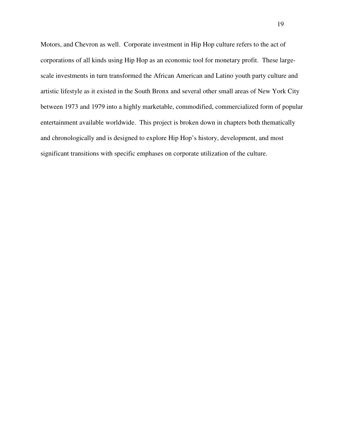Motors, and Chevron as well. Corporate investment in Hip Hop culture refers to the act of corporations of all kinds using Hip Hop as an economic tool for monetary profit. These largescale investments in turn transformed the African American and Latino youth party culture and artistic lifestyle as it existed in the South Bronx and several other small areas of New York City between 1973 and 1979 into a highly marketable, commodified, commercialized form of popular entertainment available worldwide. This project is broken down in chapters both thematically and chronologically and is designed to explore Hip Hop's history, development, and most significant transitions with specific emphases on corporate utilization of the culture.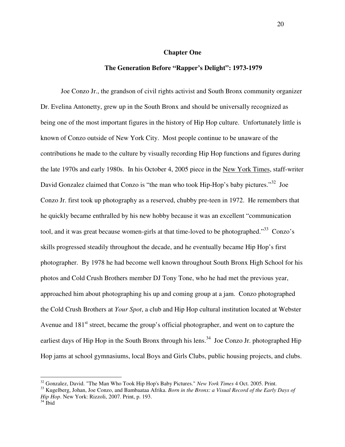## **Chapter One**

## **The Generation Before "Rapper's Delight": 1973-1979**

 Joe Conzo Jr., the grandson of civil rights activist and South Bronx community organizer Dr. Evelina Antonetty, grew up in the South Bronx and should be universally recognized as being one of the most important figures in the history of Hip Hop culture. Unfortunately little is known of Conzo outside of New York City. Most people continue to be unaware of the contributions he made to the culture by visually recording Hip Hop functions and figures during the late 1970s and early 1980s. In his October 4, 2005 piece in the New York Times, staff-writer David Gonzalez claimed that Conzo is "the man who took Hip-Hop's baby pictures."<sup>32</sup> Joe Conzo Jr. first took up photography as a reserved, chubby pre-teen in 1972. He remembers that he quickly became enthralled by his new hobby because it was an excellent "communication tool, and it was great because women-girls at that time-loved to be photographed."<sup>33</sup> Conzo's skills progressed steadily throughout the decade, and he eventually became Hip Hop's first photographer. By 1978 he had become well known throughout South Bronx High School for his photos and Cold Crush Brothers member DJ Tony Tone, who he had met the previous year, approached him about photographing his up and coming group at a jam. Conzo photographed the Cold Crush Brothers at *Your Spot*, a club and Hip Hop cultural institution located at Webster Avenue and  $181<sup>st</sup>$  street, became the group's official photographer, and went on to capture the earliest days of Hip Hop in the South Bronx through his lens.<sup>34</sup> Joe Conzo Jr. photographed Hip Hop jams at school gymnasiums, local Boys and Girls Clubs, public housing projects, and clubs.

<sup>32</sup> Gonzalez, David. "The Man Who Took Hip Hop's Baby Pictures." *New York Times* 4 Oct. 2005. Print.

<sup>33</sup> Kugelberg, Johan, Joe Conzo, and Bambaataa Afrika. *Born in the Bronx: a Visual Record of the Early Days of Hip Hop*. New York: Rizzoli, 2007. Print, p. 193.

 $34$  Ibid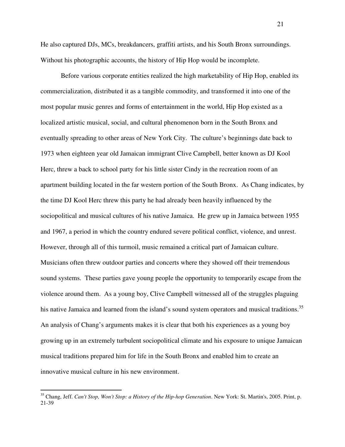He also captured DJs, MCs, breakdancers, graffiti artists, and his South Bronx surroundings. Without his photographic accounts, the history of Hip Hop would be incomplete.

 Before various corporate entities realized the high marketability of Hip Hop, enabled its commercialization, distributed it as a tangible commodity, and transformed it into one of the most popular music genres and forms of entertainment in the world, Hip Hop existed as a localized artistic musical, social, and cultural phenomenon born in the South Bronx and eventually spreading to other areas of New York City. The culture's beginnings date back to 1973 when eighteen year old Jamaican immigrant Clive Campbell, better known as DJ Kool Herc, threw a back to school party for his little sister Cindy in the recreation room of an apartment building located in the far western portion of the South Bronx. As Chang indicates, by the time DJ Kool Herc threw this party he had already been heavily influenced by the sociopolitical and musical cultures of his native Jamaica. He grew up in Jamaica between 1955 and 1967, a period in which the country endured severe political conflict, violence, and unrest. However, through all of this turmoil, music remained a critical part of Jamaican culture. Musicians often threw outdoor parties and concerts where they showed off their tremendous sound systems. These parties gave young people the opportunity to temporarily escape from the violence around them. As a young boy, Clive Campbell witnessed all of the struggles plaguing his native Jamaica and learned from the island's sound system operators and musical traditions.<sup>35</sup> An analysis of Chang's arguments makes it is clear that both his experiences as a young boy growing up in an extremely turbulent sociopolitical climate and his exposure to unique Jamaican musical traditions prepared him for life in the South Bronx and enabled him to create an innovative musical culture in his new environment.

<sup>35</sup> Chang, Jeff. *Can't Stop, Won't Stop: a History of the Hip-hop Generation*. New York: St. Martin's, 2005. Print, p. 21-39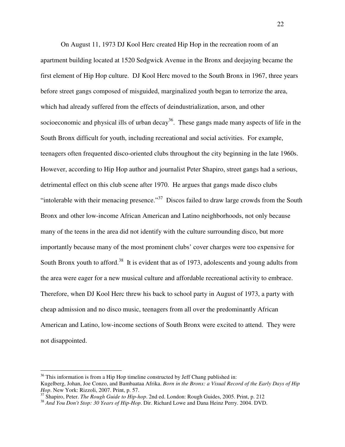On August 11, 1973 DJ Kool Herc created Hip Hop in the recreation room of an apartment building located at 1520 Sedgwick Avenue in the Bronx and deejaying became the first element of Hip Hop culture. DJ Kool Herc moved to the South Bronx in 1967, three years before street gangs composed of misguided, marginalized youth began to terrorize the area, which had already suffered from the effects of deindustrialization, arson, and other socioeconomic and physical ills of urban decay<sup>36</sup>. These gangs made many aspects of life in the South Bronx difficult for youth, including recreational and social activities. For example, teenagers often frequented disco-oriented clubs throughout the city beginning in the late 1960s. However, according to Hip Hop author and journalist Peter Shapiro, street gangs had a serious, detrimental effect on this club scene after 1970. He argues that gangs made disco clubs "intolerable with their menacing presence."<sup>37</sup> Discos failed to draw large crowds from the South Bronx and other low-income African American and Latino neighborhoods, not only because many of the teens in the area did not identify with the culture surrounding disco, but more importantly because many of the most prominent clubs' cover charges were too expensive for South Bronx youth to afford.<sup>38</sup> It is evident that as of 1973, adolescents and young adults from the area were eager for a new musical culture and affordable recreational activity to embrace. Therefore, when DJ Kool Herc threw his back to school party in August of 1973, a party with cheap admission and no disco music, teenagers from all over the predominantly African American and Latino, low-income sections of South Bronx were excited to attend. They were not disappointed.

 $36$  This information is from a Hip Hop timeline constructed by Jeff Chang published in:

Kugelberg, Johan, Joe Conzo, and Bambaataa Afrika. *Born in the Bronx: a Visual Record of the Early Days of Hip Hop*. New York: Rizzoli, 2007. Print, p. 57.

<sup>&</sup>lt;sup>37</sup> Shapiro, Peter. *The Rough Guide to Hip-hop*. 2nd ed. London: Rough Guides, 2005. Print, p. 212

<sup>38</sup> *And You Don't Stop: 30 Years of Hip-Hop*. Dir. Richard Lowe and Dana Heinz Perry. 2004. DVD.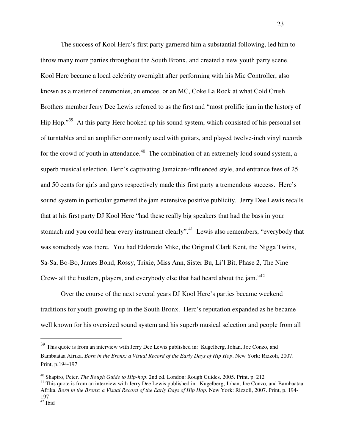The success of Kool Herc's first party garnered him a substantial following, led him to throw many more parties throughout the South Bronx, and created a new youth party scene. Kool Herc became a local celebrity overnight after performing with his Mic Controller, also known as a master of ceremonies, an emcee, or an MC, Coke La Rock at what Cold Crush Brothers member Jerry Dee Lewis referred to as the first and "most prolific jam in the history of Hip Hop."<sup>39</sup> At this party Herc hooked up his sound system, which consisted of his personal set of turntables and an amplifier commonly used with guitars, and played twelve-inch vinyl records for the crowd of youth in attendance.<sup>40</sup> The combination of an extremely loud sound system, a superb musical selection, Herc's captivating Jamaican-influenced style, and entrance fees of 25 and 50 cents for girls and guys respectively made this first party a tremendous success. Herc's sound system in particular garnered the jam extensive positive publicity. Jerry Dee Lewis recalls that at his first party DJ Kool Herc "had these really big speakers that had the bass in your stomach and you could hear every instrument clearly".<sup>41</sup> Lewis also remembers, "everybody that was somebody was there. You had Eldorado Mike, the Original Clark Kent, the Nigga Twins, Sa-Sa, Bo-Bo, James Bond, Rossy, Trixie, Miss Ann, Sister Bu, Li'l Bit, Phase 2, The Nine Crew- all the hustlers, players, and everybody else that had heard about the jam." $42$ 

 Over the course of the next several years DJ Kool Herc's parties became weekend traditions for youth growing up in the South Bronx. Herc's reputation expanded as he became well known for his oversized sound system and his superb musical selection and people from all

<sup>&</sup>lt;sup>39</sup> This quote is from an interview with Jerry Dee Lewis published in: Kugelberg, Johan, Joe Conzo, and Bambaataa Afrika. *Born in the Bronx: a Visual Record of the Early Days of Hip Hop*. New York: Rizzoli, 2007. Print, p.194-197

<sup>40</sup> Shapiro, Peter. *The Rough Guide to Hip-hop*. 2nd ed. London: Rough Guides, 2005. Print, p. 212

 $41$  This quote is from an interview with Jerry Dee Lewis published in: Kugelberg, Johan, Joe Conzo, and Bambaataa Afrika. *Born in the Bronx: a Visual Record of the Early Days of Hip Hop*. New York: Rizzoli, 2007. Print, p. 194- 197

 $^{\rm 42}$  Ibid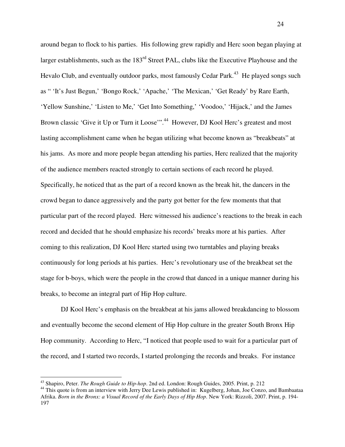around began to flock to his parties. His following grew rapidly and Herc soon began playing at larger establishments, such as the 183<sup>rd</sup> Street PAL, clubs like the Executive Playhouse and the Hevalo Club, and eventually outdoor parks, most famously Cedar Park.<sup>43</sup> He played songs such as " 'It's Just Begun,' 'Bongo Rock,' 'Apache,' 'The Mexican,' 'Get Ready' by Rare Earth, 'Yellow Sunshine,' 'Listen to Me,' 'Get Into Something,' 'Voodoo,' 'Hijack,' and the James Brown classic 'Give it Up or Turn it Loose'".<sup>44</sup> However, DJ Kool Herc's greatest and most lasting accomplishment came when he began utilizing what become known as "breakbeats" at his jams. As more and more people began attending his parties, Herc realized that the majority of the audience members reacted strongly to certain sections of each record he played. Specifically, he noticed that as the part of a record known as the break hit, the dancers in the crowd began to dance aggressively and the party got better for the few moments that that particular part of the record played. Herc witnessed his audience's reactions to the break in each record and decided that he should emphasize his records' breaks more at his parties. After coming to this realization, DJ Kool Herc started using two turntables and playing breaks continuously for long periods at his parties. Herc's revolutionary use of the breakbeat set the stage for b-boys, which were the people in the crowd that danced in a unique manner during his breaks, to become an integral part of Hip Hop culture.

 DJ Kool Herc's emphasis on the breakbeat at his jams allowed breakdancing to blossom and eventually become the second element of Hip Hop culture in the greater South Bronx Hip Hop community. According to Herc, "I noticed that people used to wait for a particular part of the record, and I started two records, I started prolonging the records and breaks. For instance

<sup>43</sup> Shapiro, Peter. *The Rough Guide to Hip-hop*. 2nd ed. London: Rough Guides, 2005. Print, p. 212

<sup>&</sup>lt;sup>44</sup> This quote is from an interview with Jerry Dee Lewis published in: Kugelberg, Johan, Joe Conzo, and Bambaataa Afrika. *Born in the Bronx: a Visual Record of the Early Days of Hip Hop*. New York: Rizzoli, 2007. Print, p. 194- 197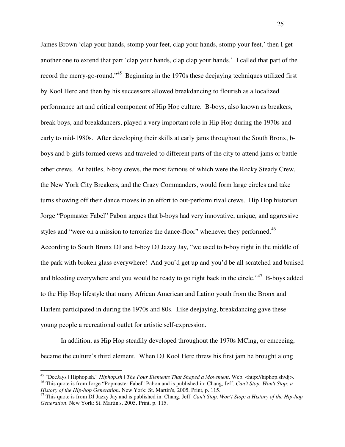James Brown 'clap your hands, stomp your feet, clap your hands, stomp your feet,' then I get another one to extend that part 'clap your hands, clap clap your hands.' I called that part of the record the merry-go-round."<sup>45</sup> Beginning in the 1970s these deejaying techniques utilized first by Kool Herc and then by his successors allowed breakdancing to flourish as a localized performance art and critical component of Hip Hop culture. B-boys, also known as breakers, break boys, and breakdancers, played a very important role in Hip Hop during the 1970s and early to mid-1980s. After developing their skills at early jams throughout the South Bronx, bboys and b-girls formed crews and traveled to different parts of the city to attend jams or battle other crews. At battles, b-boy crews, the most famous of which were the Rocky Steady Crew, the New York City Breakers, and the Crazy Commanders, would form large circles and take turns showing off their dance moves in an effort to out-perform rival crews. Hip Hop historian Jorge "Popmaster Fabel" Pabon argues that b-boys had very innovative, unique, and aggressive styles and "were on a mission to terrorize the dance-floor" whenever they performed. $46$ According to South Bronx DJ and b-boy DJ Jazzy Jay, "we used to b-boy right in the middle of the park with broken glass everywhere! And you'd get up and you'd be all scratched and bruised and bleeding everywhere and you would be ready to go right back in the circle."<sup>47</sup> B-boys added to the Hip Hop lifestyle that many African American and Latino youth from the Bronx and Harlem participated in during the 1970s and 80s. Like deejaying, breakdancing gave these young people a recreational outlet for artistic self-expression.

 In addition, as Hip Hop steadily developed throughout the 1970s MCing, or emceeing, became the culture's third element. When DJ Kool Herc threw his first jam he brought along

<sup>45</sup> "DeeJays | Hiphop.sh." *Hiphop.sh | The Four Elements That Shaped a Movement*. Web. <http://hiphop.sh/dj>. <sup>46</sup> This quote is from Jorge "Popmaster Fabel" Pabon and is published in: Chang, Jeff. *Can't Stop, Won't Stop: a History of the Hip-hop Generation*. New York: St. Martin's, 2005. Print, p. 115.

<sup>47</sup> This quote is from DJ Jazzy Jay and is published in: Chang, Jeff. *Can't Stop, Won't Stop: a History of the Hip-hop Generation*. New York: St. Martin's, 2005. Print, p. 115.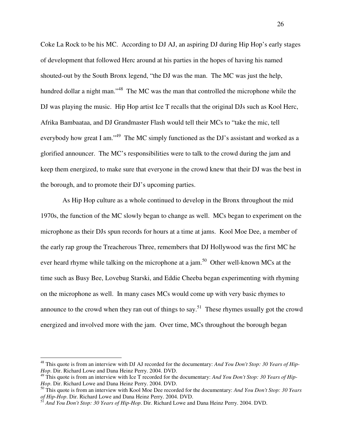Coke La Rock to be his MC. According to DJ AJ, an aspiring DJ during Hip Hop's early stages of development that followed Herc around at his parties in the hopes of having his named shouted-out by the South Bronx legend, "the DJ was the man. The MC was just the help, hundred dollar a night man."<sup>48</sup> The MC was the man that controlled the microphone while the DJ was playing the music. Hip Hop artist Ice T recalls that the original DJs such as Kool Herc, Afrika Bambaataa, and DJ Grandmaster Flash would tell their MCs to "take the mic, tell everybody how great I am."<sup>49</sup> The MC simply functioned as the DJ's assistant and worked as a glorified announcer. The MC's responsibilities were to talk to the crowd during the jam and keep them energized, to make sure that everyone in the crowd knew that their DJ was the best in the borough, and to promote their DJ's upcoming parties.

 As Hip Hop culture as a whole continued to develop in the Bronx throughout the mid 1970s, the function of the MC slowly began to change as well. MCs began to experiment on the microphone as their DJs spun records for hours at a time at jams. Kool Moe Dee, a member of the early rap group the Treacherous Three, remembers that DJ Hollywood was the first MC he ever heard rhyme while talking on the microphone at a jam.<sup>50</sup> Other well-known MCs at the time such as Busy Bee, Lovebug Starski, and Eddie Cheeba began experimenting with rhyming on the microphone as well. In many cases MCs would come up with very basic rhymes to announce to the crowd when they ran out of things to say.<sup>51</sup> These rhymes usually got the crowd energized and involved more with the jam. Over time, MCs throughout the borough began

<sup>48</sup> This quote is from an interview with DJ AJ recorded for the documentary: *And You Don't Stop: 30 Years of Hip-Hop*. Dir. Richard Lowe and Dana Heinz Perry. 2004. DVD.

<sup>49</sup> This quote is from an interview with Ice T recorded for the documentary: *And You Don't Stop: 30 Years of Hip-Hop*. Dir. Richard Lowe and Dana Heinz Perry. 2004. DVD.

<sup>50</sup> This quote is from an interview with Kool Moe Dee recorded for the documentary: *And You Don't Stop: 30 Years of Hip-Hop*. Dir. Richard Lowe and Dana Heinz Perry. 2004. DVD.

<sup>51</sup> *And You Don't Stop: 30 Years of Hip-Hop*. Dir. Richard Lowe and Dana Heinz Perry. 2004. DVD.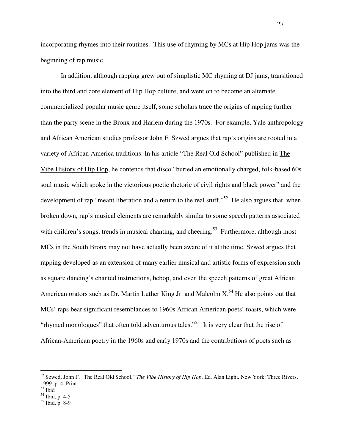incorporating rhymes into their routines. This use of rhyming by MCs at Hip Hop jams was the beginning of rap music.

In addition, although rapping grew out of simplistic MC rhyming at DJ jams, transitioned into the third and core element of Hip Hop culture, and went on to become an alternate commercialized popular music genre itself, some scholars trace the origins of rapping further than the party scene in the Bronx and Harlem during the 1970s. For example, Yale anthropology and African American studies professor John F. Szwed argues that rap's origins are rooted in a variety of African America traditions. In his article "The Real Old School" published in The Vibe History of Hip Hop, he contends that disco "buried an emotionally charged, folk-based 60s soul music which spoke in the victorious poetic rhetoric of civil rights and black power" and the development of rap "meant liberation and a return to the real stuff."<sup>52</sup> He also argues that, when broken down, rap's musical elements are remarkably similar to some speech patterns associated with children's songs, trends in musical chanting, and cheering.<sup>53</sup> Furthermore, although most MCs in the South Bronx may not have actually been aware of it at the time, Szwed argues that rapping developed as an extension of many earlier musical and artistic forms of expression such as square dancing's chanted instructions, bebop, and even the speech patterns of great African American orators such as Dr. Martin Luther King Jr. and Malcolm  $X<sup>54</sup>$  He also points out that MCs' raps bear significant resemblances to 1960s African American poets' toasts, which were "rhymed monologues" that often told adventurous tales."<sup>55</sup> It is very clear that the rise of African-American poetry in the 1960s and early 1970s and the contributions of poets such as

<sup>52</sup> Szwed, John F. "The Real Old School." *The Vibe History of Hip Hop*. Ed. Alan Light. New York: Three Rivers, 1999. p. 4. Print.

 $53$  Ibid

 $54$  Ibid, p. 4-5

<sup>55</sup> Ibid, p. 8-9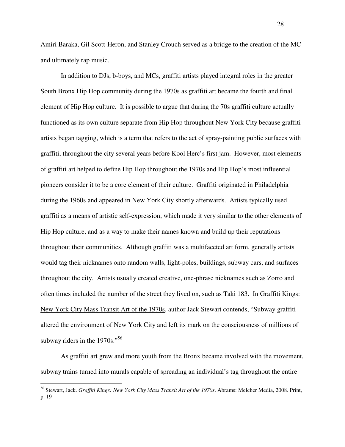Amiri Baraka, Gil Scott-Heron, and Stanley Crouch served as a bridge to the creation of the MC and ultimately rap music.

In addition to DJs, b-boys, and MCs, graffiti artists played integral roles in the greater South Bronx Hip Hop community during the 1970s as graffiti art became the fourth and final element of Hip Hop culture. It is possible to argue that during the 70s graffiti culture actually functioned as its own culture separate from Hip Hop throughout New York City because graffiti artists began tagging, which is a term that refers to the act of spray-painting public surfaces with graffiti, throughout the city several years before Kool Herc's first jam. However, most elements of graffiti art helped to define Hip Hop throughout the 1970s and Hip Hop's most influential pioneers consider it to be a core element of their culture. Graffiti originated in Philadelphia during the 1960s and appeared in New York City shortly afterwards. Artists typically used graffiti as a means of artistic self-expression, which made it very similar to the other elements of Hip Hop culture, and as a way to make their names known and build up their reputations throughout their communities. Although graffiti was a multifaceted art form, generally artists would tag their nicknames onto random walls, light-poles, buildings, subway cars, and surfaces throughout the city. Artists usually created creative, one-phrase nicknames such as Zorro and often times included the number of the street they lived on, such as Taki 183. In Graffiti Kings: New York City Mass Transit Art of the 1970s, author Jack Stewart contends, "Subway graffiti altered the environment of New York City and left its mark on the consciousness of millions of subway riders in the  $1970s$ ."<sup>56</sup>

As graffiti art grew and more youth from the Bronx became involved with the movement, subway trains turned into murals capable of spreading an individual's tag throughout the entire

<sup>56</sup> Stewart, Jack. *Graffiti Kings: New York City Mass Transit Art of the 1970s*. Abrams: Melcher Media, 2008. Print, p. 19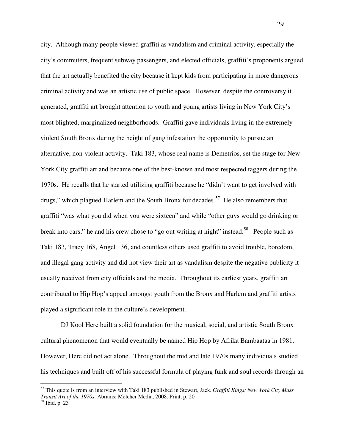city. Although many people viewed graffiti as vandalism and criminal activity, especially the city's commuters, frequent subway passengers, and elected officials, graffiti's proponents argued that the art actually benefited the city because it kept kids from participating in more dangerous criminal activity and was an artistic use of public space. However, despite the controversy it generated, graffiti art brought attention to youth and young artists living in New York City's most blighted, marginalized neighborhoods. Graffiti gave individuals living in the extremely violent South Bronx during the height of gang infestation the opportunity to pursue an alternative, non-violent activity. Taki 183, whose real name is Demetrios, set the stage for New York City graffiti art and became one of the best-known and most respected taggers during the 1970s. He recalls that he started utilizing graffiti because he "didn't want to get involved with drugs," which plagued Harlem and the South Bronx for decades.<sup>57</sup> He also remembers that graffiti "was what you did when you were sixteen" and while "other guys would go drinking or break into cars," he and his crew chose to "go out writing at night" instead.<sup>58</sup> People such as Taki 183, Tracy 168, Angel 136, and countless others used graffiti to avoid trouble, boredom, and illegal gang activity and did not view their art as vandalism despite the negative publicity it usually received from city officials and the media. Throughout its earliest years, graffiti art contributed to Hip Hop's appeal amongst youth from the Bronx and Harlem and graffiti artists played a significant role in the culture's development.

 DJ Kool Herc built a solid foundation for the musical, social, and artistic South Bronx cultural phenomenon that would eventually be named Hip Hop by Afrika Bambaataa in 1981. However, Herc did not act alone. Throughout the mid and late 1970s many individuals studied his techniques and built off of his successful formula of playing funk and soul records through an

<sup>57</sup> This quote is from an interview with Taki 183 published in Stewart, Jack. *Graffiti Kings: New York City Mass Transit Art of the 1970s*. Abrams: Melcher Media, 2008. Print, p. 20

<sup>58</sup> Ibid, p. 23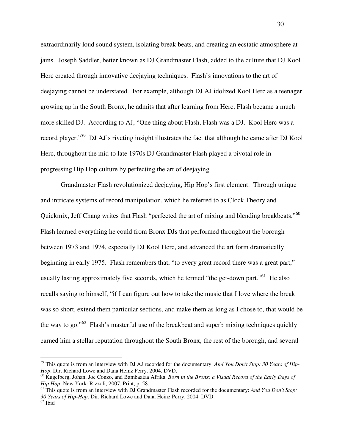extraordinarily loud sound system, isolating break beats, and creating an ecstatic atmosphere at jams. Joseph Saddler, better known as DJ Grandmaster Flash, added to the culture that DJ Kool Herc created through innovative deejaying techniques. Flash's innovations to the art of deejaying cannot be understated. For example, although DJ AJ idolized Kool Herc as a teenager growing up in the South Bronx, he admits that after learning from Herc, Flash became a much more skilled DJ. According to AJ, "One thing about Flash, Flash was a DJ. Kool Herc was a record player."<sup>59</sup> DJ AJ's riveting insight illustrates the fact that although he came after DJ Kool Herc, throughout the mid to late 1970s DJ Grandmaster Flash played a pivotal role in progressing Hip Hop culture by perfecting the art of deejaying.

 Grandmaster Flash revolutionized deejaying, Hip Hop's first element. Through unique and intricate systems of record manipulation, which he referred to as Clock Theory and Quickmix, Jeff Chang writes that Flash "perfected the art of mixing and blending breakbeats."<sup>60</sup> Flash learned everything he could from Bronx DJs that performed throughout the borough between 1973 and 1974, especially DJ Kool Herc, and advanced the art form dramatically beginning in early 1975. Flash remembers that, "to every great record there was a great part," usually lasting approximately five seconds, which he termed "the get-down part."<sup>61</sup> He also recalls saying to himself, "if I can figure out how to take the music that I love where the break was so short, extend them particular sections, and make them as long as I chose to, that would be the way to go."<sup>62</sup> Flash's masterful use of the breakbeat and superb mixing techniques quickly earned him a stellar reputation throughout the South Bronx, the rest of the borough, and several

<sup>59</sup> This quote is from an interview with DJ AJ recorded for the documentary: *And You Don't Stop: 30 Years of Hip-Hop*. Dir. Richard Lowe and Dana Heinz Perry. 2004. DVD.

<sup>60</sup> Kugelberg, Johan, Joe Conzo, and Bambaataa Afrika. *Born in the Bronx: a Visual Record of the Early Days of Hip Hop*. New York: Rizzoli, 2007. Print, p. 58.

<sup>61</sup> This quote is from an interview with DJ Grandmaster Flash recorded for the documentary: *And You Don't Stop: 30 Years of Hip-Hop*. Dir. Richard Lowe and Dana Heinz Perry. 2004. DVD.  $62$  Ibid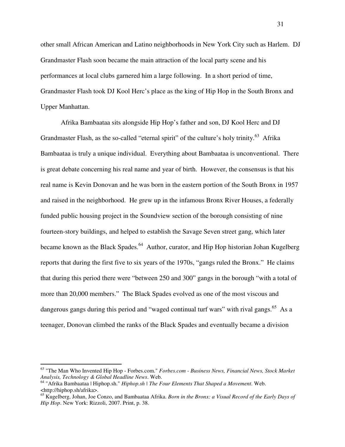other small African American and Latino neighborhoods in New York City such as Harlem. DJ Grandmaster Flash soon became the main attraction of the local party scene and his performances at local clubs garnered him a large following. In a short period of time, Grandmaster Flash took DJ Kool Herc's place as the king of Hip Hop in the South Bronx and Upper Manhattan.

 Afrika Bambaataa sits alongside Hip Hop's father and son, DJ Kool Herc and DJ Grandmaster Flash, as the so-called "eternal spirit" of the culture's holy trinity.<sup>63</sup> Afrika Bambaataa is truly a unique individual. Everything about Bambaataa is unconventional. There is great debate concerning his real name and year of birth. However, the consensus is that his real name is Kevin Donovan and he was born in the eastern portion of the South Bronx in 1957 and raised in the neighborhood. He grew up in the infamous Bronx River Houses, a federally funded public housing project in the Soundview section of the borough consisting of nine fourteen-story buildings, and helped to establish the Savage Seven street gang, which later became known as the Black Spades.<sup>64</sup> Author, curator, and Hip Hop historian Johan Kugelberg reports that during the first five to six years of the 1970s, "gangs ruled the Bronx." He claims that during this period there were "between 250 and 300" gangs in the borough "with a total of more than 20,000 members." The Black Spades evolved as one of the most viscous and dangerous gangs during this period and "waged continual turf wars" with rival gangs.<sup>65</sup> As a teenager, Donovan climbed the ranks of the Black Spades and eventually became a division

<sup>63</sup> "The Man Who Invented Hip Hop - Forbes.com." *Forbes.com - Business News, Financial News, Stock Market Analysis, Technology & Global Headline News*. Web.

<sup>64</sup> "Afrika Bambaataa | Hiphop.sh." *Hiphop.sh | The Four Elements That Shaped a Movement*. Web. <http://hiphop.sh/afrika>.

<sup>65</sup> Kugelberg, Johan, Joe Conzo, and Bambaataa Afrika. *Born in the Bronx: a Visual Record of the Early Days of Hip Hop*. New York: Rizzoli, 2007. Print, p. 38.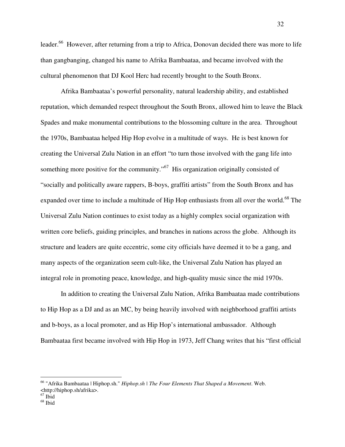leader.<sup>66</sup> However, after returning from a trip to Africa, Donovan decided there was more to life than gangbanging, changed his name to Afrika Bambaataa, and became involved with the cultural phenomenon that DJ Kool Herc had recently brought to the South Bronx.

 Afrika Bambaataa's powerful personality, natural leadership ability, and established reputation, which demanded respect throughout the South Bronx, allowed him to leave the Black Spades and make monumental contributions to the blossoming culture in the area. Throughout the 1970s, Bambaataa helped Hip Hop evolve in a multitude of ways. He is best known for creating the Universal Zulu Nation in an effort "to turn those involved with the gang life into something more positive for the community."<sup>67</sup> His organization originally consisted of "socially and politically aware rappers, B-boys, graffiti artists" from the South Bronx and has expanded over time to include a multitude of Hip Hop enthusiasts from all over the world.<sup>68</sup> The Universal Zulu Nation continues to exist today as a highly complex social organization with written core beliefs, guiding principles, and branches in nations across the globe. Although its structure and leaders are quite eccentric, some city officials have deemed it to be a gang, and many aspects of the organization seem cult-like, the Universal Zulu Nation has played an integral role in promoting peace, knowledge, and high-quality music since the mid 1970s.

In addition to creating the Universal Zulu Nation, Afrika Bambaataa made contributions to Hip Hop as a DJ and as an MC, by being heavily involved with neighborhood graffiti artists and b-boys, as a local promoter, and as Hip Hop's international ambassador. Although Bambaataa first became involved with Hip Hop in 1973, Jeff Chang writes that his "first official

<sup>66</sup> "Afrika Bambaataa | Hiphop.sh." *Hiphop.sh | The Four Elements That Shaped a Movement*. Web.

<sup>&</sup>lt;http://hiphop.sh/afrika>.

<sup>67</sup> Ibid

<sup>68</sup> Ibid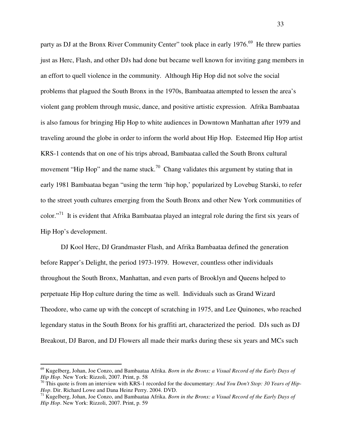party as DJ at the Bronx River Community Center" took place in early 1976.<sup>69</sup> He threw parties just as Herc, Flash, and other DJs had done but became well known for inviting gang members in an effort to quell violence in the community. Although Hip Hop did not solve the social problems that plagued the South Bronx in the 1970s, Bambaataa attempted to lessen the area's violent gang problem through music, dance, and positive artistic expression. Afrika Bambaataa is also famous for bringing Hip Hop to white audiences in Downtown Manhattan after 1979 and traveling around the globe in order to inform the world about Hip Hop. Esteemed Hip Hop artist KRS-1 contends that on one of his trips abroad, Bambaataa called the South Bronx cultural movement "Hip Hop" and the name stuck.<sup>70</sup> Chang validates this argument by stating that in early 1981 Bambaataa began "using the term 'hip hop,' popularized by Lovebug Starski, to refer to the street youth cultures emerging from the South Bronx and other New York communities of color."<sup>71</sup> It is evident that Afrika Bambaataa played an integral role during the first six years of Hip Hop's development.

DJ Kool Herc, DJ Grandmaster Flash, and Afrika Bambaataa defined the generation before Rapper's Delight, the period 1973-1979. However, countless other individuals throughout the South Bronx, Manhattan, and even parts of Brooklyn and Queens helped to perpetuate Hip Hop culture during the time as well. Individuals such as Grand Wizard Theodore, who came up with the concept of scratching in 1975, and Lee Quinones, who reached legendary status in the South Bronx for his graffiti art, characterized the period. DJs such as DJ Breakout, DJ Baron, and DJ Flowers all made their marks during these six years and MCs such

<sup>69</sup> Kugelberg, Johan, Joe Conzo, and Bambaataa Afrika. *Born in the Bronx: a Visual Record of the Early Days of Hip Hop*. New York: Rizzoli, 2007. Print, p. 58

<sup>70</sup> This quote is from an interview with KRS-1 recorded for the documentary: *And You Don't Stop: 30 Years of Hip-Hop*. Dir. Richard Lowe and Dana Heinz Perry. 2004. DVD.

<sup>71</sup> Kugelberg, Johan, Joe Conzo, and Bambaataa Afrika. *Born in the Bronx: a Visual Record of the Early Days of Hip Hop*. New York: Rizzoli, 2007. Print, p. 59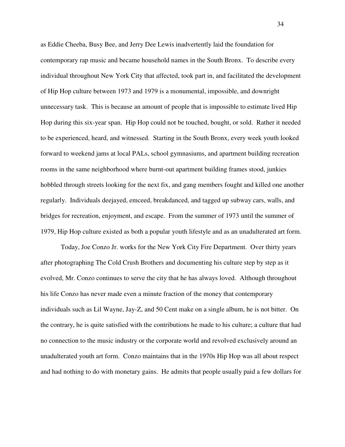as Eddie Cheeba, Busy Bee, and Jerry Dee Lewis inadvertently laid the foundation for contemporary rap music and became household names in the South Bronx. To describe every individual throughout New York City that affected, took part in, and facilitated the development of Hip Hop culture between 1973 and 1979 is a monumental, impossible, and downright unnecessary task. This is because an amount of people that is impossible to estimate lived Hip Hop during this six-year span. Hip Hop could not be touched, bought, or sold. Rather it needed to be experienced, heard, and witnessed. Starting in the South Bronx, every week youth looked forward to weekend jams at local PALs, school gymnasiums, and apartment building recreation rooms in the same neighborhood where burnt-out apartment building frames stood, junkies hobbled through streets looking for the next fix, and gang members fought and killed one another regularly. Individuals deejayed, emceed, breakdanced, and tagged up subway cars, walls, and bridges for recreation, enjoyment, and escape. From the summer of 1973 until the summer of 1979, Hip Hop culture existed as both a popular youth lifestyle and as an unadulterated art form.

Today, Joe Conzo Jr. works for the New York City Fire Department. Over thirty years after photographing The Cold Crush Brothers and documenting his culture step by step as it evolved, Mr. Conzo continues to serve the city that he has always loved. Although throughout his life Conzo has never made even a minute fraction of the money that contemporary individuals such as Lil Wayne, Jay-Z, and 50 Cent make on a single album, he is not bitter. On the contrary, he is quite satisfied with the contributions he made to his culture; a culture that had no connection to the music industry or the corporate world and revolved exclusively around an unadulterated youth art form. Conzo maintains that in the 1970s Hip Hop was all about respect and had nothing to do with monetary gains. He admits that people usually paid a few dollars for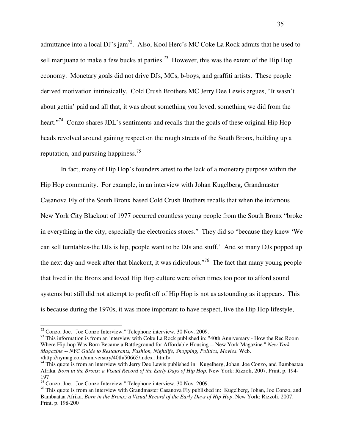admittance into a local DJ's jam<sup>72</sup>. Also, Kool Herc's MC Coke La Rock admits that he used to sell marijuana to make a few bucks at parties.<sup>73</sup> However, this was the extent of the Hip Hop economy. Monetary goals did not drive DJs, MCs, b-boys, and graffiti artists. These people derived motivation intrinsically. Cold Crush Brothers MC Jerry Dee Lewis argues, "It wasn't about gettin' paid and all that, it was about something you loved, something we did from the heart."<sup>74</sup> Conzo shares JDL's sentiments and recalls that the goals of these original Hip Hop heads revolved around gaining respect on the rough streets of the South Bronx, building up a reputation, and pursuing happiness.<sup>75</sup>

In fact, many of Hip Hop's founders attest to the lack of a monetary purpose within the Hip Hop community. For example, in an interview with Johan Kugelberg, Grandmaster Casanova Fly of the South Bronx based Cold Crush Brothers recalls that when the infamous New York City Blackout of 1977 occurred countless young people from the South Bronx "broke in everything in the city, especially the electronics stores." They did so "because they knew 'We can sell turntables-the DJs is hip, people want to be DJs and stuff.' And so many DJs popped up the next day and week after that blackout, it was ridiculous."<sup>76</sup> The fact that many young people that lived in the Bronx and loved Hip Hop culture were often times too poor to afford sound systems but still did not attempt to profit off of Hip Hop is not as astounding as it appears. This is because during the 1970s, it was more important to have respect, live the Hip Hop lifestyle,

 $72$  Conzo, Joe. "Joe Conzo Interview." Telephone interview. 30 Nov. 2009.

<sup>&</sup>lt;sup>73</sup> This information is from an interview with Coke La Rock published in: "40th Anniversary - How the Rec Room Where Hip-hop Was Born Became a Battleground for Affordable Housing -- New York Magazine." *New York Magazine -- NYC Guide to Restaurants, Fashion, Nightlife, Shopping, Politics, Movies*. Web. <http://nymag.com/anniversary/40th/50665/index1.html>.

 $74$  This quote is from an interview with Jerry Dee Lewis published in: Kugelberg, Johan, Joe Conzo, and Bambaataa Afrika. *Born in the Bronx: a Visual Record of the Early Days of Hip Hop*. New York: Rizzoli, 2007. Print, p. 194- 197

<sup>75</sup> Conzo, Joe. "Joe Conzo Interview." Telephone interview. 30 Nov. 2009.

<sup>&</sup>lt;sup>76</sup> This quote is from an interview with Grandmaster Casanova Fly published in: Kugelberg, Johan, Joe Conzo, and Bambaataa Afrika. *Born in the Bronx: a Visual Record of the Early Days of Hip Hop*. New York: Rizzoli, 2007. Print, p. 198-200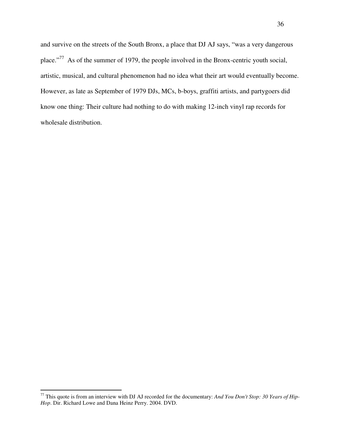and survive on the streets of the South Bronx, a place that DJ AJ says, "was a very dangerous place."<sup>77</sup> As of the summer of 1979, the people involved in the Bronx-centric youth social, artistic, musical, and cultural phenomenon had no idea what their art would eventually become. However, as late as September of 1979 DJs, MCs, b-boys, graffiti artists, and partygoers did know one thing: Their culture had nothing to do with making 12-inch vinyl rap records for wholesale distribution.

<sup>77</sup> This quote is from an interview with DJ AJ recorded for the documentary: *And You Don't Stop: 30 Years of Hip-Hop*. Dir. Richard Lowe and Dana Heinz Perry. 2004. DVD.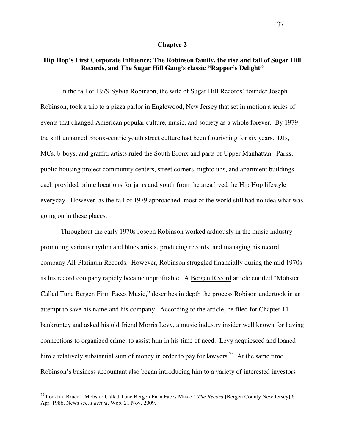## **Chapter 2**

# **Hip Hop's First Corporate Influence: The Robinson family, the rise and fall of Sugar Hill Records, and The Sugar Hill Gang's classic "Rapper's Delight"**

 In the fall of 1979 Sylvia Robinson, the wife of Sugar Hill Records' founder Joseph Robinson, took a trip to a pizza parlor in Englewood, New Jersey that set in motion a series of events that changed American popular culture, music, and society as a whole forever. By 1979 the still unnamed Bronx-centric youth street culture had been flourishing for six years. DJs, MCs, b-boys, and graffiti artists ruled the South Bronx and parts of Upper Manhattan. Parks, public housing project community centers, street corners, nightclubs, and apartment buildings each provided prime locations for jams and youth from the area lived the Hip Hop lifestyle everyday. However, as the fall of 1979 approached, most of the world still had no idea what was going on in these places.

Throughout the early 1970s Joseph Robinson worked arduously in the music industry promoting various rhythm and blues artists, producing records, and managing his record company All-Platinum Records. However, Robinson struggled financially during the mid 1970s as his record company rapidly became unprofitable. A Bergen Record article entitled "Mobster Called Tune Bergen Firm Faces Music," describes in depth the process Robison undertook in an attempt to save his name and his company. According to the article, he filed for Chapter 11 bankruptcy and asked his old friend Morris Levy, a music industry insider well known for having connections to organized crime, to assist him in his time of need. Levy acquiesced and loaned him a relatively substantial sum of money in order to pay for lawyers.<sup>78</sup> At the same time, Robinson's business accountant also began introducing him to a variety of interested investors

<sup>78</sup> Locklin, Bruce. "Mobster Called Tune Bergen Firm Faces Music." *The Record* [Bergen County New Jersey] 6 Apr. 1986, News sec. *Factiva*. Web. 21 Nov. 2009.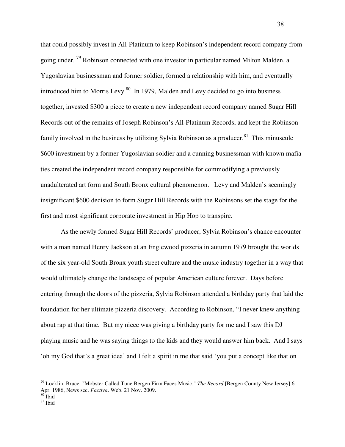that could possibly invest in All-Platinum to keep Robinson's independent record company from going under. <sup>79</sup> Robinson connected with one investor in particular named Milton Malden, a Yugoslavian businessman and former soldier, formed a relationship with him, and eventually introduced him to Morris Levy. $80 \text{ In } 1979$ , Malden and Levy decided to go into business together, invested \$300 a piece to create a new independent record company named Sugar Hill Records out of the remains of Joseph Robinson's All-Platinum Records, and kept the Robinson family involved in the business by utilizing Sylvia Robinson as a producer.<sup>81</sup> This minuscule \$600 investment by a former Yugoslavian soldier and a cunning businessman with known mafia ties created the independent record company responsible for commodifying a previously unadulterated art form and South Bronx cultural phenomenon. Levy and Malden's seemingly insignificant \$600 decision to form Sugar Hill Records with the Robinsons set the stage for the first and most significant corporate investment in Hip Hop to transpire.

 As the newly formed Sugar Hill Records' producer, Sylvia Robinson's chance encounter with a man named Henry Jackson at an Englewood pizzeria in autumn 1979 brought the worlds of the six year-old South Bronx youth street culture and the music industry together in a way that would ultimately change the landscape of popular American culture forever. Days before entering through the doors of the pizzeria, Sylvia Robinson attended a birthday party that laid the foundation for her ultimate pizzeria discovery. According to Robinson, "I never knew anything about rap at that time. But my niece was giving a birthday party for me and I saw this DJ playing music and he was saying things to the kids and they would answer him back. And I says 'oh my God that's a great idea' and I felt a spirit in me that said 'you put a concept like that on

<sup>79</sup> Locklin, Bruce. "Mobster Called Tune Bergen Firm Faces Music." *The Record* [Bergen County New Jersey] 6 Apr. 1986, News sec. *Factiva*. Web. 21 Nov. 2009.

<sup>80</sup> Ibid

 $^{81}$  Ibid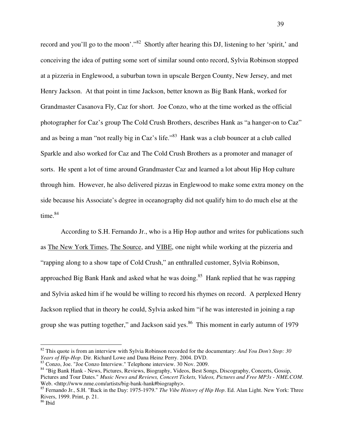record and you'll go to the moon'."<sup>82</sup> Shortly after hearing this DJ, listening to her 'spirit,' and conceiving the idea of putting some sort of similar sound onto record, Sylvia Robinson stopped at a pizzeria in Englewood, a suburban town in upscale Bergen County, New Jersey, and met Henry Jackson. At that point in time Jackson, better known as Big Bank Hank, worked for Grandmaster Casanova Fly, Caz for short. Joe Conzo, who at the time worked as the official photographer for Caz's group The Cold Crush Brothers, describes Hank as "a hanger-on to Caz" and as being a man "not really big in Caz's life."<sup>83</sup> Hank was a club bouncer at a club called Sparkle and also worked for Caz and The Cold Crush Brothers as a promoter and manager of sorts. He spent a lot of time around Grandmaster Caz and learned a lot about Hip Hop culture through him. However, he also delivered pizzas in Englewood to make some extra money on the side because his Associate's degree in oceanography did not qualify him to do much else at the time. $84$ 

According to S.H. Fernando Jr., who is a Hip Hop author and writes for publications such as The New York Times, The Source, and VIBE, one night while working at the pizzeria and "rapping along to a show tape of Cold Crush," an enthralled customer, Sylvia Robinson, approached Big Bank Hank and asked what he was doing.<sup>85</sup> Hank replied that he was rapping and Sylvia asked him if he would be willing to record his rhymes on record. A perplexed Henry Jackson replied that in theory he could, Sylvia asked him "if he was interested in joining a rap group she was putting together," and Jackson said yes.<sup>86</sup> This moment in early autumn of 1979

<sup>82</sup> This quote is from an interview with Sylvia Robinson recorded for the documentary: *And You Don't Stop: 30 Years of Hip-Hop*. Dir. Richard Lowe and Dana Heinz Perry. 2004. DVD.

<sup>83</sup> Conzo, Joe. "Joe Conzo Interview." Telephone interview. 30 Nov. 2009.

<sup>84</sup> "Big Bank Hank - News, Pictures, Reviews, Biography, Videos, Best Songs, Discography, Concerts, Gossip, Pictures and Tour Dates." *Music News and Reviews, Concert Tickets, Videos, Pictures and Free MP3s - NME.COM*. Web. <http://www.nme.com/artists/big-bank-hank#biography>.

<sup>85</sup> Fernando Jr., S.H. "Back in the Day: 1975-1979." *The Vibe History of Hip Hop*. Ed. Alan Light. New York: Three Rivers, 1999. Print, p. 21.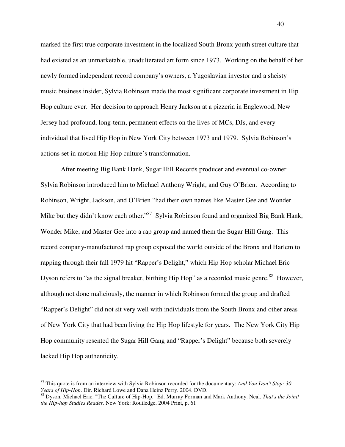marked the first true corporate investment in the localized South Bronx youth street culture that had existed as an unmarketable, unadulterated art form since 1973. Working on the behalf of her newly formed independent record company's owners, a Yugoslavian investor and a sheisty music business insider, Sylvia Robinson made the most significant corporate investment in Hip Hop culture ever. Her decision to approach Henry Jackson at a pizzeria in Englewood, New Jersey had profound, long-term, permanent effects on the lives of MCs, DJs, and every individual that lived Hip Hop in New York City between 1973 and 1979. Sylvia Robinson's actions set in motion Hip Hop culture's transformation.

 After meeting Big Bank Hank, Sugar Hill Records producer and eventual co-owner Sylvia Robinson introduced him to Michael Anthony Wright, and Guy O'Brien. According to Robinson, Wright, Jackson, and O'Brien "had their own names like Master Gee and Wonder Mike but they didn't know each other."<sup>87</sup> Sylvia Robinson found and organized Big Bank Hank, Wonder Mike, and Master Gee into a rap group and named them the Sugar Hill Gang. This record company-manufactured rap group exposed the world outside of the Bronx and Harlem to rapping through their fall 1979 hit "Rapper's Delight," which Hip Hop scholar Michael Eric Dyson refers to "as the signal breaker, birthing Hip Hop" as a recorded music genre.<sup>88</sup> However, although not done maliciously, the manner in which Robinson formed the group and drafted "Rapper's Delight" did not sit very well with individuals from the South Bronx and other areas of New York City that had been living the Hip Hop lifestyle for years. The New York City Hip Hop community resented the Sugar Hill Gang and "Rapper's Delight" because both severely lacked Hip Hop authenticity.

<sup>87</sup> This quote is from an interview with Sylvia Robinson recorded for the documentary: *And You Don't Stop: 30 Years of Hip-Hop*. Dir. Richard Lowe and Dana Heinz Perry. 2004. DVD.

<sup>88</sup> Dyson, Michael Eric. "The Culture of Hip-Hop." Ed. Murray Forman and Mark Anthony. Neal. *That's the Joint! the Hip-hop Studies Reader*. New York: Routledge, 2004 Print, p. 61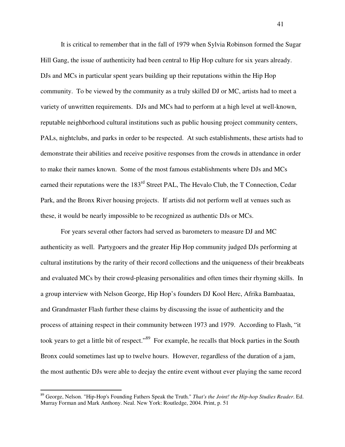It is critical to remember that in the fall of 1979 when Sylvia Robinson formed the Sugar Hill Gang, the issue of authenticity had been central to Hip Hop culture for six years already. DJs and MCs in particular spent years building up their reputations within the Hip Hop community. To be viewed by the community as a truly skilled DJ or MC, artists had to meet a variety of unwritten requirements. DJs and MCs had to perform at a high level at well-known, reputable neighborhood cultural institutions such as public housing project community centers, PALs, nightclubs, and parks in order to be respected. At such establishments, these artists had to demonstrate their abilities and receive positive responses from the crowds in attendance in order to make their names known. Some of the most famous establishments where DJs and MCs earned their reputations were the 183<sup>rd</sup> Street PAL, The Hevalo Club, the T Connection, Cedar Park, and the Bronx River housing projects. If artists did not perform well at venues such as these, it would be nearly impossible to be recognized as authentic DJs or MCs.

For years several other factors had served as barometers to measure DJ and MC authenticity as well. Partygoers and the greater Hip Hop community judged DJs performing at cultural institutions by the rarity of their record collections and the uniqueness of their breakbeats and evaluated MCs by their crowd-pleasing personalities and often times their rhyming skills. In a group interview with Nelson George, Hip Hop's founders DJ Kool Herc, Afrika Bambaataa, and Grandmaster Flash further these claims by discussing the issue of authenticity and the process of attaining respect in their community between 1973 and 1979. According to Flash, "it took years to get a little bit of respect."<sup>89</sup> For example, he recalls that block parties in the South Bronx could sometimes last up to twelve hours. However, regardless of the duration of a jam, the most authentic DJs were able to deejay the entire event without ever playing the same record

<sup>89</sup> George, Nelson. "Hip-Hop's Founding Fathers Speak the Truth." *That's the Joint! the Hip-hop Studies Reader*. Ed. Murray Forman and Mark Anthony. Neal. New York: Routledge, 2004. Print, p. 51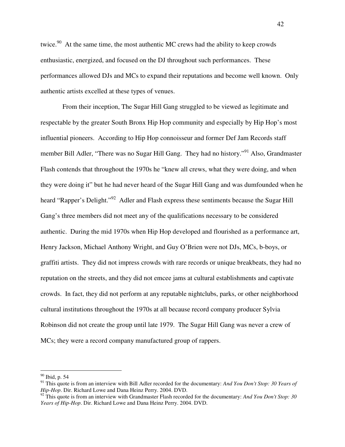twice.<sup>90</sup> At the same time, the most authentic MC crews had the ability to keep crowds enthusiastic, energized, and focused on the DJ throughout such performances. These performances allowed DJs and MCs to expand their reputations and become well known. Only authentic artists excelled at these types of venues.

 From their inception, The Sugar Hill Gang struggled to be viewed as legitimate and respectable by the greater South Bronx Hip Hop community and especially by Hip Hop's most influential pioneers. According to Hip Hop connoisseur and former Def Jam Records staff member Bill Adler, "There was no Sugar Hill Gang. They had no history."<sup>91</sup> Also, Grandmaster Flash contends that throughout the 1970s he "knew all crews, what they were doing, and when they were doing it" but he had never heard of the Sugar Hill Gang and was dumfounded when he heard "Rapper's Delight."<sup>92</sup> Adler and Flash express these sentiments because the Sugar Hill Gang's three members did not meet any of the qualifications necessary to be considered authentic. During the mid 1970s when Hip Hop developed and flourished as a performance art, Henry Jackson, Michael Anthony Wright, and Guy O'Brien were not DJs, MCs, b-boys, or graffiti artists. They did not impress crowds with rare records or unique breakbeats, they had no reputation on the streets, and they did not emcee jams at cultural establishments and captivate crowds. In fact, they did not perform at any reputable nightclubs, parks, or other neighborhood cultural institutions throughout the 1970s at all because record company producer Sylvia Robinson did not create the group until late 1979. The Sugar Hill Gang was never a crew of MCs; they were a record company manufactured group of rappers.

<sup>&</sup>lt;sup>90</sup> Ibid, p. 54

<sup>91</sup> This quote is from an interview with Bill Adler recorded for the documentary: *And You Don't Stop: 30 Years of Hip-Hop*. Dir. Richard Lowe and Dana Heinz Perry. 2004. DVD.

<sup>92</sup> This quote is from an interview with Grandmaster Flash recorded for the documentary: *And You Don't Stop: 30 Years of Hip-Hop*. Dir. Richard Lowe and Dana Heinz Perry. 2004. DVD.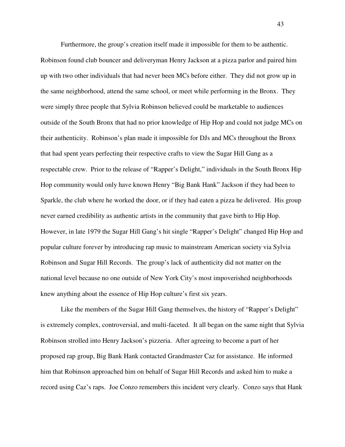Furthermore, the group's creation itself made it impossible for them to be authentic. Robinson found club bouncer and deliveryman Henry Jackson at a pizza parlor and paired him up with two other individuals that had never been MCs before either. They did not grow up in the same neighborhood, attend the same school, or meet while performing in the Bronx. They were simply three people that Sylvia Robinson believed could be marketable to audiences outside of the South Bronx that had no prior knowledge of Hip Hop and could not judge MCs on their authenticity. Robinson's plan made it impossible for DJs and MCs throughout the Bronx that had spent years perfecting their respective crafts to view the Sugar Hill Gang as a respectable crew. Prior to the release of "Rapper's Delight," individuals in the South Bronx Hip Hop community would only have known Henry "Big Bank Hank" Jackson if they had been to Sparkle, the club where he worked the door, or if they had eaten a pizza he delivered. His group never earned credibility as authentic artists in the community that gave birth to Hip Hop. However, in late 1979 the Sugar Hill Gang's hit single "Rapper's Delight" changed Hip Hop and popular culture forever by introducing rap music to mainstream American society via Sylvia Robinson and Sugar Hill Records. The group's lack of authenticity did not matter on the national level because no one outside of New York City's most impoverished neighborhoods knew anything about the essence of Hip Hop culture's first six years.

 Like the members of the Sugar Hill Gang themselves, the history of "Rapper's Delight" is extremely complex, controversial, and multi-faceted. It all began on the same night that Sylvia Robinson strolled into Henry Jackson's pizzeria. After agreeing to become a part of her proposed rap group, Big Bank Hank contacted Grandmaster Caz for assistance. He informed him that Robinson approached him on behalf of Sugar Hill Records and asked him to make a record using Caz's raps. Joe Conzo remembers this incident very clearly. Conzo says that Hank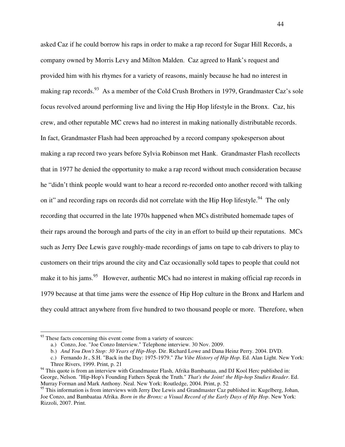asked Caz if he could borrow his raps in order to make a rap record for Sugar Hill Records, a company owned by Morris Levy and Milton Malden. Caz agreed to Hank's request and provided him with his rhymes for a variety of reasons, mainly because he had no interest in making rap records.<sup>93</sup> As a member of the Cold Crush Brothers in 1979, Grandmaster Caz's sole focus revolved around performing live and living the Hip Hop lifestyle in the Bronx. Caz, his crew, and other reputable MC crews had no interest in making nationally distributable records. In fact, Grandmaster Flash had been approached by a record company spokesperson about making a rap record two years before Sylvia Robinson met Hank. Grandmaster Flash recollects that in 1977 he denied the opportunity to make a rap record without much consideration because he "didn't think people would want to hear a record re-recorded onto another record with talking on it" and recording raps on records did not correlate with the Hip Hop lifestyle.<sup>94</sup> The only recording that occurred in the late 1970s happened when MCs distributed homemade tapes of their raps around the borough and parts of the city in an effort to build up their reputations. MCs such as Jerry Dee Lewis gave roughly-made recordings of jams on tape to cab drivers to play to customers on their trips around the city and Caz occasionally sold tapes to people that could not make it to his jams.<sup>95</sup> However, authentic MCs had no interest in making official rap records in 1979 because at that time jams were the essence of Hip Hop culture in the Bronx and Harlem and they could attract anywhere from five hundred to two thousand people or more. Therefore, when

 $93$  These facts concerning this event come from a variety of sources:

a.) Conzo, Joe. "Joe Conzo Interview." Telephone interview. 30 Nov. 2009.

b.) *And You Don't Stop: 30 Years of Hip-Hop*. Dir. Richard Lowe and Dana Heinz Perry. 2004. DVD.

c.) Fernando Jr., S.H. "Back in the Day: 1975-1979." *The Vibe History of Hip Hop*. Ed. Alan Light. New York: Three Rivers, 1999. Print, p. 21

<sup>&</sup>lt;sup>94</sup> This quote is from an interview with Grandmaster Flash, Afrika Bambaataa, and DJ Kool Herc published in: George, Nelson. "Hip-Hop's Founding Fathers Speak the Truth." *That's the Joint! the Hip-hop Studies Reader*. Ed. Murray Forman and Mark Anthony. Neal. New York: Routledge, 2004. Print, p. 52

<sup>&</sup>lt;sup>95</sup> This information is from interviews with Jerry Dee Lewis and Grandmaster Caz published in: Kugelberg, Johan, Joe Conzo, and Bambaataa Afrika. *Born in the Bronx: a Visual Record of the Early Days of Hip Hop*. New York: Rizzoli, 2007. Print.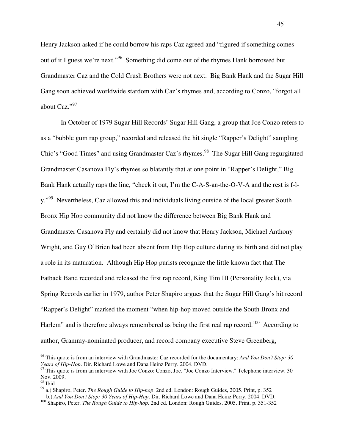Henry Jackson asked if he could borrow his raps Caz agreed and "figured if something comes out of it I guess we're next."<sup>96</sup> Something did come out of the rhymes Hank borrowed but Grandmaster Caz and the Cold Crush Brothers were not next. Big Bank Hank and the Sugar Hill Gang soon achieved worldwide stardom with Caz's rhymes and, according to Conzo, "forgot all about Caz."<sup>97</sup>

 In October of 1979 Sugar Hill Records' Sugar Hill Gang, a group that Joe Conzo refers to as a "bubble gum rap group," recorded and released the hit single "Rapper's Delight" sampling Chic's "Good Times" and using Grandmaster Caz's rhymes.<sup>98</sup> The Sugar Hill Gang regurgitated Grandmaster Casanova Fly's rhymes so blatantly that at one point in "Rapper's Delight," Big Bank Hank actually raps the line, "check it out, I'm the C-A-S-an-the-O-V-A and the rest is f-ly."<sup>99</sup> Nevertheless, Caz allowed this and individuals living outside of the local greater South Bronx Hip Hop community did not know the difference between Big Bank Hank and Grandmaster Casanova Fly and certainly did not know that Henry Jackson, Michael Anthony Wright, and Guy O'Brien had been absent from Hip Hop culture during its birth and did not play a role in its maturation. Although Hip Hop purists recognize the little known fact that The Fatback Band recorded and released the first rap record, King Tim III (Personality Jock), via Spring Records earlier in 1979, author Peter Shapiro argues that the Sugar Hill Gang's hit record "Rapper's Delight" marked the moment "when hip-hop moved outside the South Bronx and Harlem" and is therefore always remembered as being the first real rap record.<sup>100</sup> According to author, Grammy-nominated producer, and record company executive Steve Greenberg,

<sup>96</sup> This quote is from an interview with Grandmaster Caz recorded for the documentary: *And You Don't Stop: 30 Years of Hip-Hop*. Dir. Richard Lowe and Dana Heinz Perry. 2004. DVD.

<sup>&</sup>lt;sup>97</sup> This quote is from an interview with Joe Conzo: Conzo, Joe. "Joe Conzo Interview." Telephone interview. 30 Nov. 2009.

<sup>98</sup> Ibid

<sup>99</sup> a.) Shapiro, Peter. *The Rough Guide to Hip-hop*. 2nd ed. London: Rough Guides, 2005. Print, p. 352 b.) *And You Don't Stop: 30 Years of Hip-Hop*. Dir. Richard Lowe and Dana Heinz Perry. 2004. DVD.

<sup>100</sup> Shapiro, Peter. *The Rough Guide to Hip-hop*. 2nd ed. London: Rough Guides, 2005. Print, p. 351-352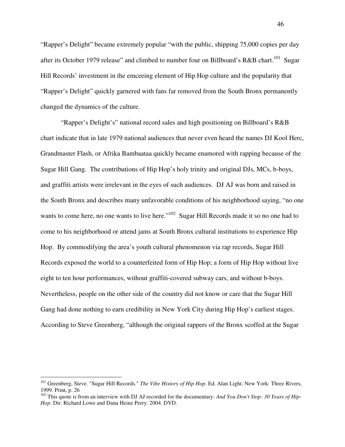"Rapper's Delight" became extremely popular "with the public, shipping 75,000 copies per day after its October 1979 release" and climbed to number four on Billboard's R&B chart.<sup>101</sup> Sugar Hill Records' investment in the emceeing element of Hip Hop culture and the popularity that "Rapper's Delight" quickly garnered with fans far removed from the South Bronx permanently changed the dynamics of the culture.

"Rapper's Delight's" national record sales and high positioning on Billboard's R&B chart indicate that in late 1979 national audiences that never even heard the names DJ Kool Herc, Grandmaster Flash, or Afrika Bambaataa quickly became enamored with rapping because of the Sugar Hill Gang. The contributions of Hip Hop's holy trinity and original DJs, MCs, b-boys, and graffiti artists were irrelevant in the eyes of such audiences. DJ AJ was born and raised in the South Bronx and describes many unfavorable conditions of his neighborhood saying, "no one wants to come here, no one wants to live here."<sup>102</sup> Sugar Hill Records made it so no one had to come to his neighborhood or attend jams at South Bronx cultural institutions to experience Hip Hop. By commodifying the area's youth cultural phenomenon via rap records, Sugar Hill Records exposed the world to a counterfeited form of Hip Hop; a form of Hip Hop without live eight to ten hour performances, without graffiti-covered subway cars, and without b-boys. Nevertheless, people on the other side of the country did not know or care that the Sugar Hill Gang had done nothing to earn credibility in New York City during Hip Hop's earliest stages. According to Steve Greenberg, "although the original rappers of the Bronx scoffed at the Sugar

<sup>&</sup>lt;sup>101</sup> Greenberg, Steve. "Sugar Hill Records." *The Vibe History of Hip Hop*. Ed. Alan Light. New York: Three Rivers, 1999. Print, p. 26

<sup>&</sup>lt;sup>102</sup> This quote is from an interview with DJ AJ recorded for the documentary: *And You Don't Stop: 30 Years of Hip-Hop*. Dir. Richard Lowe and Dana Heinz Perry. 2004. DVD.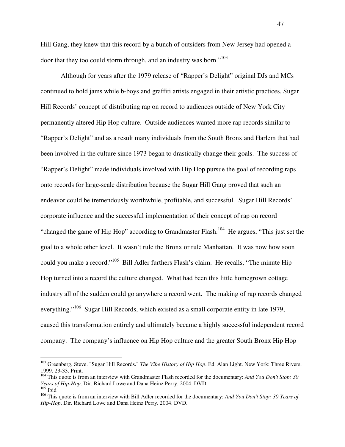Hill Gang, they knew that this record by a bunch of outsiders from New Jersey had opened a door that they too could storm through, and an industry was born."<sup>103</sup>

Although for years after the 1979 release of "Rapper's Delight" original DJs and MCs continued to hold jams while b-boys and graffiti artists engaged in their artistic practices, Sugar Hill Records' concept of distributing rap on record to audiences outside of New York City permanently altered Hip Hop culture. Outside audiences wanted more rap records similar to "Rapper's Delight" and as a result many individuals from the South Bronx and Harlem that had been involved in the culture since 1973 began to drastically change their goals. The success of "Rapper's Delight" made individuals involved with Hip Hop pursue the goal of recording raps onto records for large-scale distribution because the Sugar Hill Gang proved that such an endeavor could be tremendously worthwhile, profitable, and successful. Sugar Hill Records' corporate influence and the successful implementation of their concept of rap on record "changed the game of Hip Hop" according to Grandmaster Flash.<sup>104</sup> He argues, "This just set the goal to a whole other level. It wasn't rule the Bronx or rule Manhattan. It was now how soon could you make a record."<sup>105</sup> Bill Adler furthers Flash's claim. He recalls, "The minute Hip Hop turned into a record the culture changed. What had been this little homegrown cottage industry all of the sudden could go anywhere a record went. The making of rap records changed everything."<sup>106</sup> Sugar Hill Records, which existed as a small corporate entity in late 1979, caused this transformation entirely and ultimately became a highly successful independent record company. The company's influence on Hip Hop culture and the greater South Bronx Hip Hop

<sup>103</sup> Greenberg, Steve. "Sugar Hill Records." *The Vibe History of Hip Hop*. Ed. Alan Light. New York: Three Rivers, 1999. 23-33. Print.

<sup>&</sup>lt;sup>104</sup> This quote is from an interview with Grandmaster Flash recorded for the documentary: *And You Don't Stop: 30 Years of Hip-Hop*. Dir. Richard Lowe and Dana Heinz Perry. 2004. DVD.  $105$  Ibid

<sup>&</sup>lt;sup>106</sup> This quote is from an interview with Bill Adler recorded for the documentary: *And You Don't Stop: 30 Years of Hip-Hop*. Dir. Richard Lowe and Dana Heinz Perry. 2004. DVD.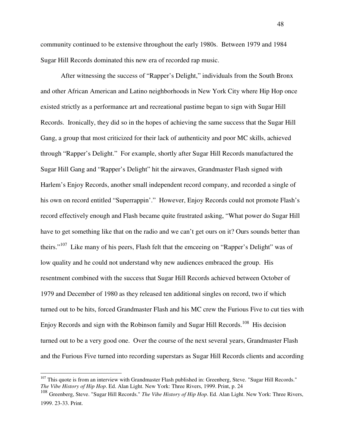community continued to be extensive throughout the early 1980s. Between 1979 and 1984 Sugar Hill Records dominated this new era of recorded rap music.

After witnessing the success of "Rapper's Delight," individuals from the South Bronx and other African American and Latino neighborhoods in New York City where Hip Hop once existed strictly as a performance art and recreational pastime began to sign with Sugar Hill Records. Ironically, they did so in the hopes of achieving the same success that the Sugar Hill Gang, a group that most criticized for their lack of authenticity and poor MC skills, achieved through "Rapper's Delight." For example, shortly after Sugar Hill Records manufactured the Sugar Hill Gang and "Rapper's Delight" hit the airwaves, Grandmaster Flash signed with Harlem's Enjoy Records, another small independent record company, and recorded a single of his own on record entitled "Superrappin'." However, Enjoy Records could not promote Flash's record effectively enough and Flash became quite frustrated asking, "What power do Sugar Hill have to get something like that on the radio and we can't get ours on it? Ours sounds better than theirs."<sup>107</sup> Like many of his peers, Flash felt that the emceeing on "Rapper's Delight" was of low quality and he could not understand why new audiences embraced the group. His resentment combined with the success that Sugar Hill Records achieved between October of 1979 and December of 1980 as they released ten additional singles on record, two if which turned out to be hits, forced Grandmaster Flash and his MC crew the Furious Five to cut ties with Enjoy Records and sign with the Robinson family and Sugar Hill Records.<sup>108</sup> His decision turned out to be a very good one. Over the course of the next several years, Grandmaster Flash and the Furious Five turned into recording superstars as Sugar Hill Records clients and according

 $107$  This quote is from an interview with Grandmaster Flash published in: Greenberg, Steve. "Sugar Hill Records." *The Vibe History of Hip Hop*. Ed. Alan Light. New York: Three Rivers, 1999. Print, p. 24

<sup>108</sup> Greenberg, Steve. "Sugar Hill Records." *The Vibe History of Hip Hop*. Ed. Alan Light. New York: Three Rivers, 1999. 23-33. Print.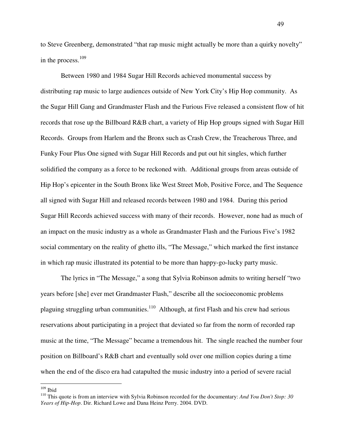to Steve Greenberg, demonstrated "that rap music might actually be more than a quirky novelty" in the process.<sup>109</sup>

Between 1980 and 1984 Sugar Hill Records achieved monumental success by distributing rap music to large audiences outside of New York City's Hip Hop community. As the Sugar Hill Gang and Grandmaster Flash and the Furious Five released a consistent flow of hit records that rose up the Billboard R&B chart, a variety of Hip Hop groups signed with Sugar Hill Records. Groups from Harlem and the Bronx such as Crash Crew, the Treacherous Three, and Funky Four Plus One signed with Sugar Hill Records and put out hit singles, which further solidified the company as a force to be reckoned with. Additional groups from areas outside of Hip Hop's epicenter in the South Bronx like West Street Mob, Positive Force, and The Sequence all signed with Sugar Hill and released records between 1980 and 1984. During this period Sugar Hill Records achieved success with many of their records. However, none had as much of an impact on the music industry as a whole as Grandmaster Flash and the Furious Five's 1982 social commentary on the reality of ghetto ills, "The Message," which marked the first instance in which rap music illustrated its potential to be more than happy-go-lucky party music.

The lyrics in "The Message," a song that Sylvia Robinson admits to writing herself "two years before [she] ever met Grandmaster Flash," describe all the socioeconomic problems plaguing struggling urban communities.<sup>110</sup> Although, at first Flash and his crew had serious reservations about participating in a project that deviated so far from the norm of recorded rap music at the time, "The Message" became a tremendous hit. The single reached the number four position on Billboard's R&B chart and eventually sold over one million copies during a time when the end of the disco era had catapulted the music industry into a period of severe racial

 $\overline{a}$  $109$  Ibid

<sup>110</sup> This quote is from an interview with Sylvia Robinson recorded for the documentary: *And You Don't Stop: 30 Years of Hip-Hop*. Dir. Richard Lowe and Dana Heinz Perry. 2004. DVD.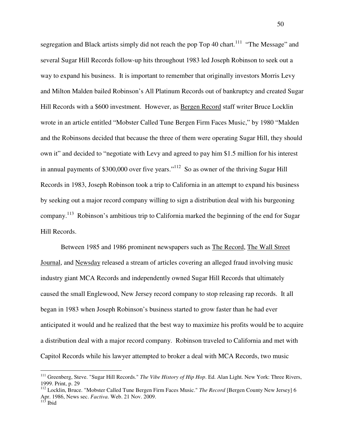segregation and Black artists simply did not reach the pop Top 40 chart.<sup>111</sup> "The Message" and several Sugar Hill Records follow-up hits throughout 1983 led Joseph Robinson to seek out a way to expand his business. It is important to remember that originally investors Morris Levy and Milton Malden bailed Robinson's All Platinum Records out of bankruptcy and created Sugar Hill Records with a \$600 investment. However, as Bergen Record staff writer Bruce Locklin wrote in an article entitled "Mobster Called Tune Bergen Firm Faces Music," by 1980 "Malden and the Robinsons decided that because the three of them were operating Sugar Hill, they should own it" and decided to "negotiate with Levy and agreed to pay him \$1.5 million for his interest in annual payments of \$300,000 over five years."<sup>112</sup> So as owner of the thriving Sugar Hill Records in 1983, Joseph Robinson took a trip to California in an attempt to expand his business by seeking out a major record company willing to sign a distribution deal with his burgeoning company.<sup>113</sup> Robinson's ambitious trip to California marked the beginning of the end for Sugar Hill Records.

Between 1985 and 1986 prominent newspapers such as The Record, The Wall Street Journal, and Newsday released a stream of articles covering an alleged fraud involving music industry giant MCA Records and independently owned Sugar Hill Records that ultimately caused the small Englewood, New Jersey record company to stop releasing rap records. It all began in 1983 when Joseph Robinson's business started to grow faster than he had ever anticipated it would and he realized that the best way to maximize his profits would be to acquire a distribution deal with a major record company. Robinson traveled to California and met with Capitol Records while his lawyer attempted to broker a deal with MCA Records, two music

<sup>&</sup>lt;sup>111</sup> Greenberg, Steve. "Sugar Hill Records." *The Vibe History of Hip Hop*. Ed. Alan Light. New York: Three Rivers, 1999. Print, p. 29

<sup>&</sup>lt;sup>112</sup> Locklin, Bruce. "Mobster Called Tune Bergen Firm Faces Music." *The Record* [Bergen County New Jersey] 6 Apr. 1986, News sec. *Factiva*. Web. 21 Nov. 2009.  $113$  Ibid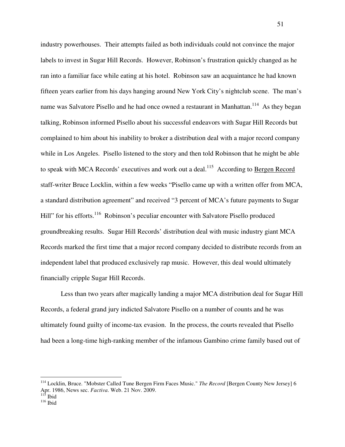industry powerhouses. Their attempts failed as both individuals could not convince the major labels to invest in Sugar Hill Records. However, Robinson's frustration quickly changed as he ran into a familiar face while eating at his hotel. Robinson saw an acquaintance he had known fifteen years earlier from his days hanging around New York City's nightclub scene. The man's name was Salvatore Pisello and he had once owned a restaurant in Manhattan.<sup>114</sup> As they began talking, Robinson informed Pisello about his successful endeavors with Sugar Hill Records but complained to him about his inability to broker a distribution deal with a major record company while in Los Angeles. Pisello listened to the story and then told Robinson that he might be able to speak with MCA Records' executives and work out a deal.<sup>115</sup> According to Bergen Record staff-writer Bruce Locklin, within a few weeks "Pisello came up with a written offer from MCA, a standard distribution agreement" and received "3 percent of MCA's future payments to Sugar Hill" for his efforts.<sup>116</sup> Robinson's peculiar encounter with Salvatore Pisello produced groundbreaking results. Sugar Hill Records' distribution deal with music industry giant MCA Records marked the first time that a major record company decided to distribute records from an independent label that produced exclusively rap music. However, this deal would ultimately financially cripple Sugar Hill Records.

Less than two years after magically landing a major MCA distribution deal for Sugar Hill Records, a federal grand jury indicted Salvatore Pisello on a number of counts and he was ultimately found guilty of income-tax evasion. In the process, the courts revealed that Pisello had been a long-time high-ranking member of the infamous Gambino crime family based out of

<sup>&</sup>lt;sup>114</sup> Locklin, Bruce. "Mobster Called Tune Bergen Firm Faces Music." *The Record* [Bergen County New Jersey] 6 Apr. 1986, News sec. *Factiva*. Web. 21 Nov. 2009.

 $115$  Ibid

 $116$  Ibid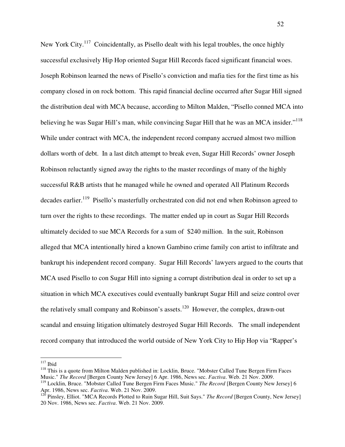New York City.<sup>117</sup> Coincidentally, as Pisello dealt with his legal troubles, the once highly successful exclusively Hip Hop oriented Sugar Hill Records faced significant financial woes. Joseph Robinson learned the news of Pisello's conviction and mafia ties for the first time as his company closed in on rock bottom. This rapid financial decline occurred after Sugar Hill signed the distribution deal with MCA because, according to Milton Malden, "Pisello conned MCA into believing he was Sugar Hill's man, while convincing Sugar Hill that he was an MCA insider."<sup>118</sup> While under contract with MCA, the independent record company accrued almost two million dollars worth of debt. In a last ditch attempt to break even, Sugar Hill Records' owner Joseph Robinson reluctantly signed away the rights to the master recordings of many of the highly successful R&B artists that he managed while he owned and operated All Platinum Records decades earlier.<sup>119</sup> Pisello's masterfully orchestrated con did not end when Robinson agreed to turn over the rights to these recordings. The matter ended up in court as Sugar Hill Records ultimately decided to sue MCA Records for a sum of \$240 million. In the suit, Robinson alleged that MCA intentionally hired a known Gambino crime family con artist to infiltrate and bankrupt his independent record company. Sugar Hill Records' lawyers argued to the courts that MCA used Pisello to con Sugar Hill into signing a corrupt distribution deal in order to set up a situation in which MCA executives could eventually bankrupt Sugar Hill and seize control over the relatively small company and Robinson's assets.<sup>120</sup> However, the complex, drawn-out scandal and ensuing litigation ultimately destroyed Sugar Hill Records. The small independent record company that introduced the world outside of New York City to Hip Hop via "Rapper's

 $117$  Ibid

<sup>&</sup>lt;sup>118</sup> This is a quote from Milton Malden published in: Locklin, Bruce. "Mobster Called Tune Bergen Firm Faces" Music." *The Record* [Bergen County New Jersey] 6 Apr. 1986, News sec. *Factiva*. Web. 21 Nov. 2009. <sup>119</sup> Locklin, Bruce. "Mobster Called Tune Bergen Firm Faces Music." *The Record* [Bergen County New Jersey] 6 Apr. 1986, News sec. *Factiva*. Web. 21 Nov. 2009.

<sup>&</sup>lt;sup>120</sup> Pinsley, Elliot. "MCA Records Plotted to Ruin Sugar Hill, Suit Says." *The Record* [Bergen County, New Jersey] 20 Nov. 1986, News sec. *Factiva*. Web. 21 Nov. 2009.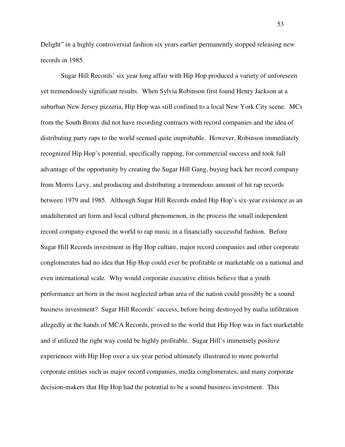Delight" in a highly controversial fashion six years earlier permanently stopped releasing new records in 1985.

Sugar Hill Records' six year long affair with Hip Hop produced a variety of unforeseen yet tremendously significant results. When Sylvia Robinson first found Henry Jackson at a suburban New Jersey pizzeria, Hip Hop was still confined to a local New York City scene. MCs from the South Bronx did not have recording contracts with record companies and the idea of distributing party raps to the world seemed quite improbable. However, Robinson immediately recognized Hip Hop's potential, specifically rapping, for commercial success and took full advantage of the opportunity by creating the Sugar Hill Gang, buying back her record company from Morris Levy, and producing and distributing a tremendous amount of hit rap records between 1979 and 1985. Although Sugar Hill Records ended Hip Hop's six-year existence as an unadulterated art form and local cultural phenomenon, in the process the small independent record company exposed the world to rap music in a financially successful fashion. Before Sugar Hill Records investment in Hip Hop culture, major record companies and other corporate conglomerates had no idea that Hip Hop could ever be profitable or marketable on a national and even international scale. Why would corporate executive elitists believe that a youth performance art born in the most neglected urban area of the nation could possibly be a sound business investment? Sugar Hill Records' success, before being destroyed by mafia infiltration allegedly at the hands of MCA Records, proved to the world that Hip Hop was in fact marketable and if utilized the right way could be highly profitable. Sugar Hill's immensely positive experiences with Hip Hop over a six-year period ultimately illustrated to more powerful corporate entities such as major record companies, media conglomerates, and many corporate decision-makers that Hip Hop had the potential to be a sound business investment. This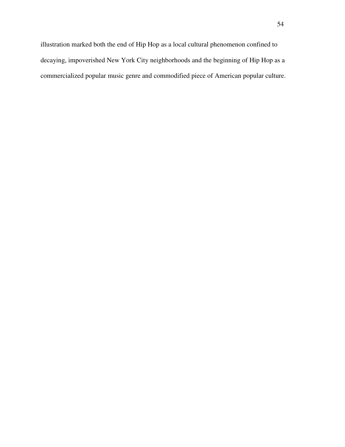54

illustration marked both the end of Hip Hop as a local cultural phenomenon confined to decaying, impoverished New York City neighborhoods and the beginning of Hip Hop as a commercialized popular music genre and commodified piece of American popular culture.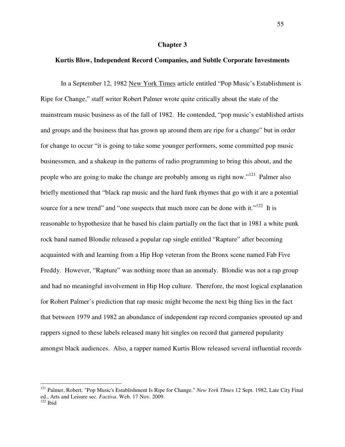# **Chapter 3**

# **Kurtis Blow, Independent Record Companies, and Subtle Corporate Investments**

 In a September 12, 1982 New York Times article entitled "Pop Music's Establishment is Ripe for Change," staff writer Robert Palmer wrote quite critically about the state of the mainstream music business as of the fall of 1982. He contended, "pop music's established artists and groups and the business that has grown up around them are ripe for a change" but in order for change to occur "it is going to take some younger performers, some committed pop music businessmen, and a shakeup in the patterns of radio programming to bring this about, and the people who are going to make the change are probably among us right now."<sup>121</sup> Palmer also briefly mentioned that "black rap music and the hard funk rhymes that go with it are a potential source for a new trend" and "one suspects that much more can be done with it." $122$  It is reasonable to hypothesize that he based his claim partially on the fact that in 1981 a white punk rock band named Blondie released a popular rap single entitled "Rapture" after becoming acquainted with and learning from a Hip Hop veteran from the Bronx scene named Fab Five Freddy. However, "Rapture" was nothing more than an anomaly. Blondie was not a rap group and had no meaningful involvement in Hip Hop culture. Therefore, the most logical explanation for Robert Palmer's prediction that rap music might become the next big thing lies in the fact that between 1979 and 1982 an abundance of independent rap record companies sprouted up and rappers signed to these labels released many hit singles on record that garnered popularity amongst black audiences. Also, a rapper named Kurtis Blow released several influential records

<sup>121</sup> Palmer, Robert. "Pop Music's Establishment Is Ripe for Change." *New York TImes* 12 Sept. 1982, Late City Final ed., Arts and Leisure sec. *Factiva*. Web. 17 Nov. 2009.

 $122$  Ibid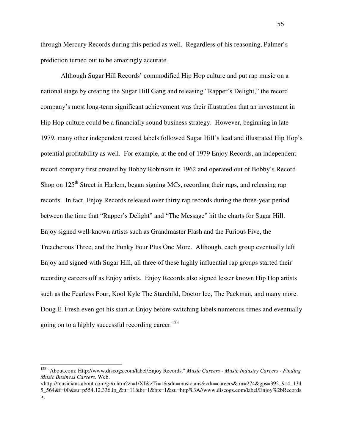through Mercury Records during this period as well. Regardless of his reasoning, Palmer's prediction turned out to be amazingly accurate.

 Although Sugar Hill Records' commodified Hip Hop culture and put rap music on a national stage by creating the Sugar Hill Gang and releasing "Rapper's Delight," the record company's most long-term significant achievement was their illustration that an investment in Hip Hop culture could be a financially sound business strategy. However, beginning in late 1979, many other independent record labels followed Sugar Hill's lead and illustrated Hip Hop's potential profitability as well. For example, at the end of 1979 Enjoy Records, an independent record company first created by Bobby Robinson in 1962 and operated out of Bobby's Record Shop on 125<sup>th</sup> Street in Harlem, began signing MCs, recording their raps, and releasing rap records. In fact, Enjoy Records released over thirty rap records during the three-year period between the time that "Rapper's Delight" and "The Message" hit the charts for Sugar Hill. Enjoy signed well-known artists such as Grandmaster Flash and the Furious Five, the Treacherous Three, and the Funky Four Plus One More. Although, each group eventually left Enjoy and signed with Sugar Hill, all three of these highly influential rap groups started their recording careers off as Enjoy artists. Enjoy Records also signed lesser known Hip Hop artists such as the Fearless Four, Kool Kyle The Starchild, Doctor Ice, The Packman, and many more. Doug E. Fresh even got his start at Enjoy before switching labels numerous times and eventually going on to a highly successful recording career.<sup>123</sup>

<sup>123</sup> "About.com: Http://www.discogs.com/label/Enjoy Records." *Music Careers - Music Industry Careers - Finding Music Business Careers*. Web.

<sup>&</sup>lt;http://musicians.about.com/gi/o.htm?zi=1/XJ&zTi=1&sdn=musicians&cdn=careers&tm=274&gps=392\_914\_134 5\_564&f=00&su=p554.12.336.ip\_&tt=11&bt=1&bts=1&zu=http%3A//www.discogs.com/label/Enjoy%2bRecords  $\mathbf{L}$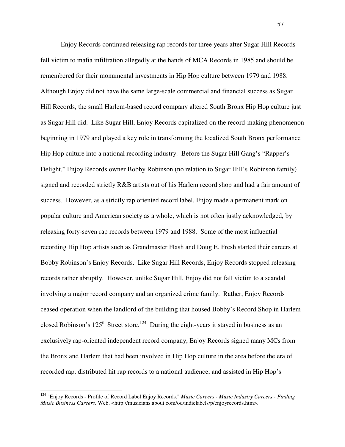Enjoy Records continued releasing rap records for three years after Sugar Hill Records fell victim to mafia infiltration allegedly at the hands of MCA Records in 1985 and should be remembered for their monumental investments in Hip Hop culture between 1979 and 1988. Although Enjoy did not have the same large-scale commercial and financial success as Sugar Hill Records, the small Harlem-based record company altered South Bronx Hip Hop culture just as Sugar Hill did. Like Sugar Hill, Enjoy Records capitalized on the record-making phenomenon beginning in 1979 and played a key role in transforming the localized South Bronx performance Hip Hop culture into a national recording industry. Before the Sugar Hill Gang's "Rapper's Delight," Enjoy Records owner Bobby Robinson (no relation to Sugar Hill's Robinson family) signed and recorded strictly R&B artists out of his Harlem record shop and had a fair amount of success. However, as a strictly rap oriented record label, Enjoy made a permanent mark on popular culture and American society as a whole, which is not often justly acknowledged, by releasing forty-seven rap records between 1979 and 1988. Some of the most influential recording Hip Hop artists such as Grandmaster Flash and Doug E. Fresh started their careers at Bobby Robinson's Enjoy Records. Like Sugar Hill Records, Enjoy Records stopped releasing records rather abruptly. However, unlike Sugar Hill, Enjoy did not fall victim to a scandal involving a major record company and an organized crime family. Rather, Enjoy Records ceased operation when the landlord of the building that housed Bobby's Record Shop in Harlem closed Robinson's  $125<sup>th</sup>$  Street store.<sup>124</sup> During the eight-years it stayed in business as an exclusively rap-oriented independent record company, Enjoy Records signed many MCs from the Bronx and Harlem that had been involved in Hip Hop culture in the area before the era of recorded rap, distributed hit rap records to a national audience, and assisted in Hip Hop's

<sup>124</sup> "Enjoy Records - Profile of Record Label Enjoy Records." *Music Careers - Music Industry Careers - Finding Music Business Careers*. Web. <http://musicians.about.com/od/indielabels/p/enjoyrecords.htm>.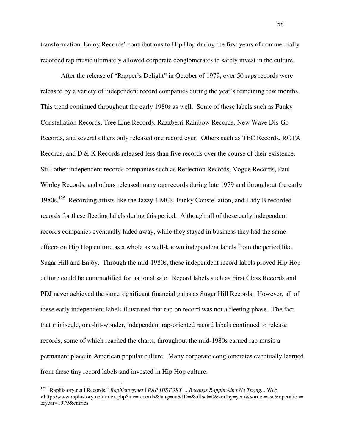transformation. Enjoy Records' contributions to Hip Hop during the first years of commercially recorded rap music ultimately allowed corporate conglomerates to safely invest in the culture.

After the release of "Rapper's Delight" in October of 1979, over 50 raps records were released by a variety of independent record companies during the year's remaining few months. This trend continued throughout the early 1980s as well. Some of these labels such as Funky Constellation Records, Tree Line Records, Razzberri Rainbow Records, New Wave Dis-Go Records, and several others only released one record ever. Others such as TEC Records, ROTA Records, and D & K Records released less than five records over the course of their existence. Still other independent records companies such as Reflection Records, Vogue Records, Paul Winley Records, and others released many rap records during late 1979 and throughout the early 1980s.<sup>125</sup> Recording artists like the Jazzy 4 MCs, Funky Constellation, and Lady B recorded records for these fleeting labels during this period. Although all of these early independent records companies eventually faded away, while they stayed in business they had the same effects on Hip Hop culture as a whole as well-known independent labels from the period like Sugar Hill and Enjoy. Through the mid-1980s, these independent record labels proved Hip Hop culture could be commodified for national sale. Record labels such as First Class Records and PDJ never achieved the same significant financial gains as Sugar Hill Records. However, all of these early independent labels illustrated that rap on record was not a fleeting phase. The fact that miniscule, one-hit-wonder, independent rap-oriented record labels continued to release records, some of which reached the charts, throughout the mid-1980s earned rap music a permanent place in American popular culture. Many corporate conglomerates eventually learned from these tiny record labels and invested in Hip Hop culture.

<sup>&</sup>lt;sup>125</sup> "Raphistory.net | Records." *Raphistory.net* | *RAP HISTORY ... Because Rappin Ain't No Thang...* Web.  $\text{Khtp:}/\text{www.raphistory.net/index.php?inc=records⟨=en&ID=\&offset=0&sortby=year&sortℴ=asc&operation=$ &year=1979&entries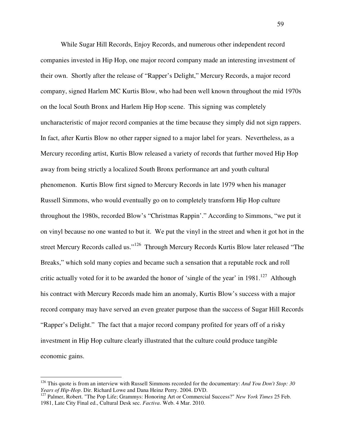While Sugar Hill Records, Enjoy Records, and numerous other independent record companies invested in Hip Hop, one major record company made an interesting investment of their own. Shortly after the release of "Rapper's Delight," Mercury Records, a major record company, signed Harlem MC Kurtis Blow, who had been well known throughout the mid 1970s on the local South Bronx and Harlem Hip Hop scene. This signing was completely uncharacteristic of major record companies at the time because they simply did not sign rappers. In fact, after Kurtis Blow no other rapper signed to a major label for years. Nevertheless, as a Mercury recording artist, Kurtis Blow released a variety of records that further moved Hip Hop away from being strictly a localized South Bronx performance art and youth cultural phenomenon. Kurtis Blow first signed to Mercury Records in late 1979 when his manager Russell Simmons, who would eventually go on to completely transform Hip Hop culture throughout the 1980s, recorded Blow's "Christmas Rappin'." According to Simmons, "we put it on vinyl because no one wanted to but it. We put the vinyl in the street and when it got hot in the street Mercury Records called us."<sup>126</sup> Through Mercury Records Kurtis Blow later released "The Breaks," which sold many copies and became such a sensation that a reputable rock and roll critic actually voted for it to be awarded the honor of 'single of the year' in  $1981$ <sup>127</sup> Although his contract with Mercury Records made him an anomaly, Kurtis Blow's success with a major record company may have served an even greater purpose than the success of Sugar Hill Records "Rapper's Delight." The fact that a major record company profited for years off of a risky investment in Hip Hop culture clearly illustrated that the culture could produce tangible economic gains.

<sup>126</sup> This quote is from an interview with Russell Simmons recorded for the documentary: *And You Don't Stop: 30 Years of Hip-Hop*. Dir. Richard Lowe and Dana Heinz Perry. 2004. DVD.

<sup>&</sup>lt;sup>127</sup> Palmer, Robert. "The Pop Life; Grammys: Honoring Art or Commercial Success?" *New York Times* 25 Feb. 1981, Late City Final ed., Cultural Desk sec. *Factiva*. Web. 4 Mar. 2010.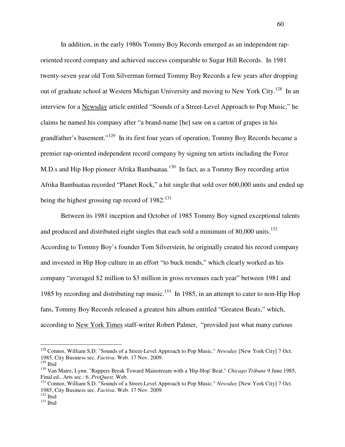In addition, in the early 1980s Tommy Boy Records emerged as an independent raporiented record company and achieved success comparable to Sugar Hill Records. In 1981 twenty-seven year old Tom Silverman formed Tommy Boy Records a few years after dropping out of graduate school at Western Michigan University and moving to New York City.<sup>128</sup> In an interview for a Newsday article entitled "Sounds of a Street-Level Approach to Pop Music," he claims he named his company after "a brand-name [he] saw on a carton of grapes in his grandfather's basement."<sup>129</sup> In its first four years of operation, Tommy Boy Records became a premier rap-oriented independent record company by signing ten artists including the Force M.D.s and Hip Hop pioneer Afrika Bambaataa.<sup>130</sup> In fact, as a Tommy Boy recording artist Afrika Bambaataa recorded "Planet Rock," a hit single that sold over 600,000 units and ended up being the highest grossing rap record of  $1982$ <sup>131</sup>

Between its 1981 inception and October of 1985 Tommy Boy signed exceptional talents and produced and distributed eight singles that each sold a minimum of  $80,000$  units.<sup>132</sup> According to Tommy Boy's founder Tom Silverstein, he originally created his record company and invested in Hip Hop culture in an effort "to buck trends," which clearly worked as his company "averaged \$2 million to \$3 million in gross revenues each year" between 1981 and 1985 by recording and distributing rap music.<sup>133</sup> In 1985, in an attempt to cater to non-Hip Hop fans, Tommy Boy Records released a greatest hits album entitled "Greatest Beats," which, according to New York Times staff-writer Robert Palmer, "provided just what many curious

<sup>128</sup> Connor, William S.D. "Sounds of a Street-Level Approach to Pop Music." *Newsday* [New York City] 7 Oct. 1985, City Business sec. *Factiva*. Web. 17 Nov. 2009.  $129$  Ibid

<sup>130</sup> Van Matre, Lynn. "Rappers Break Toward Mainstream with a 'Hip-Hop' Beat." *Chicago Tribune* 9 June 1985, Final ed., Arts sec.: 6. *ProQuest*. Web.

<sup>131</sup> Connor, William S.D. "Sounds of a Street-Level Approach to Pop Music." *Newsday* [New York City] 7 Oct. 1985, City Business sec. *Factiva*. Web. 17 Nov. 2009.

 $^{132}$  Ibid  $^{133}$  Ibid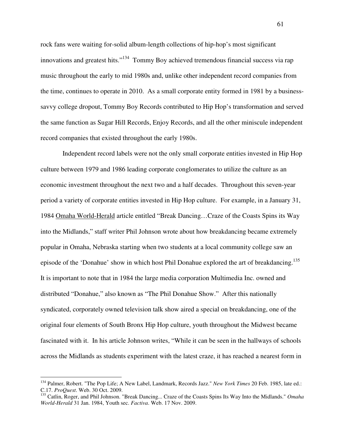rock fans were waiting for-solid album-length collections of hip-hop's most significant innovations and greatest hits."<sup>134</sup> Tommy Boy achieved tremendous financial success via rap music throughout the early to mid 1980s and, unlike other independent record companies from the time, continues to operate in 2010. As a small corporate entity formed in 1981 by a businesssavvy college dropout, Tommy Boy Records contributed to Hip Hop's transformation and served the same function as Sugar Hill Records, Enjoy Records, and all the other miniscule independent record companies that existed throughout the early 1980s.

 Independent record labels were not the only small corporate entities invested in Hip Hop culture between 1979 and 1986 leading corporate conglomerates to utilize the culture as an economic investment throughout the next two and a half decades. Throughout this seven-year period a variety of corporate entities invested in Hip Hop culture. For example, in a January 31, 1984 Omaha World-Herald article entitled "Break Dancing…Craze of the Coasts Spins its Way into the Midlands," staff writer Phil Johnson wrote about how breakdancing became extremely popular in Omaha, Nebraska starting when two students at a local community college saw an episode of the 'Donahue' show in which host Phil Donahue explored the art of breakdancing.<sup>135</sup> It is important to note that in 1984 the large media corporation Multimedia Inc. owned and distributed "Donahue," also known as "The Phil Donahue Show." After this nationally syndicated, corporately owned television talk show aired a special on breakdancing, one of the original four elements of South Bronx Hip Hop culture, youth throughout the Midwest became fascinated with it. In his article Johnson writes, "While it can be seen in the hallways of schools across the Midlands as students experiment with the latest craze, it has reached a nearest form in

<sup>134</sup> Palmer, Robert. "The Pop Life; A New Label, Landmark, Records Jazz." *New York Times* 20 Feb. 1985, late ed.: C.17. *ProQuest*. Web. 30 Oct. 2009.

<sup>135</sup> Catlin, Roger, and Phil Johnson. "Break Dancing... Craze of the Coasts Spins Its Way Into the Midlands." *Omaha World-Herald* 31 Jan. 1984, Youth sec. *Factiva*. Web. 17 Nov. 2009.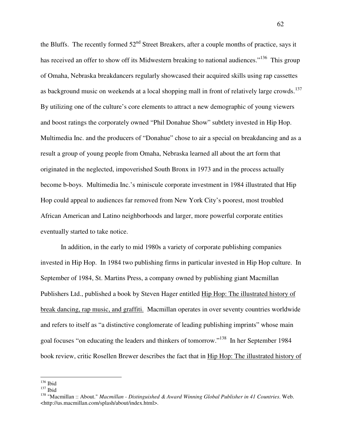the Bluffs. The recently formed  $52<sup>nd</sup>$  Street Breakers, after a couple months of practice, says it has received an offer to show off its Midwestern breaking to national audiences."<sup>136</sup> This group of Omaha, Nebraska breakdancers regularly showcased their acquired skills using rap cassettes as background music on weekends at a local shopping mall in front of relatively large crowds.<sup>137</sup> By utilizing one of the culture's core elements to attract a new demographic of young viewers and boost ratings the corporately owned "Phil Donahue Show" subtlety invested in Hip Hop. Multimedia Inc. and the producers of "Donahue" chose to air a special on breakdancing and as a result a group of young people from Omaha, Nebraska learned all about the art form that originated in the neglected, impoverished South Bronx in 1973 and in the process actually become b-boys. Multimedia Inc.'s miniscule corporate investment in 1984 illustrated that Hip Hop could appeal to audiences far removed from New York City's poorest, most troubled African American and Latino neighborhoods and larger, more powerful corporate entities eventually started to take notice.

 In addition, in the early to mid 1980s a variety of corporate publishing companies invested in Hip Hop. In 1984 two publishing firms in particular invested in Hip Hop culture. In September of 1984, St. Martins Press, a company owned by publishing giant Macmillan Publishers Ltd., published a book by Steven Hager entitled Hip Hop: The illustrated history of break dancing, rap music, and graffiti. Macmillan operates in over seventy countries worldwide and refers to itself as "a distinctive conglomerate of leading publishing imprints" whose main goal focuses "on educating the leaders and thinkers of tomorrow."<sup>138</sup> In her September 1984 book review, critic Rosellen Brewer describes the fact that in Hip Hop: The illustrated history of

 $\overline{a}$  $136$  Ibid

 $137$  Ibid

<sup>138</sup> "Macmillan :: About." *Macmillan - Distinguished & Award Winning Global Publisher in 41 Countries*. Web. <http://us.macmillan.com/splash/about/index.html>.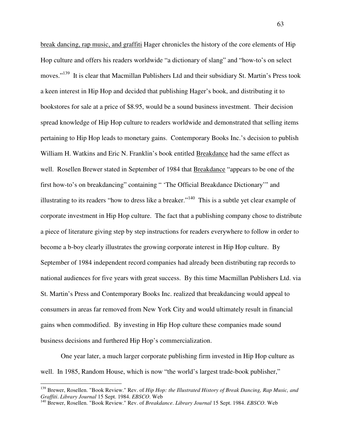break dancing, rap music, and graffiti Hager chronicles the history of the core elements of Hip Hop culture and offers his readers worldwide "a dictionary of slang" and "how-to's on select moves."<sup>139</sup> It is clear that Macmillan Publishers Ltd and their subsidiary St. Martin's Press took a keen interest in Hip Hop and decided that publishing Hager's book, and distributing it to bookstores for sale at a price of \$8.95, would be a sound business investment. Their decision spread knowledge of Hip Hop culture to readers worldwide and demonstrated that selling items pertaining to Hip Hop leads to monetary gains. Contemporary Books Inc.'s decision to publish William H. Watkins and Eric N. Franklin's book entitled Breakdance had the same effect as well. Rosellen Brewer stated in September of 1984 that Breakdance "appears to be one of the first how-to's on breakdancing" containing " 'The Official Breakdance Dictionary'" and illustrating to its readers "how to dress like a breaker."<sup>140</sup> This is a subtle yet clear example of corporate investment in Hip Hop culture. The fact that a publishing company chose to distribute a piece of literature giving step by step instructions for readers everywhere to follow in order to become a b-boy clearly illustrates the growing corporate interest in Hip Hop culture. By September of 1984 independent record companies had already been distributing rap records to national audiences for five years with great success. By this time Macmillan Publishers Ltd. via St. Martin's Press and Contemporary Books Inc. realized that breakdancing would appeal to consumers in areas far removed from New York City and would ultimately result in financial gains when commodified. By investing in Hip Hop culture these companies made sound business decisions and furthered Hip Hop's commercialization.

One year later, a much larger corporate publishing firm invested in Hip Hop culture as well. In 1985, Random House, which is now "the world's largest trade-book publisher,"

<sup>139</sup> Brewer, Rosellen. "Book Review." Rev. of *Hip Hop: the Illustrated History of Break Dancing, Rap Music, and Graffiti*. *Library Journal* 15 Sept. 1984. *EBSCO*. Web

<sup>140</sup> Brewer, Rosellen. "Book Review." Rev. of *Breakdance*. *Library Journal* 15 Sept. 1984. *EBSCO*. Web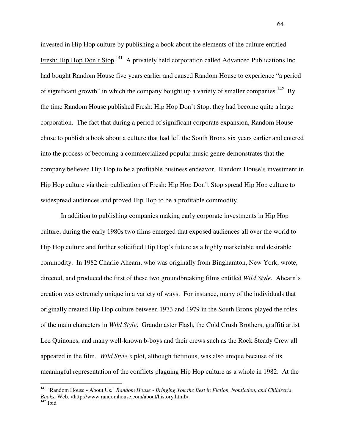invested in Hip Hop culture by publishing a book about the elements of the culture entitled Fresh: Hip Hop Don't Stop.<sup>141</sup> A privately held corporation called Advanced Publications Inc. had bought Random House five years earlier and caused Random House to experience "a period of significant growth" in which the company bought up a variety of smaller companies.<sup>142</sup> By the time Random House published Fresh: Hip Hop Don't Stop, they had become quite a large corporation. The fact that during a period of significant corporate expansion, Random House chose to publish a book about a culture that had left the South Bronx six years earlier and entered into the process of becoming a commercialized popular music genre demonstrates that the company believed Hip Hop to be a profitable business endeavor. Random House's investment in Hip Hop culture via their publication of Fresh: Hip Hop Don't Stop spread Hip Hop culture to widespread audiences and proved Hip Hop to be a profitable commodity.

 In addition to publishing companies making early corporate investments in Hip Hop culture, during the early 1980s two films emerged that exposed audiences all over the world to Hip Hop culture and further solidified Hip Hop's future as a highly marketable and desirable commodity. In 1982 Charlie Ahearn, who was originally from Binghamton, New York, wrote, directed, and produced the first of these two groundbreaking films entitled *Wild Style*. Ahearn's creation was extremely unique in a variety of ways. For instance, many of the individuals that originally created Hip Hop culture between 1973 and 1979 in the South Bronx played the roles of the main characters in *Wild Style*. Grandmaster Flash, the Cold Crush Brothers, graffiti artist Lee Quinones, and many well-known b-boys and their crews such as the Rock Steady Crew all appeared in the film. *Wild Style's* plot, although fictitious, was also unique because of its meaningful representation of the conflicts plaguing Hip Hop culture as a whole in 1982. At the

<sup>141</sup> "Random House - About Us." *Random House - Bringing You the Best in Fiction, Nonfiction, and Children's Books.* Web. <http://www.randomhouse.com/about/history.html>.  $142$  Ibid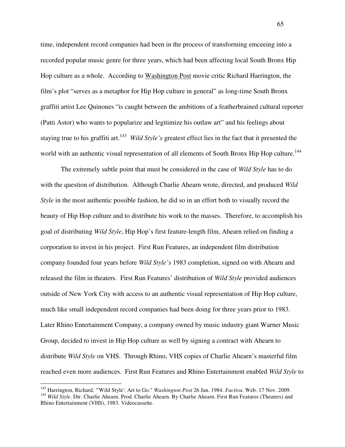time, independent record companies had been in the process of transforming emceeing into a recorded popular music genre for three years, which had been affecting local South Bronx Hip Hop culture as a whole. According to Washington Post movie critic Richard Harrington, the film's plot "serves as a metaphor for Hip Hop culture in general" as long-time South Bronx graffiti artist Lee Quinones "is caught between the ambitions of a featherbrained cultural reporter (Patti Astor) who wants to popularize and legitimize his outlaw art" and his feelings about staying true to his graffiti art.<sup>143</sup> Wild Style's greatest effect lies in the fact that it presented the world with an authentic visual representation of all elements of South Bronx Hip Hop culture.<sup>144</sup>

The extremely subtle point that must be considered in the case of *Wild Style* has to do with the question of distribution. Although Charlie Ahearn wrote, directed, and produced *Wild Style* in the most authentic possible fashion, he did so in an effort both to visually record the beauty of Hip Hop culture and to distribute his work to the masses. Therefore, to accomplish his goal of distributing *Wild Style*, Hip Hop's first feature-length film, Ahearn relied on finding a corporation to invest in his project. First Run Features, an independent film distribution company founded four years before *Wild Style's* 1983 completion, signed on with Ahearn and released the film in theaters. First Run Features' distribution of *Wild Style* provided audiences outside of New York City with access to an authentic visual representation of Hip Hop culture, much like small independent record companies had been doing for three years prior to 1983. Later Rhino Entertainment Company, a company owned by music industry giant Warner Music Group, decided to invest in Hip Hop culture as well by signing a contract with Ahearn to distribute *Wild Style* on VHS. Through Rhino, VHS copies of Charlie Ahearn's masterful film reached even more audiences. First Run Features and Rhino Entertainment enabled *Wild Style* to

<sup>143</sup> Harrington, Richard. "'Wild Style': Art to Go." *Washington Post* 26 Jan. 1984. *Factiva*. Web. 17 Nov. 2009. <sup>144</sup> *Wild Style*. Dir. Charlie Ahearn. Prod. Charlie Ahearn. By Charlie Ahearn. First Run Features (Theaters) and Rhino Entertainment (VHS), 1983. Videocassette.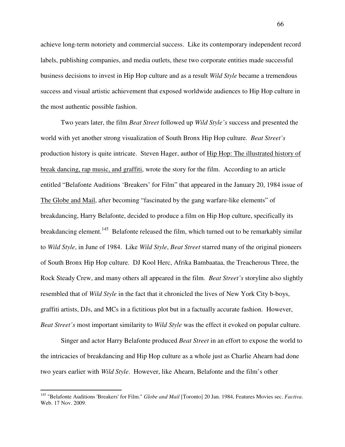achieve long-term notoriety and commercial success. Like its contemporary independent record labels, publishing companies, and media outlets, these two corporate entities made successful business decisions to invest in Hip Hop culture and as a result *Wild Style* became a tremendous success and visual artistic achievement that exposed worldwide audiences to Hip Hop culture in the most authentic possible fashion.

 Two years later, the film *Beat Street* followed up *Wild Style's* success and presented the world with yet another strong visualization of South Bronx Hip Hop culture. *Beat Street's* production history is quite intricate. Steven Hager, author of Hip Hop: The illustrated history of break dancing, rap music, and graffiti, wrote the story for the film. According to an article entitled "Belafonte Auditions 'Breakers' for Film" that appeared in the January 20, 1984 issue of The Globe and Mail, after becoming "fascinated by the gang warfare-like elements" of breakdancing, Harry Belafonte, decided to produce a film on Hip Hop culture, specifically its breakdancing element.<sup>145</sup> Belafonte released the film, which turned out to be remarkably similar to *Wild Style*, in June of 1984. Like *Wild Style*, *Beat Street* starred many of the original pioneers of South Bronx Hip Hop culture. DJ Kool Herc, Afrika Bambaataa, the Treacherous Three, the Rock Steady Crew, and many others all appeared in the film. *Beat Street's* storyline also slightly resembled that of *Wild Style* in the fact that it chronicled the lives of New York City b-boys, graffiti artists, DJs, and MCs in a fictitious plot but in a factually accurate fashion. However, *Beat Street's* most important similarity to *Wild Style* was the effect it evoked on popular culture.

Singer and actor Harry Belafonte produced *Beat Street* in an effort to expose the world to the intricacies of breakdancing and Hip Hop culture as a whole just as Charlie Ahearn had done two years earlier with *Wild Style*. However, like Ahearn, Belafonte and the film's other

<sup>145</sup> "Belafonte Auditions 'Breakers' for Film." *Globe and Mail* [Toronto] 20 Jan. 1984, Features Movies sec. *Factiva*. Web. 17 Nov. 2009.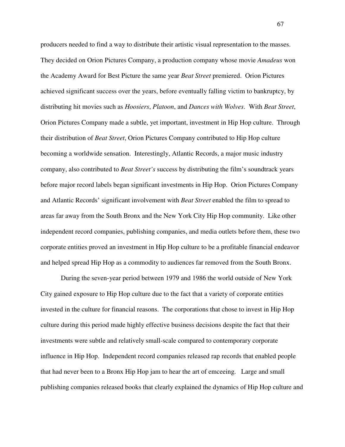producers needed to find a way to distribute their artistic visual representation to the masses. They decided on Orion Pictures Company, a production company whose movie *Amadeus* won the Academy Award for Best Picture the same year *Beat Street* premiered. Orion Pictures achieved significant success over the years, before eventually falling victim to bankruptcy, by distributing hit movies such as *Hoosiers*, *Platoon*, and *Dances with Wolves*. With *Beat Street*, Orion Pictures Company made a subtle, yet important, investment in Hip Hop culture. Through their distribution of *Beat Street*, Orion Pictures Company contributed to Hip Hop culture becoming a worldwide sensation. Interestingly, Atlantic Records, a major music industry company, also contributed to *Beat Street's* success by distributing the film's soundtrack years before major record labels began significant investments in Hip Hop. Orion Pictures Company and Atlantic Records' significant involvement with *Beat Street* enabled the film to spread to areas far away from the South Bronx and the New York City Hip Hop community. Like other independent record companies, publishing companies, and media outlets before them, these two corporate entities proved an investment in Hip Hop culture to be a profitable financial endeavor and helped spread Hip Hop as a commodity to audiences far removed from the South Bronx.

 During the seven-year period between 1979 and 1986 the world outside of New York City gained exposure to Hip Hop culture due to the fact that a variety of corporate entities invested in the culture for financial reasons. The corporations that chose to invest in Hip Hop culture during this period made highly effective business decisions despite the fact that their investments were subtle and relatively small-scale compared to contemporary corporate influence in Hip Hop. Independent record companies released rap records that enabled people that had never been to a Bronx Hip Hop jam to hear the art of emceeing. Large and small publishing companies released books that clearly explained the dynamics of Hip Hop culture and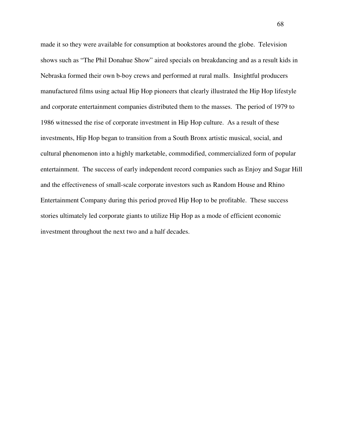made it so they were available for consumption at bookstores around the globe. Television shows such as "The Phil Donahue Show" aired specials on breakdancing and as a result kids in Nebraska formed their own b-boy crews and performed at rural malls. Insightful producers manufactured films using actual Hip Hop pioneers that clearly illustrated the Hip Hop lifestyle and corporate entertainment companies distributed them to the masses. The period of 1979 to 1986 witnessed the rise of corporate investment in Hip Hop culture. As a result of these investments, Hip Hop began to transition from a South Bronx artistic musical, social, and cultural phenomenon into a highly marketable, commodified, commercialized form of popular entertainment. The success of early independent record companies such as Enjoy and Sugar Hill and the effectiveness of small-scale corporate investors such as Random House and Rhino Entertainment Company during this period proved Hip Hop to be profitable. These success stories ultimately led corporate giants to utilize Hip Hop as a mode of efficient economic investment throughout the next two and a half decades.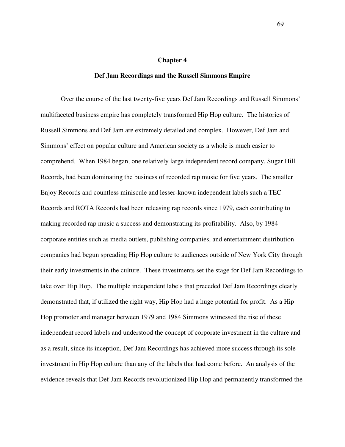# **Chapter 4**

#### **Def Jam Recordings and the Russell Simmons Empire**

 Over the course of the last twenty-five years Def Jam Recordings and Russell Simmons' multifaceted business empire has completely transformed Hip Hop culture. The histories of Russell Simmons and Def Jam are extremely detailed and complex. However, Def Jam and Simmons' effect on popular culture and American society as a whole is much easier to comprehend. When 1984 began, one relatively large independent record company, Sugar Hill Records, had been dominating the business of recorded rap music for five years. The smaller Enjoy Records and countless miniscule and lesser-known independent labels such a TEC Records and ROTA Records had been releasing rap records since 1979, each contributing to making recorded rap music a success and demonstrating its profitability. Also, by 1984 corporate entities such as media outlets, publishing companies, and entertainment distribution companies had begun spreading Hip Hop culture to audiences outside of New York City through their early investments in the culture. These investments set the stage for Def Jam Recordings to take over Hip Hop. The multiple independent labels that preceded Def Jam Recordings clearly demonstrated that, if utilized the right way, Hip Hop had a huge potential for profit. As a Hip Hop promoter and manager between 1979 and 1984 Simmons witnessed the rise of these independent record labels and understood the concept of corporate investment in the culture and as a result, since its inception, Def Jam Recordings has achieved more success through its sole investment in Hip Hop culture than any of the labels that had come before. An analysis of the evidence reveals that Def Jam Records revolutionized Hip Hop and permanently transformed the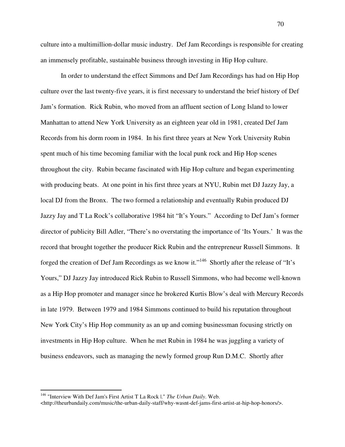culture into a multimillion-dollar music industry. Def Jam Recordings is responsible for creating an immensely profitable, sustainable business through investing in Hip Hop culture.

 In order to understand the effect Simmons and Def Jam Recordings has had on Hip Hop culture over the last twenty-five years, it is first necessary to understand the brief history of Def Jam's formation. Rick Rubin, who moved from an affluent section of Long Island to lower Manhattan to attend New York University as an eighteen year old in 1981, created Def Jam Records from his dorm room in 1984. In his first three years at New York University Rubin spent much of his time becoming familiar with the local punk rock and Hip Hop scenes throughout the city. Rubin became fascinated with Hip Hop culture and began experimenting with producing beats. At one point in his first three years at NYU, Rubin met DJ Jazzy Jay, a local DJ from the Bronx. The two formed a relationship and eventually Rubin produced DJ Jazzy Jay and T La Rock's collaborative 1984 hit "It's Yours." According to Def Jam's former director of publicity Bill Adler, "There's no overstating the importance of 'Its Yours.' It was the record that brought together the producer Rick Rubin and the entrepreneur Russell Simmons. It forged the creation of Def Jam Recordings as we know it."<sup>146</sup> Shortly after the release of "It's Yours," DJ Jazzy Jay introduced Rick Rubin to Russell Simmons, who had become well-known as a Hip Hop promoter and manager since he brokered Kurtis Blow's deal with Mercury Records in late 1979. Between 1979 and 1984 Simmons continued to build his reputation throughout New York City's Hip Hop community as an up and coming businessman focusing strictly on investments in Hip Hop culture. When he met Rubin in 1984 he was juggling a variety of business endeavors, such as managing the newly formed group Run D.M.C. Shortly after

<sup>146</sup> "Interview With Def Jam's First Artist T La Rock |." *The Urban Daily*. Web.

 $\text{thtp://theurban daily.com/music/he-urban-daily-staff/why-wasnt-def-jams-first-artist-at-hip-hop-honors/>}.$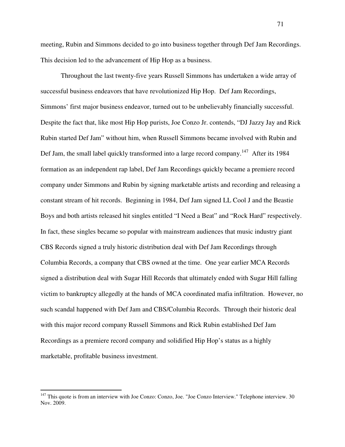meeting, Rubin and Simmons decided to go into business together through Def Jam Recordings. This decision led to the advancement of Hip Hop as a business.

 Throughout the last twenty-five years Russell Simmons has undertaken a wide array of successful business endeavors that have revolutionized Hip Hop. Def Jam Recordings, Simmons' first major business endeavor, turned out to be unbelievably financially successful. Despite the fact that, like most Hip Hop purists, Joe Conzo Jr. contends, "DJ Jazzy Jay and Rick Rubin started Def Jam" without him, when Russell Simmons became involved with Rubin and Def Jam, the small label quickly transformed into a large record company.<sup>147</sup> After its 1984 formation as an independent rap label, Def Jam Recordings quickly became a premiere record company under Simmons and Rubin by signing marketable artists and recording and releasing a constant stream of hit records. Beginning in 1984, Def Jam signed LL Cool J and the Beastie Boys and both artists released hit singles entitled "I Need a Beat" and "Rock Hard" respectively. In fact, these singles became so popular with mainstream audiences that music industry giant CBS Records signed a truly historic distribution deal with Def Jam Recordings through Columbia Records, a company that CBS owned at the time. One year earlier MCA Records signed a distribution deal with Sugar Hill Records that ultimately ended with Sugar Hill falling victim to bankruptcy allegedly at the hands of MCA coordinated mafia infiltration. However, no such scandal happened with Def Jam and CBS/Columbia Records. Through their historic deal with this major record company Russell Simmons and Rick Rubin established Def Jam Recordings as a premiere record company and solidified Hip Hop's status as a highly marketable, profitable business investment.

 $147$  This quote is from an interview with Joe Conzo: Conzo, Joe. "Joe Conzo Interview." Telephone interview. 30 Nov. 2009.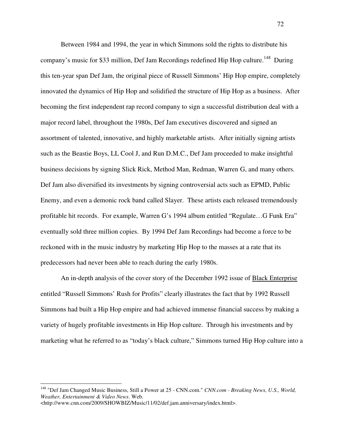Between 1984 and 1994, the year in which Simmons sold the rights to distribute his company's music for \$33 million, Def Jam Recordings redefined Hip Hop culture.<sup>148</sup> During this ten-year span Def Jam, the original piece of Russell Simmons' Hip Hop empire, completely innovated the dynamics of Hip Hop and solidified the structure of Hip Hop as a business. After becoming the first independent rap record company to sign a successful distribution deal with a major record label, throughout the 1980s, Def Jam executives discovered and signed an assortment of talented, innovative, and highly marketable artists. After initially signing artists such as the Beastie Boys, LL Cool J, and Run D.M.C., Def Jam proceeded to make insightful business decisions by signing Slick Rick, Method Man, Redman, Warren G, and many others. Def Jam also diversified its investments by signing controversial acts such as EPMD, Public Enemy, and even a demonic rock band called Slayer. These artists each released tremendously profitable hit records. For example, Warren G's 1994 album entitled "Regulate…G Funk Era" eventually sold three million copies. By 1994 Def Jam Recordings had become a force to be reckoned with in the music industry by marketing Hip Hop to the masses at a rate that its predecessors had never been able to reach during the early 1980s.

 An in-depth analysis of the cover story of the December 1992 issue of Black Enterprise entitled "Russell Simmons' Rush for Profits" clearly illustrates the fact that by 1992 Russell Simmons had built a Hip Hop empire and had achieved immense financial success by making a variety of hugely profitable investments in Hip Hop culture. Through his investments and by marketing what he referred to as "today's black culture," Simmons turned Hip Hop culture into a

<sup>148</sup> "Def Jam Changed Music Business, Still a Power at 25 - CNN.com." *CNN.com - Breaking News, U.S., World, Weather, Entertainment & Video News*. Web.

<sup>&</sup>lt;http://www.cnn.com/2009/SHOWBIZ/Music/11/02/def.jam.anniversary/index.html>.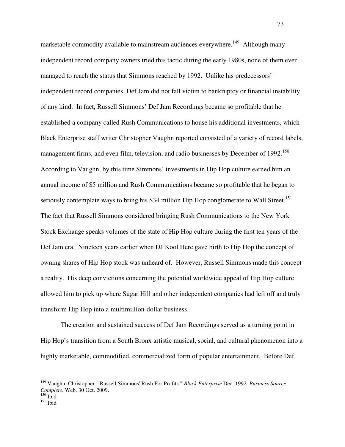marketable commodity available to mainstream audiences everywhere.<sup>149</sup> Although many independent record company owners tried this tactic during the early 1980s, none of them ever managed to reach the status that Simmons reached by 1992. Unlike his predecessors' independent record companies, Def Jam did not fall victim to bankruptcy or financial instability of any kind. In fact, Russell Simmons' Def Jam Recordings became so profitable that he established a company called Rush Communications to house his additional investments, which Black Enterprise staff writer Christopher Vaughn reported consisted of a variety of record labels, management firms, and even film, television, and radio businesses by December of 1992.<sup>150</sup> According to Vaughn, by this time Simmons' investments in Hip Hop culture earned him an annual income of \$5 million and Rush Communications became so profitable that he began to seriously contemplate ways to bring his \$34 million Hip Hop conglomerate to Wall Street.<sup>151</sup> The fact that Russell Simmons considered bringing Rush Communications to the New York Stock Exchange speaks volumes of the state of Hip Hop culture during the first ten years of the Def Jam era. Nineteen years earlier when DJ Kool Herc gave birth to Hip Hop the concept of owning shares of Hip Hop stock was unheard of. However, Russell Simmons made this concept a reality. His deep convictions concerning the potential worldwide appeal of Hip Hop culture allowed him to pick up where Sugar Hill and other independent companies had left off and truly transform Hip Hop into a multimillion-dollar business.

The creation and sustained success of Def Jam Recordings served as a turning point in Hip Hop's transition from a South Bronx artistic musical, social, and cultural phenomenon into a highly marketable, commodified, commercialized form of popular entertainment. Before Def

<sup>149</sup> Vaughn, Christopher. "Russell Simmons' Rush For Profits." *Black Enterprise* Dec. 1992. *Business Source Complete*. Web. 30 Oct. 2009.

 $150$  Ibid

 $151$  Ibid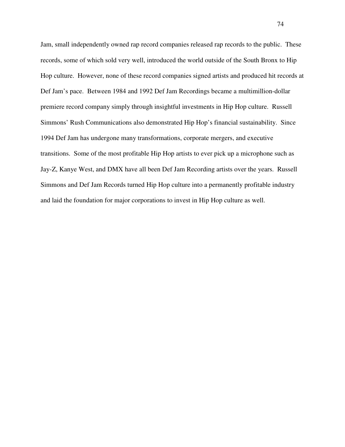Jam, small independently owned rap record companies released rap records to the public. These records, some of which sold very well, introduced the world outside of the South Bronx to Hip Hop culture. However, none of these record companies signed artists and produced hit records at Def Jam's pace. Between 1984 and 1992 Def Jam Recordings became a multimillion-dollar premiere record company simply through insightful investments in Hip Hop culture. Russell Simmons' Rush Communications also demonstrated Hip Hop's financial sustainability. Since 1994 Def Jam has undergone many transformations, corporate mergers, and executive transitions. Some of the most profitable Hip Hop artists to ever pick up a microphone such as Jay-Z, Kanye West, and DMX have all been Def Jam Recording artists over the years. Russell Simmons and Def Jam Records turned Hip Hop culture into a permanently profitable industry and laid the foundation for major corporations to invest in Hip Hop culture as well.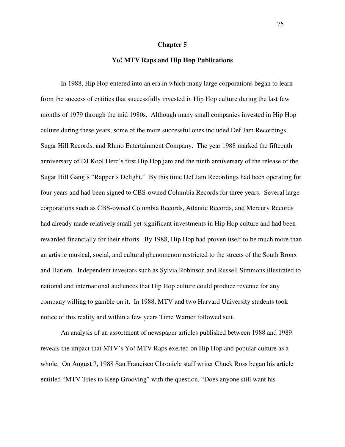#### **Chapter 5**

#### **Yo! MTV Raps and Hip Hop Publications**

 In 1988, Hip Hop entered into an era in which many large corporations began to learn from the success of entities that successfully invested in Hip Hop culture during the last few months of 1979 through the mid 1980s. Although many small companies invested in Hip Hop culture during these years, some of the more successful ones included Def Jam Recordings, Sugar Hill Records, and Rhino Entertainment Company. The year 1988 marked the fifteenth anniversary of DJ Kool Herc's first Hip Hop jam and the ninth anniversary of the release of the Sugar Hill Gang's "Rapper's Delight." By this time Def Jam Recordings had been operating for four years and had been signed to CBS-owned Columbia Records for three years. Several large corporations such as CBS-owned Columbia Records, Atlantic Records, and Mercury Records had already made relatively small yet significant investments in Hip Hop culture and had been rewarded financially for their efforts. By 1988, Hip Hop had proven itself to be much more than an artistic musical, social, and cultural phenomenon restricted to the streets of the South Bronx and Harlem. Independent investors such as Sylvia Robinson and Russell Simmons illustrated to national and international audiences that Hip Hop culture could produce revenue for any company willing to gamble on it. In 1988, MTV and two Harvard University students took notice of this reality and within a few years Time Warner followed suit.

 An analysis of an assortment of newspaper articles published between 1988 and 1989 reveals the impact that MTV's Yo! MTV Raps exerted on Hip Hop and popular culture as a whole. On August 7, 1988 San Francisco Chronicle staff writer Chuck Ross began his article entitled "MTV Tries to Keep Grooving" with the question, "Does anyone still want his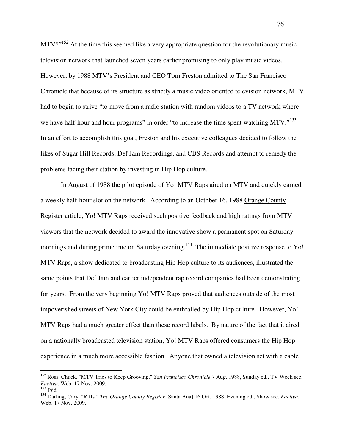MTV?"<sup>152</sup> At the time this seemed like a very appropriate question for the revolutionary music television network that launched seven years earlier promising to only play music videos. However, by 1988 MTV's President and CEO Tom Freston admitted to The San Francisco Chronicle that because of its structure as strictly a music video oriented television network, MTV had to begin to strive "to move from a radio station with random videos to a TV network where we have half-hour and hour programs" in order "to increase the time spent watching MTV."<sup>153</sup> In an effort to accomplish this goal, Freston and his executive colleagues decided to follow the likes of Sugar Hill Records, Def Jam Recordings, and CBS Records and attempt to remedy the problems facing their station by investing in Hip Hop culture.

 In August of 1988 the pilot episode of Yo! MTV Raps aired on MTV and quickly earned a weekly half-hour slot on the network. According to an October 16, 1988 Orange County Register article, Yo! MTV Raps received such positive feedback and high ratings from MTV viewers that the network decided to award the innovative show a permanent spot on Saturday mornings and during primetime on Saturday evening.<sup>154</sup> The immediate positive response to Yo! MTV Raps, a show dedicated to broadcasting Hip Hop culture to its audiences, illustrated the same points that Def Jam and earlier independent rap record companies had been demonstrating for years. From the very beginning Yo! MTV Raps proved that audiences outside of the most impoverished streets of New York City could be enthralled by Hip Hop culture. However, Yo! MTV Raps had a much greater effect than these record labels. By nature of the fact that it aired on a nationally broadcasted television station, Yo! MTV Raps offered consumers the Hip Hop experience in a much more accessible fashion. Anyone that owned a television set with a cable

<sup>&</sup>lt;sup>152</sup> Ross, Chuck. "MTV Tries to Keep Grooving." *San Francisco Chronicle* 7 Aug. 1988, Sunday ed., TV Week sec. *Factiva*. Web. 17 Nov. 2009.  $153$  Ibid

<sup>154</sup> Darling, Cary. "Riffs." *The Orange County Register* [Santa Ana] 16 Oct. 1988, Evening ed., Show sec. *Factiva*. Web. 17 Nov. 2009.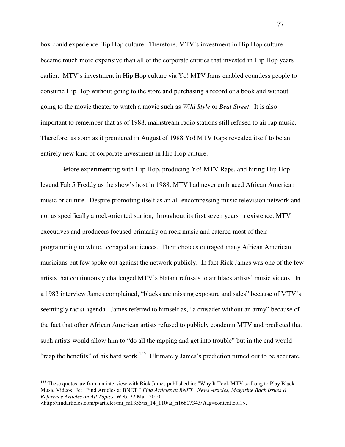box could experience Hip Hop culture. Therefore, MTV's investment in Hip Hop culture became much more expansive than all of the corporate entities that invested in Hip Hop years earlier. MTV's investment in Hip Hop culture via Yo! MTV Jams enabled countless people to consume Hip Hop without going to the store and purchasing a record or a book and without going to the movie theater to watch a movie such as *Wild Style* or *Beat Street*. It is also important to remember that as of 1988, mainstream radio stations still refused to air rap music. Therefore, as soon as it premiered in August of 1988 Yo! MTV Raps revealed itself to be an entirely new kind of corporate investment in Hip Hop culture.

Before experimenting with Hip Hop, producing Yo! MTV Raps, and hiring Hip Hop legend Fab 5 Freddy as the show's host in 1988, MTV had never embraced African American music or culture. Despite promoting itself as an all-encompassing music television network and not as specifically a rock-oriented station, throughout its first seven years in existence, MTV executives and producers focused primarily on rock music and catered most of their programming to white, teenaged audiences. Their choices outraged many African American musicians but few spoke out against the network publicly. In fact Rick James was one of the few artists that continuously challenged MTV's blatant refusals to air black artists' music videos. In a 1983 interview James complained, "blacks are missing exposure and sales" because of MTV's seemingly racist agenda. James referred to himself as, "a crusader without an army" because of the fact that other African American artists refused to publicly condemn MTV and predicted that such artists would allow him to "do all the rapping and get into trouble" but in the end would "reap the benefits" of his hard work.<sup>155</sup> Ultimately James's prediction turned out to be accurate.

<sup>&</sup>lt;sup>155</sup> These quotes are from an interview with Rick James published in: "Why It Took MTV so Long to Play Black Music Videos | Jet | Find Articles at BNET." *Find Articles at BNET | News Articles, Magazine Back Issues & Reference Articles on All Topics*. Web. 22 Mar. 2010.

<sup>&</sup>lt;http://findarticles.com/p/articles/mi\_m1355/is\_14\_110/ai\_n16807343/?tag=content;col1>.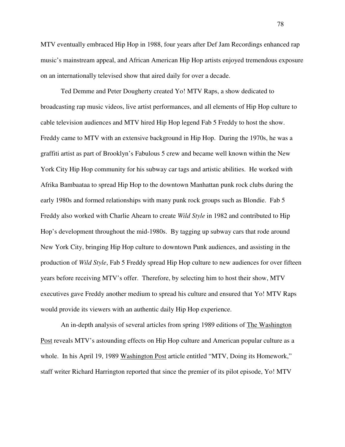MTV eventually embraced Hip Hop in 1988, four years after Def Jam Recordings enhanced rap music's mainstream appeal, and African American Hip Hop artists enjoyed tremendous exposure on an internationally televised show that aired daily for over a decade.

Ted Demme and Peter Dougherty created Yo! MTV Raps, a show dedicated to broadcasting rap music videos, live artist performances, and all elements of Hip Hop culture to cable television audiences and MTV hired Hip Hop legend Fab 5 Freddy to host the show. Freddy came to MTV with an extensive background in Hip Hop. During the 1970s, he was a graffiti artist as part of Brooklyn's Fabulous 5 crew and became well known within the New York City Hip Hop community for his subway car tags and artistic abilities. He worked with Afrika Bambaataa to spread Hip Hop to the downtown Manhattan punk rock clubs during the early 1980s and formed relationships with many punk rock groups such as Blondie. Fab 5 Freddy also worked with Charlie Ahearn to create *Wild Style* in 1982 and contributed to Hip Hop's development throughout the mid-1980s. By tagging up subway cars that rode around New York City, bringing Hip Hop culture to downtown Punk audiences, and assisting in the production of *Wild Style*, Fab 5 Freddy spread Hip Hop culture to new audiences for over fifteen years before receiving MTV's offer. Therefore, by selecting him to host their show, MTV executives gave Freddy another medium to spread his culture and ensured that Yo! MTV Raps would provide its viewers with an authentic daily Hip Hop experience.

 An in-depth analysis of several articles from spring 1989 editions of The Washington Post reveals MTV's astounding effects on Hip Hop culture and American popular culture as a whole. In his April 19, 1989 Washington Post article entitled "MTV, Doing its Homework," staff writer Richard Harrington reported that since the premier of its pilot episode, Yo! MTV

78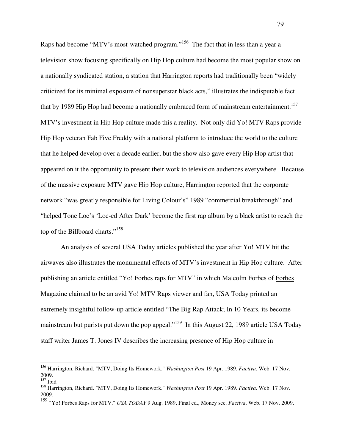Raps had become "MTV's most-watched program."<sup>156</sup> The fact that in less than a year a television show focusing specifically on Hip Hop culture had become the most popular show on a nationally syndicated station, a station that Harrington reports had traditionally been "widely criticized for its minimal exposure of nonsuperstar black acts," illustrates the indisputable fact that by 1989 Hip Hop had become a nationally embraced form of mainstream entertainment.<sup>157</sup> MTV's investment in Hip Hop culture made this a reality. Not only did Yo! MTV Raps provide Hip Hop veteran Fab Five Freddy with a national platform to introduce the world to the culture that he helped develop over a decade earlier, but the show also gave every Hip Hop artist that appeared on it the opportunity to present their work to television audiences everywhere. Because of the massive exposure MTV gave Hip Hop culture, Harrington reported that the corporate network "was greatly responsible for Living Colour's" 1989 "commercial breakthrough" and "helped Tone Loc's 'Loc-ed After Dark' become the first rap album by a black artist to reach the top of the Billboard charts."<sup>158</sup>

 An analysis of several USA Today articles published the year after Yo! MTV hit the airwaves also illustrates the monumental effects of MTV's investment in Hip Hop culture. After publishing an article entitled "Yo! Forbes raps for MTV" in which Malcolm Forbes of Forbes Magazine claimed to be an avid Yo! MTV Raps viewer and fan, USA Today printed an extremely insightful follow-up article entitled "The Big Rap Attack; In 10 Years, its become mainstream but purists put down the pop appeal."<sup>159</sup> In this August 22, 1989 article USA Today staff writer James T. Jones IV describes the increasing presence of Hip Hop culture in

<sup>156</sup> Harrington, Richard. "MTV, Doing Its Homework." *Washington Post* 19 Apr. 1989. *Factiva*. Web. 17 Nov. 2009.

<sup>157</sup> Ibid

<sup>158</sup> Harrington, Richard. "MTV, Doing Its Homework." *Washington Post* 19 Apr. 1989. *Factiva*. Web. 17 Nov. 2009.

<sup>159</sup> "Yo! Forbes Raps for MTV." *USA TODAY* 9 Aug. 1989, Final ed., Money sec. *Factiva*. Web. 17 Nov. 2009.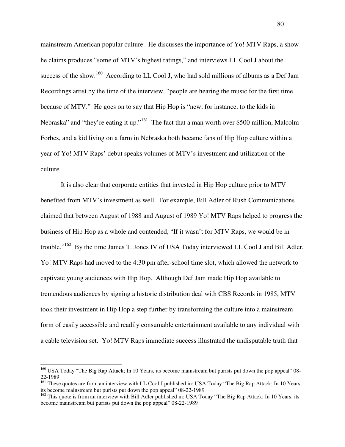mainstream American popular culture. He discusses the importance of Yo! MTV Raps, a show he claims produces "some of MTV's highest ratings," and interviews LL Cool J about the success of the show.<sup>160</sup> According to LL Cool J, who had sold millions of albums as a Def Jam Recordings artist by the time of the interview, "people are hearing the music for the first time because of MTV." He goes on to say that Hip Hop is "new, for instance, to the kids in Nebraska" and "they're eating it up."<sup>161</sup> The fact that a man worth over \$500 million, Malcolm Forbes, and a kid living on a farm in Nebraska both became fans of Hip Hop culture within a year of Yo! MTV Raps' debut speaks volumes of MTV's investment and utilization of the culture.

It is also clear that corporate entities that invested in Hip Hop culture prior to MTV benefited from MTV's investment as well. For example, Bill Adler of Rush Communications claimed that between August of 1988 and August of 1989 Yo! MTV Raps helped to progress the business of Hip Hop as a whole and contended, "If it wasn't for MTV Raps, we would be in trouble."<sup>162</sup> By the time James T. Jones IV of USA Today interviewed LL Cool J and Bill Adler, Yo! MTV Raps had moved to the 4:30 pm after-school time slot, which allowed the network to captivate young audiences with Hip Hop. Although Def Jam made Hip Hop available to tremendous audiences by signing a historic distribution deal with CBS Records in 1985, MTV took their investment in Hip Hop a step further by transforming the culture into a mainstream form of easily accessible and readily consumable entertainment available to any individual with a cable television set. Yo! MTV Raps immediate success illustrated the undisputable truth that

<sup>&</sup>lt;sup>160</sup> USA Today "The Big Rap Attack; In 10 Years, its become mainstream but purists put down the pop appeal" 08-22-1989

<sup>&</sup>lt;sup>161</sup> These quotes are from an interview with LL Cool J published in: USA Today "The Big Rap Attack; In 10 Years, its become mainstream but purists put down the pop appeal" 08-22-1989

<sup>&</sup>lt;sup>162</sup> This quote is from an interview with Bill Adler published in: USA Today "The Big Rap Attack; In 10 Years, its become mainstream but purists put down the pop appeal" 08-22-1989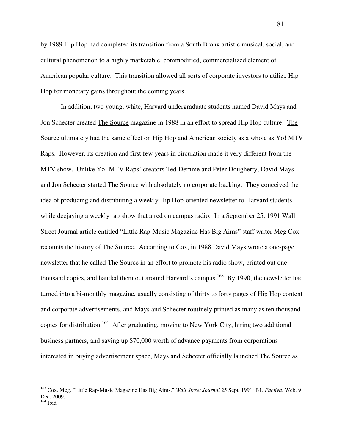by 1989 Hip Hop had completed its transition from a South Bronx artistic musical, social, and cultural phenomenon to a highly marketable, commodified, commercialized element of American popular culture. This transition allowed all sorts of corporate investors to utilize Hip Hop for monetary gains throughout the coming years.

In addition, two young, white, Harvard undergraduate students named David Mays and Jon Schecter created The Source magazine in 1988 in an effort to spread Hip Hop culture. The Source ultimately had the same effect on Hip Hop and American society as a whole as Yo! MTV Raps. However, its creation and first few years in circulation made it very different from the MTV show. Unlike Yo! MTV Raps' creators Ted Demme and Peter Dougherty, David Mays and Jon Schecter started The Source with absolutely no corporate backing. They conceived the idea of producing and distributing a weekly Hip Hop-oriented newsletter to Harvard students while deejaying a weekly rap show that aired on campus radio. In a September 25, 1991 Wall Street Journal article entitled "Little Rap-Music Magazine Has Big Aims" staff writer Meg Cox recounts the history of The Source. According to Cox, in 1988 David Mays wrote a one-page newsletter that he called The Source in an effort to promote his radio show, printed out one thousand copies, and handed them out around Harvard's campus.<sup>163</sup> By 1990, the newsletter had turned into a bi-monthly magazine, usually consisting of thirty to forty pages of Hip Hop content and corporate advertisements, and Mays and Schecter routinely printed as many as ten thousand copies for distribution.<sup>164</sup> After graduating, moving to New York City, hiring two additional business partners, and saving up \$70,000 worth of advance payments from corporations interested in buying advertisement space, Mays and Schecter officially launched The Source as

<sup>163</sup> Cox, Meg. "Little Rap-Music Magazine Has Big Aims." *Wall Street Journal* 25 Sept. 1991: B1. *Factiva*. Web. 9 Dec. 2009.  $164$  Ibid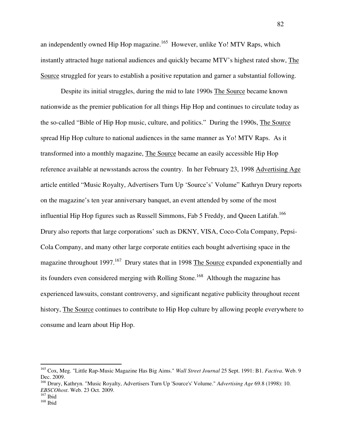an independently owned Hip Hop magazine.<sup>165</sup> However, unlike Yo! MTV Raps, which instantly attracted huge national audiences and quickly became MTV's highest rated show, The Source struggled for years to establish a positive reputation and garner a substantial following.

Despite its initial struggles, during the mid to late 1990s The Source became known nationwide as the premier publication for all things Hip Hop and continues to circulate today as the so-called "Bible of Hip Hop music, culture, and politics." During the 1990s, The Source spread Hip Hop culture to national audiences in the same manner as Yo! MTV Raps. As it transformed into a monthly magazine, The Source became an easily accessible Hip Hop reference available at newsstands across the country. In her February 23, 1998 Advertising Age article entitled "Music Royalty, Advertisers Turn Up 'Source's' Volume" Kathryn Drury reports on the magazine's ten year anniversary banquet, an event attended by some of the most influential Hip Hop figures such as Russell Simmons, Fab 5 Freddy, and Queen Latifah.<sup>166</sup> Drury also reports that large corporations' such as DKNY, VISA, Coco-Cola Company, Pepsi-Cola Company, and many other large corporate entities each bought advertising space in the magazine throughout 1997.<sup>167</sup> Drury states that in 1998 The Source expanded exponentially and its founders even considered merging with Rolling Stone.<sup>168</sup> Although the magazine has experienced lawsuits, constant controversy, and significant negative publicity throughout recent history, The Source continues to contribute to Hip Hop culture by allowing people everywhere to consume and learn about Hip Hop.

<sup>165</sup> Cox, Meg. "Little Rap-Music Magazine Has Big Aims." *Wall Street Journal* 25 Sept. 1991: B1. *Factiva*. Web. 9 Dec. 2009.

<sup>166</sup> Drury, Kathryn. "Music Royalty, Advertisers Turn Up 'Source's' Volume." *Advertising Age* 69.8 (1998): 10. *EBSCOhost*. Web. 23 Oct. 2009.

 $167$  Ibid

<sup>168</sup> Ibid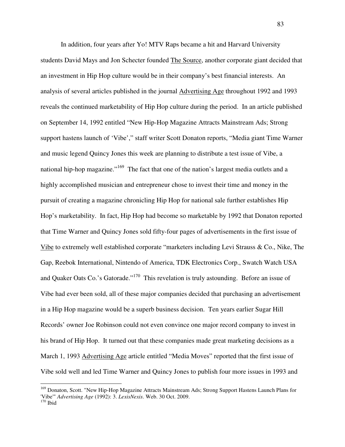In addition, four years after Yo! MTV Raps became a hit and Harvard University students David Mays and Jon Schecter founded The Source, another corporate giant decided that an investment in Hip Hop culture would be in their company's best financial interests. An analysis of several articles published in the journal Advertising Age throughout 1992 and 1993 reveals the continued marketability of Hip Hop culture during the period. In an article published on September 14, 1992 entitled "New Hip-Hop Magazine Attracts Mainstream Ads; Strong support hastens launch of 'Vibe'," staff writer Scott Donaton reports, "Media giant Time Warner and music legend Quincy Jones this week are planning to distribute a test issue of Vibe, a national hip-hop magazine."<sup>169</sup> The fact that one of the nation's largest media outlets and a highly accomplished musician and entrepreneur chose to invest their time and money in the pursuit of creating a magazine chronicling Hip Hop for national sale further establishes Hip Hop's marketability. In fact, Hip Hop had become so marketable by 1992 that Donaton reported that Time Warner and Quincy Jones sold fifty-four pages of advertisements in the first issue of Vibe to extremely well established corporate "marketers including Levi Strauss & Co., Nike, The Gap, Reebok International, Nintendo of America, TDK Electronics Corp., Swatch Watch USA and Quaker Oats Co.'s Gatorade."<sup>170</sup> This revelation is truly astounding. Before an issue of Vibe had ever been sold, all of these major companies decided that purchasing an advertisement in a Hip Hop magazine would be a superb business decision. Ten years earlier Sugar Hill Records' owner Joe Robinson could not even convince one major record company to invest in his brand of Hip Hop. It turned out that these companies made great marketing decisions as a March 1, 1993 Advertising Age article entitled "Media Moves" reported that the first issue of Vibe sold well and led Time Warner and Quincy Jones to publish four more issues in 1993 and

<sup>169</sup> Donaton, Scott. "New Hip-Hop Magazine Attracts Mainstream Ads; Strong Support Hastens Launch Plans for 'Vibe'" *Advertising Age* (1992): 3. *LexisNexis*. Web. 30 Oct. 2009.  $170$  Ibid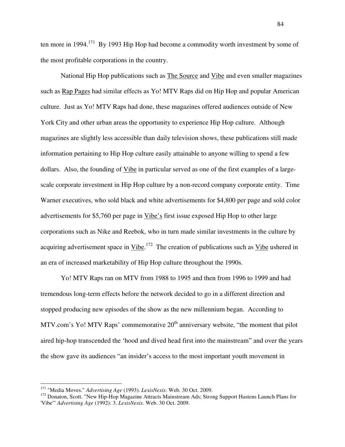ten more in 1994.<sup>171</sup> By 1993 Hip Hop had become a commodity worth investment by some of the most profitable corporations in the country.

 National Hip Hop publications such as The Source and Vibe and even smaller magazines such as Rap Pages had similar effects as Yo! MTV Raps did on Hip Hop and popular American culture. Just as Yo! MTV Raps had done, these magazines offered audiences outside of New York City and other urban areas the opportunity to experience Hip Hop culture. Although magazines are slightly less accessible than daily television shows, these publications still made information pertaining to Hip Hop culture easily attainable to anyone willing to spend a few dollars. Also, the founding of Vibe in particular served as one of the first examples of a largescale corporate investment in Hip Hop culture by a non-record company corporate entity. Time Warner executives, who sold black and white advertisements for \$4,800 per page and sold color advertisements for \$5,760 per page in Vibe's first issue exposed Hip Hop to other large corporations such as Nike and Reebok, who in turn made similar investments in the culture by acquiring advertisement space in  $Vibe$ . <sup>172</sup> The creation of publications such as  $Vibe$  ushered in an era of increased marketability of Hip Hop culture throughout the 1990s.

 Yo! MTV Raps ran on MTV from 1988 to 1995 and then from 1996 to 1999 and had tremendous long-term effects before the network decided to go in a different direction and stopped producing new episodes of the show as the new millennium began. According to MTV.com's Yo! MTV Raps' commemorative  $20<sup>th</sup>$  anniversary website, "the moment that pilot aired hip-hop transcended the 'hood and dived head first into the mainstream" and over the years the show gave its audiences "an insider's access to the most important youth movement in

<sup>171</sup> "Media Moves." *Advertising Age* (1993). *LexisNexis*. Web. 30 Oct. 2009.

<sup>&</sup>lt;sup>172</sup> Donaton, Scott. "New Hip-Hop Magazine Attracts Mainstream Ads; Strong Support Hastens Launch Plans for 'Vibe'" *Advertising Age* (1992): 3. *LexisNexis*. Web. 30 Oct. 2009.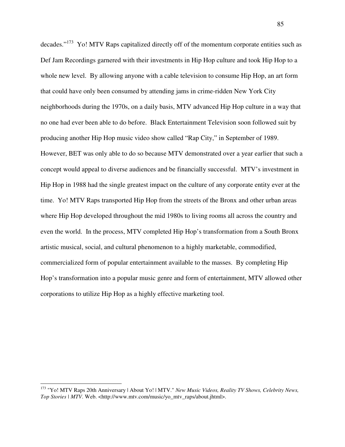decades."<sup>173</sup> Yo! MTV Raps capitalized directly off of the momentum corporate entities such as Def Jam Recordings garnered with their investments in Hip Hop culture and took Hip Hop to a whole new level. By allowing anyone with a cable television to consume Hip Hop, an art form that could have only been consumed by attending jams in crime-ridden New York City neighborhoods during the 1970s, on a daily basis, MTV advanced Hip Hop culture in a way that no one had ever been able to do before. Black Entertainment Television soon followed suit by producing another Hip Hop music video show called "Rap City," in September of 1989. However, BET was only able to do so because MTV demonstrated over a year earlier that such a concept would appeal to diverse audiences and be financially successful. MTV's investment in Hip Hop in 1988 had the single greatest impact on the culture of any corporate entity ever at the time. Yo! MTV Raps transported Hip Hop from the streets of the Bronx and other urban areas where Hip Hop developed throughout the mid 1980s to living rooms all across the country and even the world. In the process, MTV completed Hip Hop's transformation from a South Bronx artistic musical, social, and cultural phenomenon to a highly marketable, commodified, commercialized form of popular entertainment available to the masses. By completing Hip Hop's transformation into a popular music genre and form of entertainment, MTV allowed other corporations to utilize Hip Hop as a highly effective marketing tool.

<sup>173</sup> "Yo! MTV Raps 20th Anniversary | About Yo! | MTV." *New Music Videos, Reality TV Shows, Celebrity News, Top Stories | MTV.* Web. <http://www.mtv.com/music/yo\_mtv\_raps/about.jhtml>.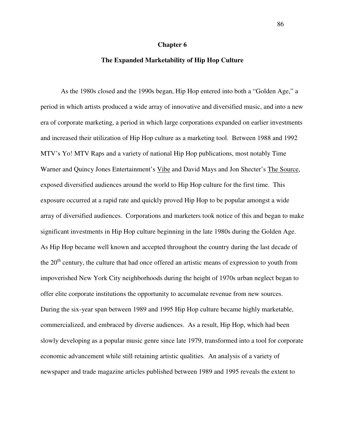#### **Chapter 6**

### **The Expanded Marketability of Hip Hop Culture**

 As the 1980s closed and the 1990s began, Hip Hop entered into both a "Golden Age," a period in which artists produced a wide array of innovative and diversified music, and into a new era of corporate marketing, a period in which large corporations expanded on earlier investments and increased their utilization of Hip Hop culture as a marketing tool. Between 1988 and 1992 MTV's Yo! MTV Raps and a variety of national Hip Hop publications, most notably Time Warner and Quincy Jones Entertainment's Vibe and David Mays and Jon Shecter's The Source, exposed diversified audiences around the world to Hip Hop culture for the first time. This exposure occurred at a rapid rate and quickly proved Hip Hop to be popular amongst a wide array of diversified audiences. Corporations and marketers took notice of this and began to make significant investments in Hip Hop culture beginning in the late 1980s during the Golden Age. As Hip Hop became well known and accepted throughout the country during the last decade of the 20<sup>th</sup> century, the culture that had once offered an artistic means of expression to youth from impoverished New York City neighborhoods during the height of 1970s urban neglect began to offer elite corporate institutions the opportunity to accumulate revenue from new sources. During the six-year span between 1989 and 1995 Hip Hop culture became highly marketable, commercialized, and embraced by diverse audiences. As a result, Hip Hop, which had been slowly developing as a popular music genre since late 1979, transformed into a tool for corporate economic advancement while still retaining artistic qualities. An analysis of a variety of newspaper and trade magazine articles published between 1989 and 1995 reveals the extent to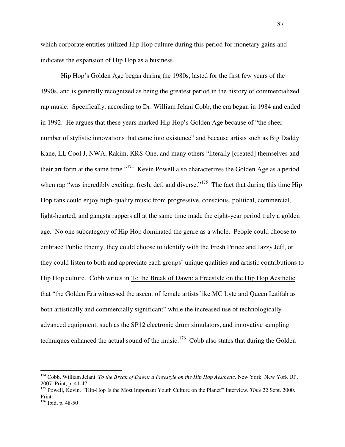which corporate entities utilized Hip Hop culture during this period for monetary gains and indicates the expansion of Hip Hop as a business.

 Hip Hop's Golden Age began during the 1980s, lasted for the first few years of the 1990s, and is generally recognized as being the greatest period in the history of commercialized rap music. Specifically, according to Dr. William Jelani Cobb, the era began in 1984 and ended in 1992. He argues that these years marked Hip Hop's Golden Age because of "the sheer number of stylistic innovations that came into existence" and because artists such as Big Daddy Kane, LL Cool J, NWA, Rakim, KRS-One, and many others "literally [created] themselves and their art form at the same time."<sup>174</sup> Kevin Powell also characterizes the Golden Age as a period when rap "was incredibly exciting, fresh, def, and diverse."<sup>175</sup> The fact that during this time Hip Hop fans could enjoy high-quality music from progressive, conscious, political, commercial, light-hearted, and gangsta rappers all at the same time made the eight-year period truly a golden age. No one subcategory of Hip Hop dominated the genre as a whole. People could choose to embrace Public Enemy, they could choose to identify with the Fresh Prince and Jazzy Jeff, or they could listen to both and appreciate each groups' unique qualities and artistic contributions to Hip Hop culture. Cobb writes in To the Break of Dawn: a Freestyle on the Hip Hop Aesthetic that "the Golden Era witnessed the ascent of female artists like MC Lyte and Queen Latifah as both artistically and commercially significant" while the increased use of technologicallyadvanced equipment, such as the SP12 electronic drum simulators, and innovative sampling techniques enhanced the actual sound of the music.<sup>176</sup> Cobb also states that during the Golden

<sup>&</sup>lt;sup>174</sup> Cobb, William Jelani. *To the Break of Dawn: a Freestyle on the Hip Hop Aesthetic*. New York: New York UP, 2007. Print, p. 41-47

<sup>&</sup>lt;sup>175</sup> Powell, Kevin. "'Hip-Hop Is the Most Important Youth Culture on the Planet'" Interview. *Time* 22 Sept. 2000. Print.

<sup>176</sup> Ibid, p. 48-50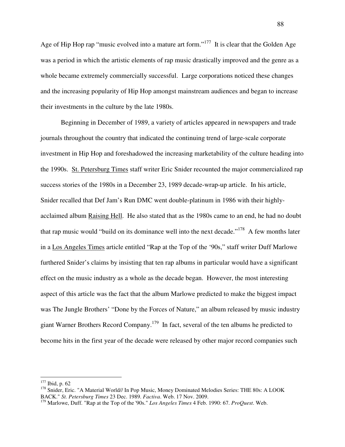Age of Hip Hop rap "music evolved into a mature art form."<sup>177</sup> It is clear that the Golden Age was a period in which the artistic elements of rap music drastically improved and the genre as a whole became extremely commercially successful. Large corporations noticed these changes and the increasing popularity of Hip Hop amongst mainstream audiences and began to increase their investments in the culture by the late 1980s.

Beginning in December of 1989, a variety of articles appeared in newspapers and trade journals throughout the country that indicated the continuing trend of large-scale corporate investment in Hip Hop and foreshadowed the increasing marketability of the culture heading into the 1990s. St. Petersburg Times staff writer Eric Snider recounted the major commercialized rap success stories of the 1980s in a December 23, 1989 decade-wrap-up article. In his article, Snider recalled that Def Jam's Run DMC went double-platinum in 1986 with their highlyacclaimed album Raising Hell. He also stated that as the 1980s came to an end, he had no doubt that rap music would "build on its dominance well into the next decade."<sup>178</sup> A few months later in a Los Angeles Times article entitled "Rap at the Top of the '90s," staff writer Duff Marlowe furthered Snider's claims by insisting that ten rap albums in particular would have a significant effect on the music industry as a whole as the decade began. However, the most interesting aspect of this article was the fact that the album Marlowe predicted to make the biggest impact was The Jungle Brothers' "Done by the Forces of Nature," an album released by music industry giant Warner Brothers Record Company.<sup>179</sup> In fact, several of the ten albums he predicted to become hits in the first year of the decade were released by other major record companies such

<sup>177</sup> Ibid, p. 62

<sup>&</sup>lt;sup>178</sup> Snider, Eric. "A Material World// In Pop Music, Money Dominated Melodies Series: THE 80s: A LOOK BACK." *St. Petersburg Times* 23 Dec. 1989. *Factiva*. Web. 17 Nov. 2009.

<sup>179</sup> Marlowe, Duff. "Rap at the Top of the '90s." *Los Angeles Times* 4 Feb. 1990: 67. *ProQuest*. Web.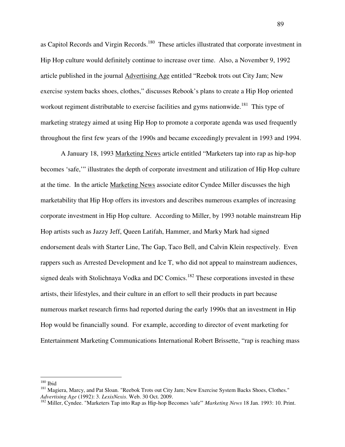as Capitol Records and Virgin Records.<sup>180</sup> These articles illustrated that corporate investment in Hip Hop culture would definitely continue to increase over time. Also, a November 9, 1992 article published in the journal Advertising Age entitled "Reebok trots out City Jam; New exercise system backs shoes, clothes," discusses Rebook's plans to create a Hip Hop oriented workout regiment distributable to exercise facilities and gyms nationwide.<sup>181</sup> This type of marketing strategy aimed at using Hip Hop to promote a corporate agenda was used frequently throughout the first few years of the 1990s and became exceedingly prevalent in 1993 and 1994.

 A January 18, 1993 Marketing News article entitled "Marketers tap into rap as hip-hop becomes 'safe,'" illustrates the depth of corporate investment and utilization of Hip Hop culture at the time. In the article Marketing News associate editor Cyndee Miller discusses the high marketability that Hip Hop offers its investors and describes numerous examples of increasing corporate investment in Hip Hop culture. According to Miller, by 1993 notable mainstream Hip Hop artists such as Jazzy Jeff, Queen Latifah, Hammer, and Marky Mark had signed endorsement deals with Starter Line, The Gap, Taco Bell, and Calvin Klein respectively. Even rappers such as Arrested Development and Ice T, who did not appeal to mainstream audiences, signed deals with Stolichnaya Vodka and DC Comics.<sup>182</sup> These corporations invested in these artists, their lifestyles, and their culture in an effort to sell their products in part because numerous market research firms had reported during the early 1990s that an investment in Hip Hop would be financially sound. For example, according to director of event marketing for Entertainment Marketing Communications International Robert Brissette, "rap is reaching mass

 $180$  Ibid

<sup>&</sup>lt;sup>181</sup> Magiera, Marcy, and Pat Sloan. "Reebok Trots out City Jam; New Exercise System Backs Shoes, Clothes." *Advertising Age* (1992): 3. *LexisNexis*. Web. 30 Oct. 2009.

<sup>182</sup> Miller, Cyndee. "Marketers Tap into Rap as Hip-hop Becomes 'safe'" *Marketing News* 18 Jan. 1993: 10. Print.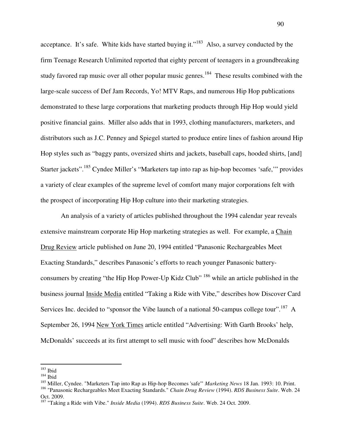acceptance. It's safe. White kids have started buying it."<sup>183</sup> Also, a survey conducted by the firm Teenage Research Unlimited reported that eighty percent of teenagers in a groundbreaking study favored rap music over all other popular music genres.<sup>184</sup> These results combined with the large-scale success of Def Jam Records, Yo! MTV Raps, and numerous Hip Hop publications demonstrated to these large corporations that marketing products through Hip Hop would yield positive financial gains. Miller also adds that in 1993, clothing manufacturers, marketers, and distributors such as J.C. Penney and Spiegel started to produce entire lines of fashion around Hip Hop styles such as "baggy pants, oversized shirts and jackets, baseball caps, hooded shirts, [and] Starter jackets".<sup>185</sup> Cyndee Miller's "Marketers tap into rap as hip-hop becomes 'safe," provides a variety of clear examples of the supreme level of comfort many major corporations felt with the prospect of incorporating Hip Hop culture into their marketing strategies.

 An analysis of a variety of articles published throughout the 1994 calendar year reveals extensive mainstream corporate Hip Hop marketing strategies as well. For example, a Chain Drug Review article published on June 20, 1994 entitled "Panasonic Rechargeables Meet Exacting Standards," describes Panasonic's efforts to reach younger Panasonic batteryconsumers by creating "the Hip Hop Power-Up Kidz Club" <sup>186</sup> while an article published in the business journal Inside Media entitled "Taking a Ride with Vibe," describes how Discover Card Services Inc. decided to "sponsor the Vibe launch of a national 50-campus college tour".<sup>187</sup> A September 26, 1994 New York Times article entitled "Advertising: With Garth Brooks' help, McDonalds' succeeds at its first attempt to sell music with food" describes how McDonalds

 $\overline{a}$ <sup>183</sup> Ibid

 $184$  Ibid

<sup>185</sup> Miller, Cyndee. "Marketers Tap into Rap as Hip-hop Becomes 'safe'" *Marketing News* 18 Jan. 1993: 10. Print.

<sup>186</sup> "Panasonic Rechargeables Meet Exacting Standards." *Chain Drug Review* (1994). *RDS Business Suite*. Web. 24 Oct. 2009.

<sup>187</sup> "Taking a Ride with Vibe." *Inside Media* (1994). *RDS Business Suite*. Web. 24 Oct. 2009.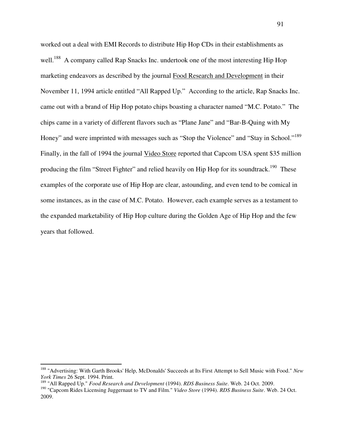worked out a deal with EMI Records to distribute Hip Hop CDs in their establishments as well.<sup>188</sup> A company called Rap Snacks Inc. undertook one of the most interesting Hip Hop marketing endeavors as described by the journal Food Research and Development in their November 11, 1994 article entitled "All Rapped Up." According to the article, Rap Snacks Inc. came out with a brand of Hip Hop potato chips boasting a character named "M.C. Potato." The chips came in a variety of different flavors such as "Plane Jane" and "Bar-B-Quing with My Honey" and were imprinted with messages such as "Stop the Violence" and "Stay in School."<sup>189</sup> Finally, in the fall of 1994 the journal Video Store reported that Capcom USA spent \$35 million producing the film "Street Fighter" and relied heavily on Hip Hop for its soundtrack.<sup>190</sup> These examples of the corporate use of Hip Hop are clear, astounding, and even tend to be comical in some instances, as in the case of M.C. Potato. However, each example serves as a testament to the expanded marketability of Hip Hop culture during the Golden Age of Hip Hop and the few years that followed.

<sup>188</sup> "Advertising: With Garth Brooks' Help, McDonalds' Succeeds at Its First Attempt to Sell Music with Food." *New York Times* 26 Sept. 1994. Print.

<sup>189</sup> "All Rapped Up." *Food Research and Development* (1994). *RDS Business Suite*. Web. 24 Oct. 2009. <sup>190</sup> "Capcom Rides Licensing Juggernaut to TV and Film." *Video Store* (1994). *RDS Business Suite*. Web. 24 Oct. 2009.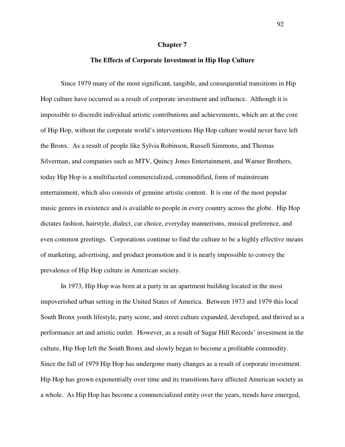#### **Chapter 7**

#### **The Effects of Corporate Investment in Hip Hop Culture**

 Since 1979 many of the most significant, tangible, and consequential transitions in Hip Hop culture have occurred as a result of corporate investment and influence. Although it is impossible to discredit individual artistic contributions and achievements, which are at the core of Hip Hop, without the corporate world's interventions Hip Hop culture would never have left the Bronx. As a result of people like Sylvia Robinson, Russell Simmons, and Thomas Silverman, and companies such as MTV, Quincy Jones Entertainment, and Warner Brothers, today Hip Hop is a multifaceted commercialized, commodified, form of mainstream entertainment, which also consists of genuine artistic content. It is one of the most popular music genres in existence and is available to people in every country across the globe. Hip Hop dictates fashion, hairstyle, dialect, car choice, everyday mannerisms, musical preference, and even common greetings. Corporations continue to find the culture to be a highly effective means of marketing, advertising, and product promotion and it is nearly impossible to convey the prevalence of Hip Hop culture in American society.

In 1973, Hip Hop was born at a party in an apartment building located in the most impoverished urban setting in the United States of America. Between 1973 and 1979 this local South Bronx youth lifestyle, party scene, and street culture expanded, developed, and thrived as a performance art and artistic outlet. However, as a result of Sugar Hill Records' investment in the culture, Hip Hop left the South Bronx and slowly began to become a profitable commodity. Since the fall of 1979 Hip Hop has undergone many changes as a result of corporate investment. Hip Hop has grown exponentially over time and its transitions have affected American society as a whole. As Hip Hop has become a commercialized entity over the years, trends have emerged,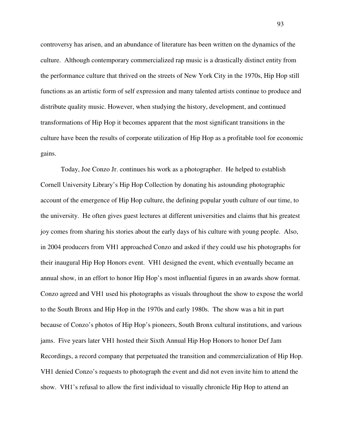controversy has arisen, and an abundance of literature has been written on the dynamics of the culture. Although contemporary commercialized rap music is a drastically distinct entity from the performance culture that thrived on the streets of New York City in the 1970s, Hip Hop still functions as an artistic form of self expression and many talented artists continue to produce and distribute quality music. However, when studying the history, development, and continued transformations of Hip Hop it becomes apparent that the most significant transitions in the culture have been the results of corporate utilization of Hip Hop as a profitable tool for economic gains.

Today, Joe Conzo Jr. continues his work as a photographer. He helped to establish Cornell University Library's Hip Hop Collection by donating his astounding photographic account of the emergence of Hip Hop culture, the defining popular youth culture of our time, to the university. He often gives guest lectures at different universities and claims that his greatest joy comes from sharing his stories about the early days of his culture with young people. Also, in 2004 producers from VH1 approached Conzo and asked if they could use his photographs for their inaugural Hip Hop Honors event. VH1 designed the event, which eventually became an annual show, in an effort to honor Hip Hop's most influential figures in an awards show format. Conzo agreed and VH1 used his photographs as visuals throughout the show to expose the world to the South Bronx and Hip Hop in the 1970s and early 1980s. The show was a hit in part because of Conzo's photos of Hip Hop's pioneers, South Bronx cultural institutions, and various jams. Five years later VH1 hosted their Sixth Annual Hip Hop Honors to honor Def Jam Recordings, a record company that perpetuated the transition and commercialization of Hip Hop. VH1 denied Conzo's requests to photograph the event and did not even invite him to attend the show. VH1's refusal to allow the first individual to visually chronicle Hip Hop to attend an

93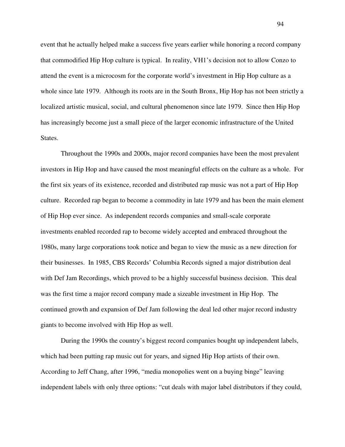event that he actually helped make a success five years earlier while honoring a record company that commodified Hip Hop culture is typical. In reality, VH1's decision not to allow Conzo to attend the event is a microcosm for the corporate world's investment in Hip Hop culture as a whole since late 1979. Although its roots are in the South Bronx, Hip Hop has not been strictly a localized artistic musical, social, and cultural phenomenon since late 1979. Since then Hip Hop has increasingly become just a small piece of the larger economic infrastructure of the United States.

Throughout the 1990s and 2000s, major record companies have been the most prevalent investors in Hip Hop and have caused the most meaningful effects on the culture as a whole. For the first six years of its existence, recorded and distributed rap music was not a part of Hip Hop culture. Recorded rap began to become a commodity in late 1979 and has been the main element of Hip Hop ever since. As independent records companies and small-scale corporate investments enabled recorded rap to become widely accepted and embraced throughout the 1980s, many large corporations took notice and began to view the music as a new direction for their businesses. In 1985, CBS Records' Columbia Records signed a major distribution deal with Def Jam Recordings, which proved to be a highly successful business decision. This deal was the first time a major record company made a sizeable investment in Hip Hop. The continued growth and expansion of Def Jam following the deal led other major record industry giants to become involved with Hip Hop as well.

During the 1990s the country's biggest record companies bought up independent labels, which had been putting rap music out for years, and signed Hip Hop artists of their own. According to Jeff Chang, after 1996, "media monopolies went on a buying binge" leaving independent labels with only three options: "cut deals with major label distributors if they could,

94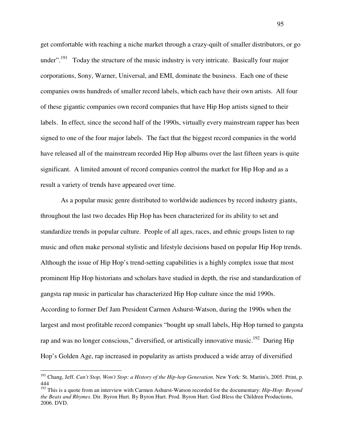get comfortable with reaching a niche market through a crazy-quilt of smaller distributors, or go under".<sup>191</sup> Today the structure of the music industry is very intricate. Basically four major corporations, Sony, Warner, Universal, and EMI, dominate the business. Each one of these companies owns hundreds of smaller record labels, which each have their own artists. All four of these gigantic companies own record companies that have Hip Hop artists signed to their labels. In effect, since the second half of the 1990s, virtually every mainstream rapper has been signed to one of the four major labels. The fact that the biggest record companies in the world have released all of the mainstream recorded Hip Hop albums over the last fifteen years is quite significant. A limited amount of record companies control the market for Hip Hop and as a result a variety of trends have appeared over time.

As a popular music genre distributed to worldwide audiences by record industry giants, throughout the last two decades Hip Hop has been characterized for its ability to set and standardize trends in popular culture. People of all ages, races, and ethnic groups listen to rap music and often make personal stylistic and lifestyle decisions based on popular Hip Hop trends. Although the issue of Hip Hop's trend-setting capabilities is a highly complex issue that most prominent Hip Hop historians and scholars have studied in depth, the rise and standardization of gangsta rap music in particular has characterized Hip Hop culture since the mid 1990s. According to former Def Jam President Carmen Ashurst-Watson, during the 1990s when the largest and most profitable record companies "bought up small labels, Hip Hop turned to gangsta rap and was no longer conscious," diversified, or artistically innovative music.<sup>192</sup> During Hip Hop's Golden Age, rap increased in popularity as artists produced a wide array of diversified

<sup>191</sup> Chang, Jeff. *Can't Stop, Won't Stop: a History of the Hip-hop Generation*. New York: St. Martin's, 2005. Print, p. 444

<sup>192</sup> This is a quote from an interview with Carmen Ashurst-Watson recorded for the documentary: *Hip-Hop: Beyond the Beats and Rhymes*. Dir. Byron Hurt. By Byron Hurt. Prod. Byron Hurt. God Bless the Children Productions, 2006. DVD.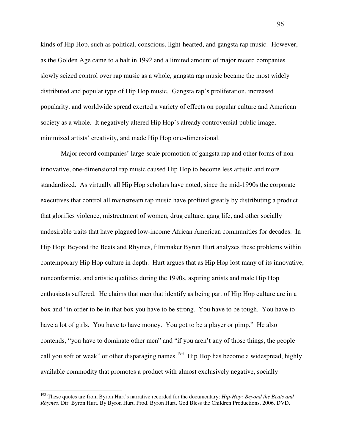kinds of Hip Hop, such as political, conscious, light-hearted, and gangsta rap music. However, as the Golden Age came to a halt in 1992 and a limited amount of major record companies slowly seized control over rap music as a whole, gangsta rap music became the most widely distributed and popular type of Hip Hop music. Gangsta rap's proliferation, increased popularity, and worldwide spread exerted a variety of effects on popular culture and American society as a whole. It negatively altered Hip Hop's already controversial public image, minimized artists' creativity, and made Hip Hop one-dimensional.

Major record companies' large-scale promotion of gangsta rap and other forms of noninnovative, one-dimensional rap music caused Hip Hop to become less artistic and more standardized. As virtually all Hip Hop scholars have noted, since the mid-1990s the corporate executives that control all mainstream rap music have profited greatly by distributing a product that glorifies violence, mistreatment of women, drug culture, gang life, and other socially undesirable traits that have plagued low-income African American communities for decades. In Hip Hop: Beyond the Beats and Rhymes, filmmaker Byron Hurt analyzes these problems within contemporary Hip Hop culture in depth. Hurt argues that as Hip Hop lost many of its innovative, nonconformist, and artistic qualities during the 1990s, aspiring artists and male Hip Hop enthusiasts suffered. He claims that men that identify as being part of Hip Hop culture are in a box and "in order to be in that box you have to be strong. You have to be tough. You have to have a lot of girls. You have to have money. You got to be a player or pimp." He also contends, "you have to dominate other men" and "if you aren't any of those things, the people call you soft or weak" or other disparaging names.<sup>193</sup> Hip Hop has become a widespread, highly available commodity that promotes a product with almost exclusively negative, socially

<sup>193</sup> These quotes are from Byron Hurt's narrative recorded for the documentary: *Hip-Hop: Beyond the Beats and Rhymes*. Dir. Byron Hurt. By Byron Hurt. Prod. Byron Hurt. God Bless the Children Productions, 2006. DVD.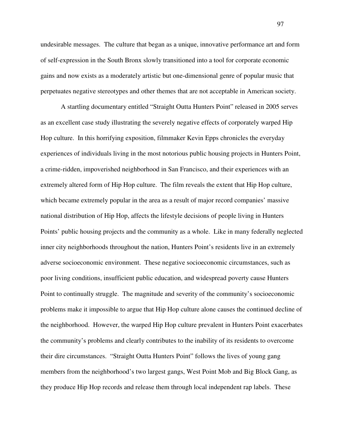undesirable messages. The culture that began as a unique, innovative performance art and form of self-expression in the South Bronx slowly transitioned into a tool for corporate economic gains and now exists as a moderately artistic but one-dimensional genre of popular music that perpetuates negative stereotypes and other themes that are not acceptable in American society.

A startling documentary entitled "Straight Outta Hunters Point" released in 2005 serves as an excellent case study illustrating the severely negative effects of corporately warped Hip Hop culture. In this horrifying exposition, filmmaker Kevin Epps chronicles the everyday experiences of individuals living in the most notorious public housing projects in Hunters Point, a crime-ridden, impoverished neighborhood in San Francisco, and their experiences with an extremely altered form of Hip Hop culture. The film reveals the extent that Hip Hop culture, which became extremely popular in the area as a result of major record companies' massive national distribution of Hip Hop, affects the lifestyle decisions of people living in Hunters Points' public housing projects and the community as a whole. Like in many federally neglected inner city neighborhoods throughout the nation, Hunters Point's residents live in an extremely adverse socioeconomic environment. These negative socioeconomic circumstances, such as poor living conditions, insufficient public education, and widespread poverty cause Hunters Point to continually struggle. The magnitude and severity of the community's socioeconomic problems make it impossible to argue that Hip Hop culture alone causes the continued decline of the neighborhood. However, the warped Hip Hop culture prevalent in Hunters Point exacerbates the community's problems and clearly contributes to the inability of its residents to overcome their dire circumstances. "Straight Outta Hunters Point" follows the lives of young gang members from the neighborhood's two largest gangs, West Point Mob and Big Block Gang, as they produce Hip Hop records and release them through local independent rap labels. These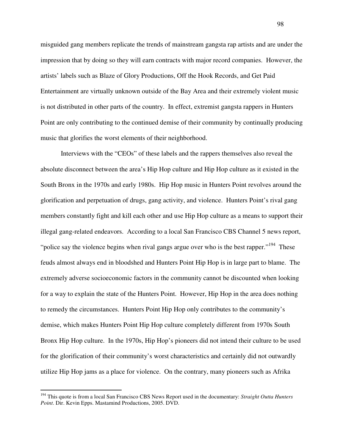misguided gang members replicate the trends of mainstream gangsta rap artists and are under the impression that by doing so they will earn contracts with major record companies. However, the artists' labels such as Blaze of Glory Productions, Off the Hook Records, and Get Paid Entertainment are virtually unknown outside of the Bay Area and their extremely violent music is not distributed in other parts of the country. In effect, extremist gangsta rappers in Hunters Point are only contributing to the continued demise of their community by continually producing music that glorifies the worst elements of their neighborhood.

Interviews with the "CEOs" of these labels and the rappers themselves also reveal the absolute disconnect between the area's Hip Hop culture and Hip Hop culture as it existed in the South Bronx in the 1970s and early 1980s. Hip Hop music in Hunters Point revolves around the glorification and perpetuation of drugs, gang activity, and violence. Hunters Point's rival gang members constantly fight and kill each other and use Hip Hop culture as a means to support their illegal gang-related endeavors. According to a local San Francisco CBS Channel 5 news report, "police say the violence begins when rival gangs argue over who is the best rapper."<sup>194</sup> These feuds almost always end in bloodshed and Hunters Point Hip Hop is in large part to blame. The extremely adverse socioeconomic factors in the community cannot be discounted when looking for a way to explain the state of the Hunters Point. However, Hip Hop in the area does nothing to remedy the circumstances. Hunters Point Hip Hop only contributes to the community's demise, which makes Hunters Point Hip Hop culture completely different from 1970s South Bronx Hip Hop culture. In the 1970s, Hip Hop's pioneers did not intend their culture to be used for the glorification of their community's worst characteristics and certainly did not outwardly utilize Hip Hop jams as a place for violence. On the contrary, many pioneers such as Afrika

<sup>194</sup> This quote is from a local San Francisco CBS News Report used in the documentary: *Straight Outta Hunters Point*. Dir. Kevin Epps. Mastamind Productions, 2005. DVD.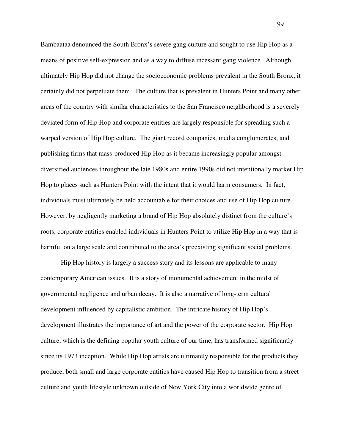Bambaataa denounced the South Bronx's severe gang culture and sought to use Hip Hop as a means of positive self-expression and as a way to diffuse incessant gang violence. Although ultimately Hip Hop did not change the socioeconomic problems prevalent in the South Bronx, it certainly did not perpetuate them. The culture that is prevalent in Hunters Point and many other areas of the country with similar characteristics to the San Francisco neighborhood is a severely deviated form of Hip Hop and corporate entities are largely responsible for spreading such a warped version of Hip Hop culture. The giant record companies, media conglomerates, and publishing firms that mass-produced Hip Hop as it became increasingly popular amongst diversified audiences throughout the late 1980s and entire 1990s did not intentionally market Hip Hop to places such as Hunters Point with the intent that it would harm consumers. In fact, individuals must ultimately be held accountable for their choices and use of Hip Hop culture. However, by negligently marketing a brand of Hip Hop absolutely distinct from the culture's roots, corporate entities enabled individuals in Hunters Point to utilize Hip Hop in a way that is harmful on a large scale and contributed to the area's preexisting significant social problems.

Hip Hop history is largely a success story and its lessons are applicable to many contemporary American issues. It is a story of monumental achievement in the midst of governmental negligence and urban decay. It is also a narrative of long-term cultural development influenced by capitalistic ambition. The intricate history of Hip Hop's development illustrates the importance of art and the power of the corporate sector. Hip Hop culture, which is the defining popular youth culture of our time, has transformed significantly since its 1973 inception. While Hip Hop artists are ultimately responsible for the products they produce, both small and large corporate entities have caused Hip Hop to transition from a street culture and youth lifestyle unknown outside of New York City into a worldwide genre of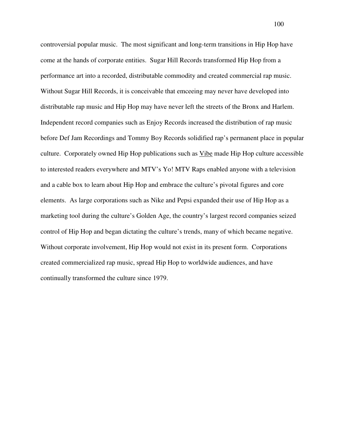controversial popular music. The most significant and long-term transitions in Hip Hop have come at the hands of corporate entities. Sugar Hill Records transformed Hip Hop from a performance art into a recorded, distributable commodity and created commercial rap music. Without Sugar Hill Records, it is conceivable that emceeing may never have developed into distributable rap music and Hip Hop may have never left the streets of the Bronx and Harlem. Independent record companies such as Enjoy Records increased the distribution of rap music before Def Jam Recordings and Tommy Boy Records solidified rap's permanent place in popular culture. Corporately owned Hip Hop publications such as *Vibe* made Hip Hop culture accessible to interested readers everywhere and MTV's Yo! MTV Raps enabled anyone with a television and a cable box to learn about Hip Hop and embrace the culture's pivotal figures and core elements. As large corporations such as Nike and Pepsi expanded their use of Hip Hop as a marketing tool during the culture's Golden Age, the country's largest record companies seized control of Hip Hop and began dictating the culture's trends, many of which became negative. Without corporate involvement, Hip Hop would not exist in its present form. Corporations created commercialized rap music, spread Hip Hop to worldwide audiences, and have continually transformed the culture since 1979.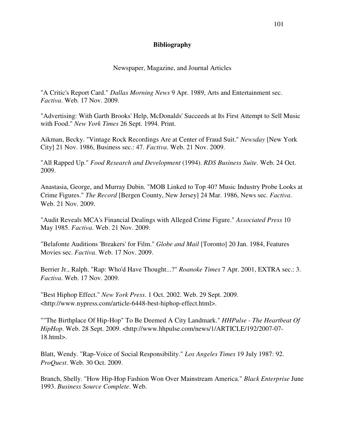# **Bibliography**

## Newspaper, Magazine, and Journal Articles

"A Critic's Report Card." *Dallas Morning News* 9 Apr. 1989, Arts and Entertainment sec. *Factiva*. Web. 17 Nov. 2009.

"Advertising: With Garth Brooks' Help, McDonalds' Succeeds at Its First Attempt to Sell Music with Food." *New York Times* 26 Sept. 1994. Print.

Aikman, Becky. "Vintage Rock Recordings Are at Center of Fraud Suit." *Newsday* [New York City] 21 Nov. 1986, Business sec.: 47. *Factiva*. Web. 21 Nov. 2009.

"All Rapped Up." *Food Research and Development* (1994). *RDS Business Suite*. Web. 24 Oct. 2009.

Anastasia, George, and Murray Dubin. "MOB Linked to Top 40? Music Industry Probe Looks at Crime Figures." *The Record* [Bergen County, New Jersey] 24 Mar. 1986, News sec. *Factiva*. Web. 21 Nov. 2009.

"Audit Reveals MCA's Financial Dealings with Alleged Crime Figure." *Associated Press* 10 May 1985. *Factiva*. Web. 21 Nov. 2009.

"Belafonte Auditions 'Breakers' for Film." *Globe and Mail* [Toronto] 20 Jan. 1984, Features Movies sec. *Factiva*. Web. 17 Nov. 2009.

Berrier Jr., Ralph. "Rap: Who'd Have Thought...?" *Roanoke Times* 7 Apr. 2001, EXTRA sec.: 3. *Factiva*. Web. 17 Nov. 2009.

"Best Hiphop Effect." *New York Press*. 1 Oct. 2002. Web. 29 Sept. 2009. <http://www.nypress.com/article-6448-best-hiphop-effect.html>.

""The Birthplace Of Hip-Hop" To Be Deemed A City Landmark." *HHPulse - The Heartbeat Of HipHop*. Web. 28 Sept. 2009. <http://www.hhpulse.com/news/1/ARTICLE/192/2007-07- 18.html>.

Blatt, Wendy. "Rap-Voice of Social Responsibility." *Los Angeles Times* 19 July 1987: 92. *ProQuest*. Web. 30 Oct. 2009.

Branch, Shelly. "How Hip-Hop Fashion Won Over Mainstream America." *Black Enterprise* June 1993. *Business Source Complete*. Web.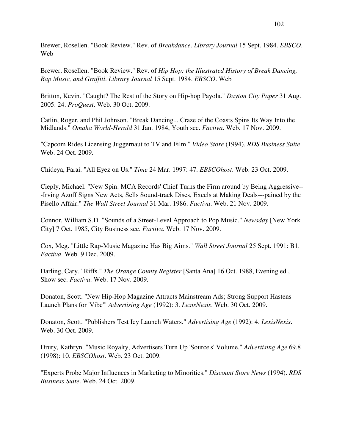Brewer, Rosellen. "Book Review." Rev. of *Breakdance*. *Library Journal* 15 Sept. 1984. *EBSCO*. Web

Brewer, Rosellen. "Book Review." Rev. of *Hip Hop: the Illustrated History of Break Dancing, Rap Music, and Graffiti*. *Library Journal* 15 Sept. 1984. *EBSCO*. Web

Britton, Kevin. "Caught? The Rest of the Story on Hip-hop Payola." *Dayton City Paper* 31 Aug. 2005: 24. *ProQuest*. Web. 30 Oct. 2009.

Catlin, Roger, and Phil Johnson. "Break Dancing... Craze of the Coasts Spins Its Way Into the Midlands." *Omaha World-Herald* 31 Jan. 1984, Youth sec. *Factiva*. Web. 17 Nov. 2009.

"Capcom Rides Licensing Juggernaut to TV and Film." *Video Store* (1994). *RDS Business Suite*. Web. 24 Oct. 2009.

Chideya, Farai. "All Eyez on Us." *Time* 24 Mar. 1997: 47. *EBSCOhost*. Web. 23 Oct. 2009.

Cieply, Michael. "New Spin: MCA Records' Chief Turns the Firm around by Being Aggressive-- -Irving Azoff Signs New Acts, Sells Sound-track Discs, Excels at Making Deals---pained by the Pisello Affair." *The Wall Street Journal* 31 Mar. 1986. *Factiva*. Web. 21 Nov. 2009.

Connor, William S.D. "Sounds of a Street-Level Approach to Pop Music." *Newsday* [New York City] 7 Oct. 1985, City Business sec. *Factiva*. Web. 17 Nov. 2009.

Cox, Meg. "Little Rap-Music Magazine Has Big Aims." *Wall Street Journal* 25 Sept. 1991: B1. *Factiva*. Web. 9 Dec. 2009.

Darling, Cary. "Riffs." *The Orange County Register* [Santa Ana] 16 Oct. 1988, Evening ed., Show sec. *Factiva*. Web. 17 Nov. 2009.

Donaton, Scott. "New Hip-Hop Magazine Attracts Mainstream Ads; Strong Support Hastens Launch Plans for 'Vibe'" *Advertising Age* (1992): 3. *LexisNexis*. Web. 30 Oct. 2009.

Donaton, Scott. "Publishers Test Icy Launch Waters." *Advertising Age* (1992): 4. *LexisNexis*. Web. 30 Oct. 2009.

Drury, Kathryn. "Music Royalty, Advertisers Turn Up 'Source's' Volume." *Advertising Age* 69.8 (1998): 10. *EBSCOhost*. Web. 23 Oct. 2009.

"Experts Probe Major Influences in Marketing to Minorities." *Discount Store News* (1994). *RDS Business Suite*. Web. 24 Oct. 2009.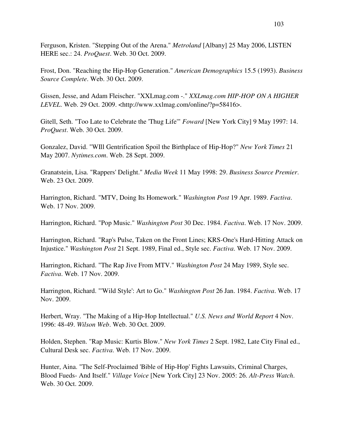Ferguson, Kristen. "Stepping Out of the Arena." *Metroland* [Albany] 25 May 2006, LISTEN HERE sec.: 24. *ProQuest*. Web. 30 Oct. 2009.

Frost, Don. "Reaching the Hip-Hop Generation." *American Demographics* 15.5 (1993). *Business Source Complete*. Web. 30 Oct. 2009.

Gissen, Jesse, and Adam Fleischer. "XXLmag.com -." *XXLmag.com HIP-HOP ON A HIGHER LEVEL*. Web. 29 Oct. 2009. <http://www.xxlmag.com/online/?p=58416>.

Gitell, Seth. "Too Late to Celebrate the 'Thug Life'" *Foward* [New York City] 9 May 1997: 14. *ProQuest*. Web. 30 Oct. 2009.

Gonzalez, David. "WIll Gentrification Spoil the Birthplace of Hip-Hop?" *New York Times* 21 May 2007. *Nytimes.com*. Web. 28 Sept. 2009.

Granatstein, Lisa. "Rappers' Delight." *Media Week* 11 May 1998: 29. *Business Source Premier*. Web. 23 Oct. 2009.

Harrington, Richard. "MTV, Doing Its Homework." *Washington Post* 19 Apr. 1989. *Factiva*. Web. 17 Nov. 2009.

Harrington, Richard. "Pop Music." *Washington Post* 30 Dec. 1984. *Factiva*. Web. 17 Nov. 2009.

Harrington, Richard. "Rap's Pulse, Taken on the Front Lines; KRS-One's Hard-Hitting Attack on Injustice." *Washington Post* 21 Sept. 1989, Final ed., Style sec. *Factiva*. Web. 17 Nov. 2009.

Harrington, Richard. "The Rap Jive From MTV." *Washington Post* 24 May 1989, Style sec. *Factiva*. Web. 17 Nov. 2009.

Harrington, Richard. "'Wild Style': Art to Go." *Washington Post* 26 Jan. 1984. *Factiva*. Web. 17 Nov. 2009.

Herbert, Wray. "The Making of a Hip-Hop Intellectual." *U.S. News and World Report* 4 Nov. 1996: 48-49. *Wilson Web*. Web. 30 Oct. 2009.

Holden, Stephen. "Rap Music: Kurtis Blow." *New York Times* 2 Sept. 1982, Late City Final ed., Cultural Desk sec. *Factiva*. Web. 17 Nov. 2009.

Hunter, Aina. "The Self-Proclaimed 'Bible of Hip-Hop' Fights Lawsuits, Criminal Charges, Blood Fueds- And Itself." *Village Voice* [New York City] 23 Nov. 2005: 26. *Alt-Press Watch*. Web. 30 Oct. 2009.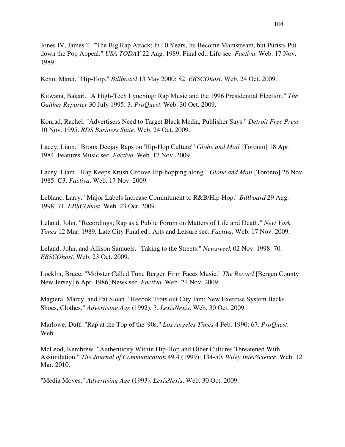Jones IV, James T. "The Big Rap Attack; In 10 Years, Its Become Mainstream, but Purists Put down the Pop Appeal." *USA TODAY* 22 Aug. 1989, Final ed., Life sec. *Factiva*. Web. 17 Nov. 1989.

Keno, Marci. "Hip-Hop." *Billboard* 13 May 2000: 82. *EBSCOhost*. Web. 24 Oct. 2009.

Kitwana, Bakari. "A High-Tech Lynching: Rap Music and the 1996 Presidential Election." *The Gaither Reporter* 30 July 1995: 3. *ProQuest*. Web. 30 Oct. 2009.

Konrad, Rachel. "Advertisers Need to Target Black Media, Publisher Says." *Detroit Free Press* 10 Nov. 1995. *RDS Business Suite*. Web. 24 Oct. 2009.

Lacey, Liam. "Bronx Deejay Raps on 'Hip-Hop Culture'" *Globe and Mail* [Toronto] 18 Apr. 1984, Features Music sec. *Factiva*. Web. 17 Nov. 2009.

Lacey, Liam. "Rap Keeps Krush Groove Hip-hopping along." *Globe and Mail* [Toronto] 26 Nov. 1985: C3. *Factiva*. Web. 17 Nov. 2009.

Leblanc, Larry. "Major Labels Increase Commitment to R&B/Hip-Hop." *Billboard* 29 Aug. 1998: 71. *EBSCOhost*. Web. 23 Oct. 2009.

Leland, John. "Recordings; Rap as a Public Forum on Matters of Life and Death." *New York Times* 12 Mar. 1989, Late City Final ed., Arts and Leisure sec. *Factiva*. Web. 17 Nov. 2009.

Leland, John, and Allison Samuels. "Taking to the Streets." *Newsweek* 02 Nov. 1998: 70. *EBSCOhost*. Web. 23 Oct. 2009.

Locklin, Bruce. "Mobster Called Tune Bergen Firm Faces Music." *The Record* [Bergen County New Jersey] 6 Apr. 1986, News sec. *Factiva*. Web. 21 Nov. 2009.

Magiera, Marcy, and Pat Sloan. "Reebok Trots out City Jam; New Exercise System Backs Shoes, Clothes." *Advertising Age* (1992): 3. *LexisNexis*. Web. 30 Oct. 2009.

Marlowe, Duff. "Rap at the Top of the '90s." *Los Angeles Times* 4 Feb. 1990: 67. *ProQuest*. Web.

McLeod, Kembrew. "Authenticity Within Hip-Hop and Other Cultures Threatened With Assimilation." *The Journal of Communication* 49.4 (1999): 134-50. *Wiley InterScience*. Web. 12 Mar. 2010.

"Media Moves." *Advertising Age* (1993). *LexisNexis*. Web. 30 Oct. 2009.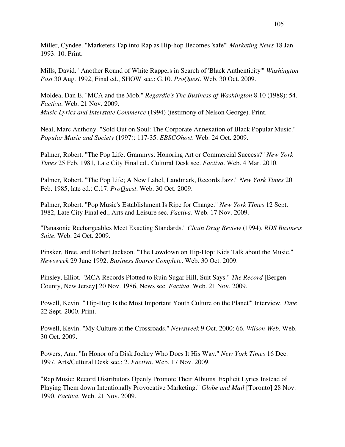Miller, Cyndee. "Marketers Tap into Rap as Hip-hop Becomes 'safe'" *Marketing News* 18 Jan. 1993: 10. Print.

Mills, David. "Another Round of White Rappers in Search of 'Black Authenticity'" *Washington Post* 30 Aug. 1992, Final ed., SHOW sec.: G.10. *ProQuest*. Web. 30 Oct. 2009.

Moldea, Dan E. "MCA and the Mob." *Regardie's The Business of Washington* 8.10 (1988): 54. *Factiva*. Web. 21 Nov. 2009. *Music Lyrics and Interstate Commerce* (1994) (testimony of Nelson George). Print.

Neal, Marc Anthony. "Sold Out on Soul: The Corporate Annexation of Black Popular Music." *Popular Music and Society* (1997): 117-35. *EBSCOhost*. Web. 24 Oct. 2009.

Palmer, Robert. "The Pop Life; Grammys: Honoring Art or Commercial Success?" *New York Times* 25 Feb. 1981, Late City Final ed., Cultural Desk sec. *Factiva*. Web. 4 Mar. 2010.

Palmer, Robert. "The Pop Life; A New Label, Landmark, Records Jazz." *New York Times* 20 Feb. 1985, late ed.: C.17. *ProQuest*. Web. 30 Oct. 2009.

Palmer, Robert. "Pop Music's Establishment Is Ripe for Change." *New York TImes* 12 Sept. 1982, Late City Final ed., Arts and Leisure sec. *Factiva*. Web. 17 Nov. 2009.

"Panasonic Rechargeables Meet Exacting Standards." *Chain Drug Review* (1994). *RDS Business Suite*. Web. 24 Oct. 2009.

Pinsker, Bree, and Robert Jackson. "The Lowdown on Hip-Hop: Kids Talk about the Music." *Newsweek* 29 June 1992. *Business Source Complete*. Web. 30 Oct. 2009.

Pinsley, Elliot. "MCA Records Plotted to Ruin Sugar Hill, Suit Says." *The Record* [Bergen County, New Jersey] 20 Nov. 1986, News sec. *Factiva*. Web. 21 Nov. 2009.

Powell, Kevin. "'Hip-Hop Is the Most Important Youth Culture on the Planet'" Interview. *Time* 22 Sept. 2000. Print.

Powell, Kevin. "My Culture at the Crossroads." *Newsweek* 9 Oct. 2000: 66. *Wilson Web*. Web. 30 Oct. 2009.

Powers, Ann. "In Honor of a Disk Jockey Who Does It His Way." *New York Times* 16 Dec. 1997, Arts/Cultural Desk sec.: 2. *Factiva*. Web. 17 Nov. 2009.

"Rap Music: Record Distributors Openly Promote Their Albums' Explicit Lyrics Instead of Playing Them down Intentionally Provocative Marketing." *Globe and Mail* [Toronto] 28 Nov. 1990. *Factiva*. Web. 21 Nov. 2009.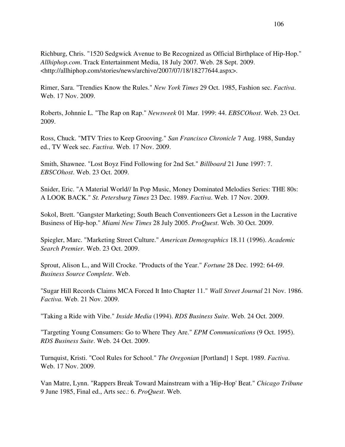Richburg, Chris. "1520 Sedgwick Avenue to Be Recognized as Official Birthplace of Hip-Hop." *Allhiphop.com*. Track Entertainment Media, 18 July 2007. Web. 28 Sept. 2009. <http://allhiphop.com/stories/news/archive/2007/07/18/18277644.aspx>.

Rimer, Sara. "Trendies Know the Rules." *New York Times* 29 Oct. 1985, Fashion sec. *Factiva*. Web. 17 Nov. 2009.

Roberts, Johnnie L. "The Rap on Rap." *Newsweek* 01 Mar. 1999: 44. *EBSCOhost*. Web. 23 Oct. 2009.

Ross, Chuck. "MTV Tries to Keep Grooving." *San Francisco Chronicle* 7 Aug. 1988, Sunday ed., TV Week sec. *Factiva*. Web. 17 Nov. 2009.

Smith, Shawnee. "Lost Boyz Find Following for 2nd Set." *Billboard* 21 June 1997: 7. *EBSCOhost*. Web. 23 Oct. 2009.

Snider, Eric. "A Material World// In Pop Music, Money Dominated Melodies Series: THE 80s: A LOOK BACK." *St. Petersburg Times* 23 Dec. 1989. *Factiva*. Web. 17 Nov. 2009.

Sokol, Brett. "Gangster Marketing; South Beach Conventioneers Get a Lesson in the Lucrative Business of Hip-hop." *Miami New Times* 28 July 2005. *ProQuest*. Web. 30 Oct. 2009.

Spiegler, Marc. "Marketing Street Culture." *American Demographics* 18.11 (1996). *Academic Search Premier*. Web. 23 Oct. 2009.

Sprout, Alison L., and Will Crocke. "Products of the Year." *Fortune* 28 Dec. 1992: 64-69. *Business Source Complete*. Web.

"Sugar Hill Records Claims MCA Forced It Into Chapter 11." *Wall Street Journal* 21 Nov. 1986. *Factiva*. Web. 21 Nov. 2009.

"Taking a Ride with Vibe." *Inside Media* (1994). *RDS Business Suite*. Web. 24 Oct. 2009.

"Targeting Young Consumers: Go to Where They Are." *EPM Communications* (9 Oct. 1995). *RDS Business Suite*. Web. 24 Oct. 2009.

Turnquist, Kristi. "Cool Rules for School." *The Oregonian* [Portland] 1 Sept. 1989. *Factiva*. Web. 17 Nov. 2009.

Van Matre, Lynn. "Rappers Break Toward Mainstream with a 'Hip-Hop' Beat." *Chicago Tribune* 9 June 1985, Final ed., Arts sec.: 6. *ProQuest*. Web.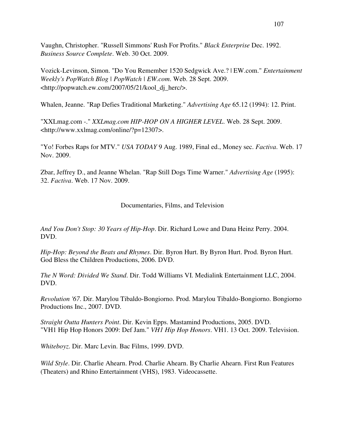Vaughn, Christopher. "Russell Simmons' Rush For Profits." *Black Enterprise* Dec. 1992. *Business Source Complete*. Web. 30 Oct. 2009.

Vozick-Levinson, Simon. "Do You Remember 1520 Sedgwick Ave.? | EW.com." *Entertainment Weekly's PopWatch Blog | PopWatch | EW.com*. Web. 28 Sept. 2009. <http://popwatch.ew.com/2007/05/21/kool\_dj\_herc/>.

Whalen, Jeanne. "Rap Defies Traditional Marketing." *Advertising Age* 65.12 (1994): 12. Print.

"XXLmag.com -." *XXLmag.com HIP-HOP ON A HIGHER LEVEL*. Web. 28 Sept. 2009. <http://www.xxlmag.com/online/?p=12307>.

"Yo! Forbes Raps for MTV." *USA TODAY* 9 Aug. 1989, Final ed., Money sec. *Factiva*. Web. 17 Nov. 2009.

Zbar, Jeffrey D., and Jeanne Whelan. "Rap Still Dogs Time Warner." *Advertising Age* (1995): 32. *Factiva*. Web. 17 Nov. 2009.

## Documentaries, Films, and Television

*And You Don't Stop: 30 Years of Hip-Hop*. Dir. Richard Lowe and Dana Heinz Perry. 2004. DVD.

*Hip-Hop: Beyond the Beats and Rhymes*. Dir. Byron Hurt. By Byron Hurt. Prod. Byron Hurt. God Bless the Children Productions, 2006. DVD.

*The N Word: Divided We Stand*. Dir. Todd Williams VI. Medialink Entertainment LLC, 2004. DVD.

*Revolution '67*. Dir. Marylou Tibaldo-Bongiorno. Prod. Marylou Tibaldo-Bongiorno. Bongiorno Productions Inc., 2007. DVD.

*Straight Outta Hunters Point*. Dir. Kevin Epps. Mastamind Productions, 2005. DVD. "VH1 Hip Hop Honors 2009: Def Jam." *VH1 Hip Hop Honors*. VH1. 13 Oct. 2009. Television.

*Whiteboyz*. Dir. Marc Levin. Bac Films, 1999. DVD.

*Wild Style*. Dir. Charlie Ahearn. Prod. Charlie Ahearn. By Charlie Ahearn. First Run Features (Theaters) and Rhino Entertainment (VHS), 1983. Videocassette.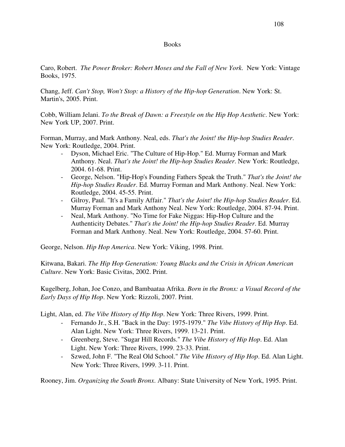### Books

Caro, Robert. *The Power Broker: Robert Moses and the Fall of New York*. New York: Vintage Books, 1975.

Chang, Jeff. *Can't Stop, Won't Stop: a History of the Hip-hop Generation*. New York: St. Martin's, 2005. Print.

Cobb, William Jelani. *To the Break of Dawn: a Freestyle on the Hip Hop Aesthetic*. New York: New York UP, 2007. Print.

Forman, Murray, and Mark Anthony. Neal, eds. *That's the Joint! the Hip-hop Studies Reader*. New York: Routledge, 2004. Print.

- Dyson, Michael Eric. "The Culture of Hip-Hop." Ed. Murray Forman and Mark Anthony. Neal. *That's the Joint! the Hip-hop Studies Reader*. New York: Routledge, 2004. 61-68. Print.
- George, Nelson. "Hip-Hop's Founding Fathers Speak the Truth." *That's the Joint! the Hip-hop Studies Reader*. Ed. Murray Forman and Mark Anthony. Neal. New York: Routledge, 2004. 45-55. Print.
- Gilroy, Paul. "It's a Family Affair." *That's the Joint! the Hip-hop Studies Reader*. Ed. Murray Forman and Mark Anthony Neal. New York: Routledge, 2004. 87-94. Print.
- Neal, Mark Anthony. "No Time for Fake Niggas: Hip-Hop Culture and the Authenticity Debates." *That's the Joint! the Hip-hop Studies Reader*. Ed. Murray Forman and Mark Anthony. Neal. New York: Routledge, 2004. 57-60. Print.

George, Nelson. *Hip Hop America*. New York: Viking, 1998. Print.

Kitwana, Bakari. *The Hip Hop Generation: Young Blacks and the Crisis in African American Culture*. New York: Basic Civitas, 2002. Print.

Kugelberg, Johan, Joe Conzo, and Bambaataa Afrika. *Born in the Bronx: a Visual Record of the Early Days of Hip Hop*. New York: Rizzoli, 2007. Print.

Light, Alan, ed. *The Vibe History of Hip Hop*. New York: Three Rivers, 1999. Print.

- Fernando Jr., S.H. "Back in the Day: 1975-1979." *The Vibe History of Hip Hop*. Ed. Alan Light. New York: Three Rivers, 1999. 13-21. Print.
- Greenberg, Steve. "Sugar Hill Records." *The Vibe History of Hip Hop*. Ed. Alan Light. New York: Three Rivers, 1999. 23-33. Print.
- Szwed, John F. "The Real Old School." *The Vibe History of Hip Hop*. Ed. Alan Light. New York: Three Rivers, 1999. 3-11. Print.

Rooney, Jim. *Organizing the South Bronx*. Albany: State University of New York, 1995. Print.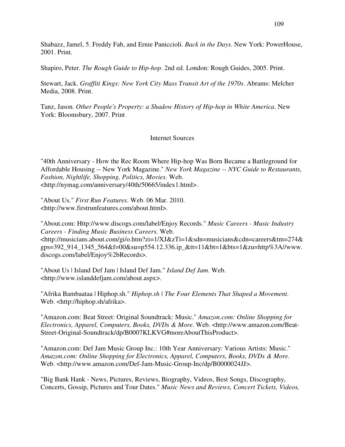Shabazz, Jamel, 5. Freddy Fab, and Ernie Paniccioli. *Back in the Days*. New York: PowerHouse, 2001. Print.

Shapiro, Peter. *The Rough Guide to Hip-hop*. 2nd ed. London: Rough Guides, 2005. Print.

Stewart, Jack. *Graffiti Kings: New York City Mass Transit Art of the 1970s*. Abrams: Melcher Media, 2008. Print.

Tanz, Jason. *Other People's Property: a Shadow History of Hip-hop in White America*. New York: Bloomsbury, 2007. Print

## Internet Sources

"40th Anniversary - How the Rec Room Where Hip-hop Was Born Became a Battleground for Affordable Housing -- New York Magazine." *New York Magazine -- NYC Guide to Restaurants, Fashion, Nightlife, Shopping, Politics, Movies*. Web. <http://nymag.com/anniversary/40th/50665/index1.html>.

"About Us." *First Run Features*. Web. 06 Mar. 2010. <http://www.firstrunfeatures.com/about.html>.

"About.com: Http://www.discogs.com/label/Enjoy Records." *Music Careers - Music Industry Careers - Finding Music Business Careers*. Web. <http://musicians.about.com/gi/o.htm?zi=1/XJ&zTi=1&sdn=musicians&cdn=careers&tm=274& gps=392\_914\_1345\_564&f=00&su=p554.12.336.ip\_&tt=11&bt=1&bts=1&zu=http%3A//www. discogs.com/label/Enjoy%2bRecords>.

"About Us | Island Def Jam | Island Def Jam." *Island Def Jam*. Web. <http://www.islanddefjam.com/about.aspx>.

"Afrika Bambaataa | Hiphop.sh." *Hiphop.sh | The Four Elements That Shaped a Movement*. Web. <http://hiphop.sh/afrika>.

"Amazon.com: Beat Street: Original Soundtrack: Music." *Amazon.com: Online Shopping for Electronics, Apparel, Computers, Books, DVDs & More*. Web. <http://www.amazon.com/Beat-Street-Original-Soundtrack/dp/B0007KLKVG#moreAboutThisProduct>.

"Amazon.com: Def Jam Music Group Inc.: 10th Year Anniversary: Various Artists: Music." *Amazon.com: Online Shopping for Electronics, Apparel, Computers, Books, DVDs & More*. Web. <http://www.amazon.com/Def-Jam-Music-Group-Inc/dp/B0000024JJ>.

"Big Bank Hank - News, Pictures, Reviews, Biography, Videos, Best Songs, Discography, Concerts, Gossip, Pictures and Tour Dates." *Music News and Reviews, Concert Tickets, Videos,*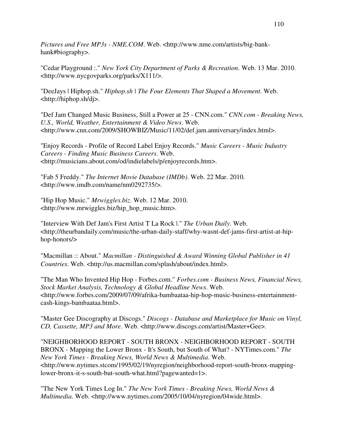*Pictures and Free MP3s - NME.COM*. Web. <http://www.nme.com/artists/big-bankhank#biography>.

"Cedar Playground :." *New York City Department of Parks & Recreation*. Web. 13 Mar. 2010. <http://www.nycgovparks.org/parks/X111/>.

"DeeJays | Hiphop.sh." *Hiphop.sh | The Four Elements That Shaped a Movement*. Web. <http://hiphop.sh/dj>.

"Def Jam Changed Music Business, Still a Power at 25 - CNN.com." *CNN.com - Breaking News, U.S., World, Weather, Entertainment & Video News*. Web. <http://www.cnn.com/2009/SHOWBIZ/Music/11/02/def.jam.anniversary/index.html>.

"Enjoy Records - Profile of Record Label Enjoy Records." *Music Careers - Music Industry Careers - Finding Music Business Careers*. Web. <http://musicians.about.com/od/indielabels/p/enjoyrecords.htm>.

"Fab 5 Freddy." *The Internet Movie Database (IMDb)*. Web. 22 Mar. 2010. <http://www.imdb.com/name/nm0292735/>.

"Hip Hop Music." *Mrwiggles.biz*. Web. 12 Mar. 2010. <http://www.mrwiggles.biz/hip\_hop\_music.htm>.

"Interview With Def Jam's First Artist T La Rock |." *The Urban Daily*. Web. <http://theurbandaily.com/music/the-urban-daily-staff/why-wasnt-def-jams-first-artist-at-hiphop-honors/>

"Macmillan :: About." *Macmillan - Distinguished & Award Winning Global Publisher in 41 Countries*. Web. <http://us.macmillan.com/splash/about/index.html>.

"The Man Who Invented Hip Hop - Forbes.com." *Forbes.com - Business News, Financial News, Stock Market Analysis, Technology & Global Headline News*. Web. <http://www.forbes.com/2009/07/09/afrika-bambaataa-hip-hop-music-business-entertainmentcash-kings-bambaataa.html>.

"Master Gee Discography at Discogs." *Discogs - Database and Marketplace for Music on Vinyl, CD, Cassette, MP3 and More*. Web. <http://www.discogs.com/artist/Master+Gee>.

"NEIGHBORHOOD REPORT - SOUTH BRONX - NEIGHBORHOOD REPORT - SOUTH BRONX - Mapping the Lower Bronx - It's South, but South of What? - NYTimes.com." *The New York Times - Breaking News, World News & Multimedia*. Web. <http://www.nytimes.stcom/1995/02/19/nyregion/neighborhood-report-south-bronx-mappinglower-bronx-it-s-south-but-south-what.html?pagewanted=1>.

"The New York Times Log In." *The New York Times - Breaking News, World News & Multimedia*. Web. <http://www.nytimes.com/2005/10/04/nyregion/04wide.html>.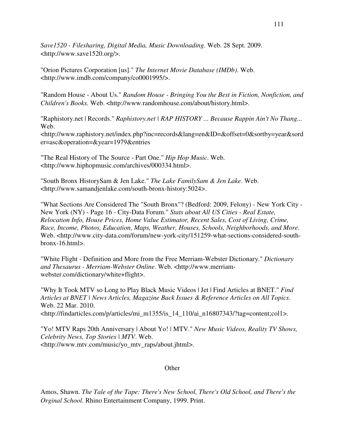*Save1520 - Filesharing, Digital Media, Music Downloading*. Web. 28 Sept. 2009. <http://www.save1520.org/>.

"Orion Pictures Corporation [us]." *The Internet Movie Database (IMDb)*. Web. <http://www.imdb.com/company/co0001995/>.

"Random House - About Us." *Random House - Bringing You the Best in Fiction, Nonfiction, and Children's Books.* Web. <http://www.randomhouse.com/about/history.html>.

"Raphistory.net | Records." *Raphistory.net | RAP HISTORY ... Because Rappin Ain't No Thang...* Web.

<http://www.raphistory.net/index.php?inc=records&lang=en&ID=&offset=0&sortby=year&sord er=asc&operation=&year=1979&entries

"The Real History of The Source - Part One." *Hip Hop Music*. Web. <http://www.hiphopmusic.com/archives/000334.html>.

"South Bronx HistorySam & Jen Lake." *The Lake FamilySam & Jen Lake*. Web. <http://www.samandjenlake.com/south-bronx-history:5024>.

"What Sections Are Considered The "South Bronx"? (Bedford: 2009, Felony) - New York City - New York (NY) - Page 16 - City-Data Forum." *Stats about All US Cities - Real Estate, Relocation Info, House Prices, Home Value Estimator, Recent Sales, Cost of Living, Crime, Race, Income, Photos, Education, Maps, Weather, Houses, Schools, Neighborhoods, and More*. Web. <http://www.city-data.com/forum/new-york-city/151259-what-sections-considered-southbronx-16.html>.

"White Flight - Definition and More from the Free Merriam-Webster Dictionary." *Dictionary and Thesaurus - Merriam-Webster Online*. Web. <http://www.merriamwebster.com/dictionary/white+flight>.

"Why It Took MTV so Long to Play Black Music Videos | Jet | Find Articles at BNET." *Find Articles at BNET | News Articles, Magazine Back Issues & Reference Articles on All Topics*. Web. 22 Mar. 2010. <http://findarticles.com/p/articles/mi\_m1355/is\_14\_110/ai\_n16807343/?tag=content;col1>.

"Yo! MTV Raps 20th Anniversary | About Yo! | MTV." *New Music Videos, Reality TV Shows, Celebrity News, Top Stories | MTV*. Web. <http://www.mtv.com/music/yo\_mtv\_raps/about.jhtml>.

**Other** 

Amos, Shawn. *The Tale of the Tape: There's New School, There's Old School, and There's the Orginal School*. Rhino Entertainment Company, 1999. Print.